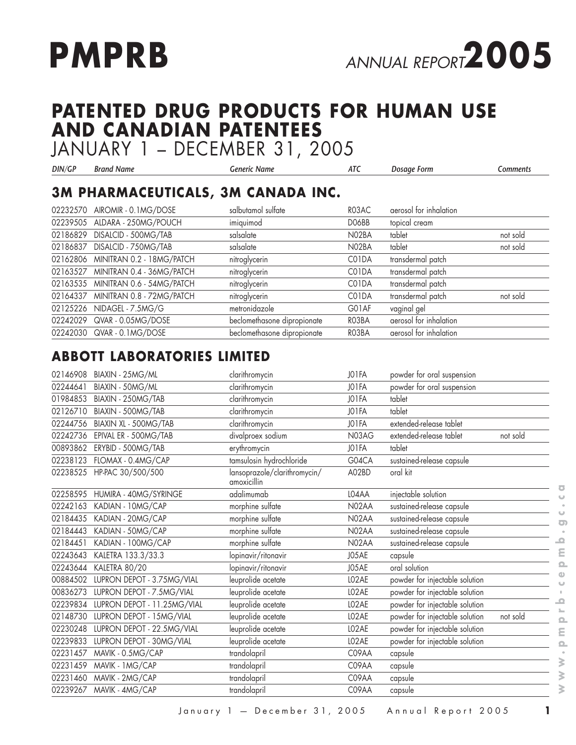

# **PATENTED DRUG PRODUCTS FOR HUMAN USE AND CANADIAN PATENTEES**

JANUARY 1 – DECEMBER 31, 2005

| DIN/GP   | Brand Name                | Generic Name                              | ATC   | Dosage Form            | Comments |
|----------|---------------------------|-------------------------------------------|-------|------------------------|----------|
|          |                           | <b>3M PHARMACEUTICALS, 3M CANADA INC.</b> |       |                        |          |
| 02232570 | AIROMIR - 0.1MG/DOSE      | salbutamol sulfate                        | R03AC | aerosol for inhalation |          |
| 02239505 | ALDARA - 250MG/POUCH      | imiquimod                                 | DO6BB | topical cream          |          |
| 02186829 | DISALCID - 500MG/TAB      | salsalate                                 | N02BA | tablet                 | not sold |
| 02186837 | DISALCID - 750MG/TAB      | salsalate                                 | N02BA | tablet                 | not sold |
| 02162806 | MINITRAN 0.2 - 18MG/PATCH | nitroglycerin                             | C01DA | transdermal patch      |          |
| 02163527 | MINITRAN 0.4 - 36MG/PATCH | nitroglycerin                             | C01DA | transdermal patch      |          |
| 02163535 | MINITRAN 0.6 - 54MG/PATCH | nitroglycerin                             | C01DA | transdermal patch      |          |
| 02164337 | MINITRAN 0.8 - 72MG/PATCH | nitroglycerin                             | C01DA | transdermal patch      | not sold |
| 02125226 | NIDAGEL - 7.5MG/G         | metronidazole                             | G01AF | vaginal gel            |          |
| 02242029 | QVAR - 0.05MG/DOSE        | beclomethasone dipropionate               | RO3BA | aerosol for inhalation |          |
| 02242030 | QVAR - 0.1MG/DOSE         | beclomethasone dipropionate               | RO3BA | aerosol for inhalation |          |

#### **ABBOTT LABORATORIES LIMITED**

| 02146908 | BIAXIN - 25MG/ML            | clarithromycin                              | JO1FA              | powder for oral suspension                 |
|----------|-----------------------------|---------------------------------------------|--------------------|--------------------------------------------|
| 02244641 | BIAXIN - 50MG/ML            | clarithromycin                              | JO1FA              | powder for oral suspension                 |
| 01984853 | BIAXIN - 250MG/TAB          | clarithromycin                              | JO1FA              | tablet                                     |
| 02126710 | BIAXIN - 500MG/TAB          | clarithromycin                              | JO1FA              | tablet                                     |
| 02244756 | BIAXIN XL - 500MG/TAB       | clarithromycin                              | JO1FA              | extended-release tablet                    |
| 02242736 | EPIVAL ER - 500MG/TAB       | divalproex sodium                           | N03AG              | extended-release tablet<br>not sold        |
| 00893862 | ERYBID - 500MG/TAB          | erythromycin                                | JO1FA              | tablet                                     |
| 02238123 | FLOMAX - 0.4MG/CAP          | tamsulosin hydrochloride                    | G04CA              | sustained-release capsule                  |
| 02238525 | HP-PAC 30/500/500           | lansoprazole/clarithromycin/<br>amoxicillin | A02BD              | oral kit                                   |
| 02258595 | HUMIRA - 40MG/SYRINGE       | adalimumab                                  | LO4AA              | injectable solution                        |
| 02242163 | KADIAN - 10MG/CAP           | morphine sulfate                            | N02AA              | sustained-release capsule                  |
| 02184435 | KADIAN - 20MG/CAP           | morphine sulfate                            | N02AA              | sustained-release capsule                  |
| 02184443 | KADIAN - 50MG/CAP           | morphine sulfate                            | N02AA              | sustained-release capsule                  |
| 02184451 | KADIAN - 100MG/CAP          | morphine sulfate                            | N02AA              | sustained-release capsule                  |
| 02243643 | KALETRA 133.3/33.3          | lopinavir/ritonavir                         | J05AE              | capsule                                    |
| 02243644 | KALETRA 80/20               | lopinavir/ritonavir                         | J05AE              | oral solution                              |
| 00884502 | LUPRON DEPOT - 3.75MG/VIAL  | leuprolide acetate                          | LO <sub>2</sub> AE | powder for injectable solution             |
| 00836273 | LUPRON DEPOT - 7.5MG/VIAL   | leuprolide acetate                          | LO <sub>2</sub> AE | powder for injectable solution             |
| 02239834 | LUPRON DEPOT - 11.25MG/VIAL | leuprolide acetate                          | LO2AE              | powder for injectable solution             |
| 02148730 | LUPRON DEPOT - 15MG/VIAL    | leuprolide acetate                          | LO2AE              | powder for injectable solution<br>not sold |
| 02230248 | LUPRON DEPOT - 22.5MG/VIAL  | leuprolide acetate                          | LO2AE              | powder for injectable solution             |
| 02239833 | LUPRON DEPOT - 30MG/VIAL    | leuprolide acetate                          | LO <sub>2</sub> AE | powder for injectable solution             |
| 02231457 | MAVIK - 0.5MG/CAP           | trandolapril                                | C09AA              | capsule                                    |
| 02231459 | MAVIK - 1MG/CAP             | trandolapril                                | C09AA              | capsule                                    |
| 02231460 | MAVIK - 2MG/CAP             | trandolapril                                | C09AA              | capsule                                    |
| 02239267 | MAVIK - 4MG/CAP             | trandolapril                                | C09AA              | capsule                                    |

 $\overline{a}$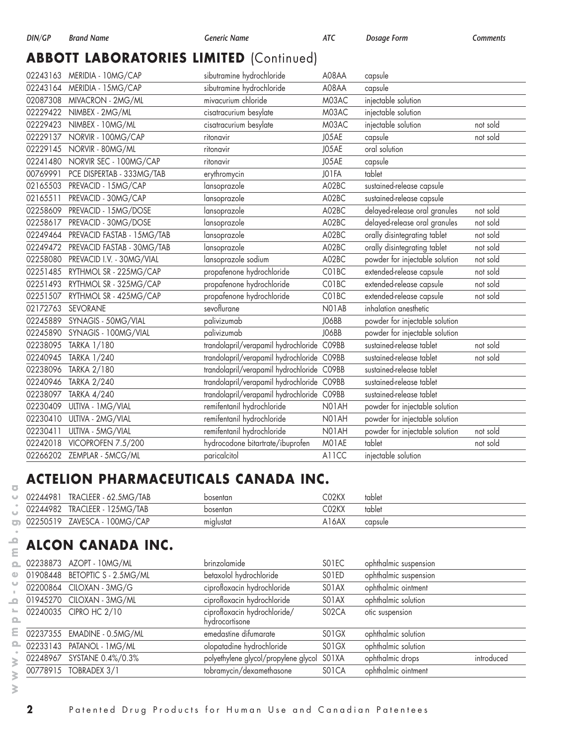# **ABBOTT LABORATORIES LIMITED (Continued)**

|          | 02243163 MERIDIA - 10MG/CAP         | sibutramine hydrochloride                  | A08AA | capsule                        |          |
|----------|-------------------------------------|--------------------------------------------|-------|--------------------------------|----------|
|          | 02243164 MERIDIA - 15MG/CAP         | sibutramine hydrochloride                  | A08AA | capsule                        |          |
| 02087308 | MIVACRON - 2MG/ML                   | mivacurium chloride                        | M03AC | injectable solution            |          |
| 02229422 | NIMBEX - 2MG/ML                     | cisatracurium besylate                     | M03AC | injectable solution            |          |
| 02229423 | NIMBEX - 10MG/ML                    | cisatracurium besylate                     | M03AC | injectable solution            | not sold |
| 02229137 | NORVIR - 100MG/CAP                  | ritonavir                                  | J05AE | capsule                        | not sold |
| 02229145 | NORVIR - 80MG/ML                    | ritonavir                                  | J05AE | oral solution                  |          |
| 02241480 | NORVIR SEC - 100MG/CAP              | ritonavir                                  | J05AE | capsule                        |          |
| 00769991 | PCE DISPERTAB - 333MG/TAB           | erythromycin                               | JO1FA | tablet                         |          |
| 02165503 | PREVACID - 15MG/CAP                 | lansoprazole                               | A02BC | sustained-release capsule      |          |
| 02165511 | PREVACID - 30MG/CAP                 | lansoprazole                               | A02BC | sustained-release capsule      |          |
|          | 02258609 PREVACID - 15MG/DOSE       | lansoprazole                               | A02BC | delayed-release oral granules  | not sold |
| 02258617 | PREVACID - 30MG/DOSE                | lansoprazole                               | A02BC | delayed-release oral granules  | not sold |
| 02249464 | PREVACID FASTAB - 15MG/TAB          | lansoprazole                               | A02BC | orally disintegrating tablet   | not sold |
|          | 02249472 PREVACID FASTAB - 30MG/TAB | lansoprazole                               | A02BC | orally disintegrating tablet   | not sold |
| 02258080 | PREVACID I.V. - 30MG/VIAL           | lansoprazole sodium                        | A02BC | powder for injectable solution | not sold |
| 02251485 | RYTHMOL SR - 225MG/CAP              | propafenone hydrochloride                  | C01BC | extended-release capsule       | not sold |
| 02251493 | RYTHMOL SR - 325MG/CAP              | propafenone hydrochloride                  | C01BC | extended-release capsule       | not sold |
| 02251507 | RYTHMOL SR - 425MG/CAP              | propafenone hydrochloride                  | C01BC | extended-release capsule       | not sold |
| 02172763 | SEVORANE                            | sevoflurane                                | N01AB | inhalation anesthetic          |          |
| 02245889 | SYNAGIS - 50MG/VIAL                 | palivizumab                                | JO6BB | powder for injectable solution |          |
| 02245890 | SYNAGIS - 100MG/VIAL                | palivizumab                                | JO6BB | powder for injectable solution |          |
| 02238095 | TARKA 1/180                         | trandolapril/verapamil hydrochloride       | C09BB | sustained-release tablet       | not sold |
| 02240945 | <b>TARKA 1/240</b>                  | trandolapril/verapamil hydrochloride C09BB |       | sustained-release tablet       | not sold |
| 02238096 | <b>TARKA 2/180</b>                  | trandolapril/verapamil hydrochloride C09BB |       | sustained-release tablet       |          |
| 02240946 | <b>TARKA 2/240</b>                  | trandolapril/verapamil hydrochloride C09BB |       | sustained-release tablet       |          |
| 02238097 | <b>TARKA 4/240</b>                  | trandolapril/verapamil hydrochloride C09BB |       | sustained-release tablet       |          |
| 02230409 | ULTIVA - 1 MG/VIAL                  | remifentanil hydrochloride                 | N01AH | powder for injectable solution |          |
| 02230410 | ULTIVA - 2MG/VIAL                   | remifentanil hydrochloride                 | N01AH | powder for injectable solution |          |
| 02230411 | ULTIVA - 5MG/VIAL                   | remifentanil hydrochloride                 | N01AH | powder for injectable solution | not sold |
|          | 02242018 VICOPROFEN 7.5/200         | hydrocodone bitartrate/ibuprofen           | MO1AE | tablet                         | not sold |
|          | 02266202 ZEMPLAR - 5MCG/ML          | paricalcitol                               | A11CC | injectable solution            |          |

# **ACTELION PHARMACEUTICALS CANADA INC.**

| 02244981 |           | TRACLEER - 62.5MG/TAB | bosentan  | CO2KX | tablet  |
|----------|-----------|-----------------------|-----------|-------|---------|
| 02244982 |           | TRACLEER - 125MG/TAB  | bosentan  | CO2KX | tablet  |
| 02250519 | ZAVESCA - | 100MG/CAP             | mialustat | A16AX | capsule |

# **ALCON CANADA INC.**

|  | 02238873 AZOPT - 10MG/ML       | brinzolamide                                   | SO <sub>1</sub> EC             | ophthalmic suspension |            |
|--|--------------------------------|------------------------------------------------|--------------------------------|-----------------------|------------|
|  | 01908448 BETOPTIC S - 2.5MG/ML | betaxolol hydrochloride                        | SO1ED                          | ophthalmic suspension |            |
|  | 02200864 CILOXAN - 3MG/G       | ciprofloxacin hydrochloride                    | SO <sub>1</sub> AX             | ophthalmic ointment   |            |
|  | 01945270 CILOXAN - 3MG/ML      | ciprofloxacin hydrochloride                    | SO <sub>1</sub> AX             | ophthalmic solution   |            |
|  | 02240035 CIPRO HC 2/10         | ciprofloxacin hydrochloride/<br>hydrocortisone | S02CA                          | ofic suspension       |            |
|  | 02237355 EMADINE - 0.5MG/ML    | emedastine difumarate                          | SO <sub>1</sub> G <sub>X</sub> | ophthalmic solution   |            |
|  |                                | olopatadine hydrochloride                      | SO <sub>1</sub> GX             | ophthalmic solution   |            |
|  | 02248967 SYSTANE 0.4%/0.3%     | polyethylene glycol/propylene glycol S01XA     |                                | ophthalmic drops      | introduced |
|  | 00778915 TOBRADEX 3/1          | tobramycin/dexamethasone                       | SO <sub>1</sub> CA             | ophthalmic ointment   |            |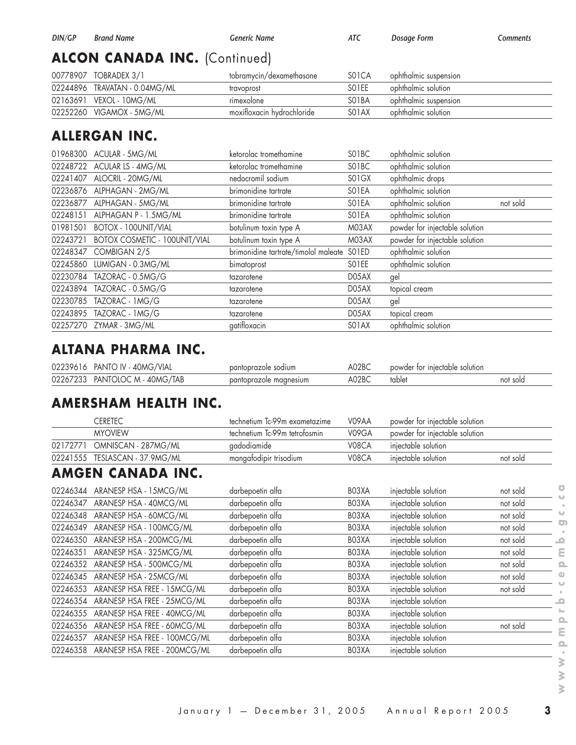# **ALCON CANADA INC.** (Continued)

| 00778907 TOBRADEX 3/1         | tobramycin/dexamethasone   | SO <sub>1</sub> CA | ophthalmic suspension |
|-------------------------------|----------------------------|--------------------|-----------------------|
| 02244896 TRAVATAN - 0.04MG/ML | travoprost                 | SO <sub>1</sub> EE | ophthalmic solution   |
| 02163691 VEXOL - 10MG/ML      | rimexolone                 | SO <sub>1</sub> BA | ophthalmic suspension |
| 02252260 VIGAMOX - 5MG/ML     | moxifloxacin hydrochloride | SO <sub>1</sub> AX | ophthalmic solution   |

# **ALLERGAN INC.**

|          | 01968300 ACULAR - 5MG/ML             | ketorolac tromethamine               | SO1BC                          | ophthalmic solution            |          |
|----------|--------------------------------------|--------------------------------------|--------------------------------|--------------------------------|----------|
| 02248722 | ACULAR LS - 4MG/ML                   | ketorolac tromethamine               | SO1BC                          | ophthalmic solution            |          |
| 02241407 | ALOCRIL - 20MG/ML                    | nedocromil sodium                    | SO <sub>1</sub> G <sub>X</sub> | ophthalmic drops               |          |
| 02236876 | ALPHAGAN - 2MG/ML                    | brimonidine tartrate                 | SO1EA                          | ophthalmic solution            |          |
| 02236877 | ALPHAGAN - 5MG/ML                    | brimonidine tartrate                 | SO1EA                          | ophthalmic solution            | not sold |
| 02248151 | ALPHAGAN P - 1.5MG/ML                | brimonidine tartrate                 | SO1EA                          | ophthalmic solution            |          |
| 01981501 | <b>BOTOX - 100UNIT/VIAL</b>          | botulinum toxin type A               | M03AX                          | powder for injectable solution |          |
| 02243721 | <b>BOTOX COSMETIC - 100UNIT/VIAL</b> | botulinum toxin type A               | M03AX                          | powder for injectable solution |          |
| 02248347 | COMBIGAN 2/5                         | brimonidine tartrate/timolol maleate | SO1ED                          | ophthalmic solution            |          |
| 02245860 | LUMIGAN - 0.3MG/ML                   | bimatoprost                          | SO <sub>1</sub> EE             | ophthalmic solution            |          |
| 02230784 | TAZORAC - 0.5MG/G                    | tazarotene                           | DO5AX                          | gel                            |          |
| 02243894 | TAZORAC - 0.5MG/G                    | tazarotene                           | D05AX                          | topical cream                  |          |
| 02230785 | TAZORAC - 1MG/G                      | tazarotene                           | D05AX                          | gel                            |          |
| 02243895 | TAZORAC - 1MG/G                      | tazarotene                           | D05AX                          | topical cream                  |          |
| 02257270 | ZYMAR - 3MG/ML                       | gatifloxacin                         | SO <sub>1</sub> AX             | ophthalmic solution            |          |
|          |                                      |                                      |                                |                                |          |

## **ALTANA PHARMA INC.**

| 02239616 PANTO IV - 40MG/VIAL  | pantoprazole sodium    | A02BC | powder for injectable solution |          |
|--------------------------------|------------------------|-------|--------------------------------|----------|
| 02267233 PANTOLOC M - 40MG/TAB | pantoprazole magnesium | A02BC | tablet                         | not sold |

## **AMERSHAM HEALTH INC.**

|          | <b>CERETEC</b>               | technetium Tc-99m exametazime | V09AA | powder for injectable solution |          |                          |
|----------|------------------------------|-------------------------------|-------|--------------------------------|----------|--------------------------|
|          | <b>MYOVIEW</b>               | technetium Tc-99m tetrofosmin | V09GA | powder for injectable solution |          |                          |
| 02172771 | OMNISCAN - 287MG/ML          | gadodiamide                   | V08CA | injectable solution            |          |                          |
| 02241555 | TESLASCAN - 37.9MG/ML        | mangafodipir trisodium        | V08CA | injectable solution            | not sold |                          |
|          | AMGEN CANADA INC.            |                               |       |                                |          |                          |
| 02246344 | ARANESP HSA - 15MCG/ML       | darbepoetin alfa              | BO3XA | injectable solution            | not sold | ਠ                        |
| 02246347 | ARANESP HSA - 40MCG/ML       | darbepoetin alfa              | BO3XA | injectable solution            | not sold |                          |
| 02246348 | ARANESP HSA - 60MCG/ML       | darbepoetin alfa              | BO3XA | injectable solution            | not sold |                          |
| 02246349 | ARANESP HSA - 100MCG/ML      | darbepoetin alfa              | BO3XA | injectable solution            | not sold |                          |
| 02246350 | ARANESP HSA - 200MCG/ML      | darbepoetin alfa              | BO3XA | injectable solution            | not sold | $\overline{\phantom{a}}$ |
| 02246351 | ARANESP HSA - 325MCG/ML      | darbepoetin alfa              | BO3XA | injectable solution            | not sold | ٤                        |
| 02246352 | ARANESP HSA - 500MCG/ML      | darbepoetin alfa              | BO3XA | injectable solution            | not sold | Ω                        |
| 02246345 | ARANESP HSA - 25MCG/ML       | darbepoetin alfa              | BO3XA | injectable solution            | not sold |                          |
| 02246353 | ARANESP HSA FREE - 15MCG/ML  | darbepoetin alfa              | BO3XA | injectable solution            | not sold |                          |
| 02246354 | ARANESP HSA FREE - 25MCG/ML  | darbepoetin alfa              | BO3XA | injectable solution            |          |                          |
| 02246355 | ARANESP HSA FREE - 40MCG/ML  | darbepoetin alfa              | BO3XA | injectable solution            |          |                          |
| 02246356 | ARANESP HSA FREE - 60MCG/ML  | darbepoetin alfa              | BO3XA | injectable solution            | not sold |                          |
| 02246357 | ARANESP HSA FREE - 100MCG/ML | darbepoetin alfa              | BO3XA | injectable solution            |          |                          |
| 02246358 | ARANESP HSA FREE - 200MCG/ML | darbepoetin alfa              | BO3XA | injectable solution            |          |                          |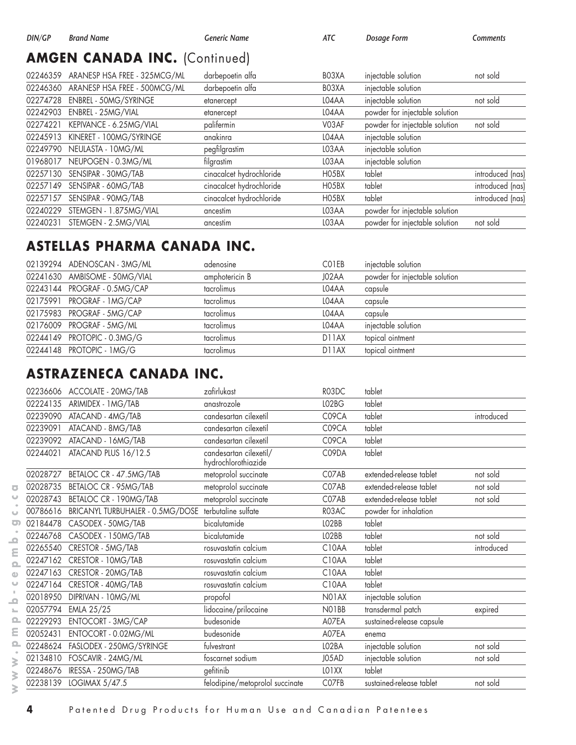#### **AMGEN CANADA INC.** (Continued)

| 02246359 | ARANESP HSA FREE - 325MCG/ML | darbepoetin alfa         | BO3XA | injectable solution            | not sold         |
|----------|------------------------------|--------------------------|-------|--------------------------------|------------------|
| 02246360 | ARANESP HSA FREE - 500MCG/ML | darbepoetin alfa         | BO3XA | injectable solution            |                  |
| 02274728 | <b>ENBREL - 50MG/SYRINGE</b> | etanercept               | LO4AA | injectable solution            | not sold         |
| 02242903 | ENBREL - 25MG/VIAL           | etanercept               | LO4AA | powder for injectable solution |                  |
| 02274221 | KEPIVANCE - 6.25MG/VIAL      | palifermin               | V03AF | powder for injectable solution | not sold         |
| 02245913 | KINERET - 100MG/SYRINGE      | anakinra                 | LO4AA | injectable solution            |                  |
| 02249790 | NEULASTA - 10MG/ML           | pegfilgrastim            | LO3AA | injectable solution            |                  |
| 01968017 | NEUPOGEN - 0.3MG/ML          | filgrastim               | LO3AA | injectable solution            |                  |
| 02257130 | SENSIPAR - 30MG/TAB          | cinacalcet hydrochloride | HO5BX | tablet                         | introduced (nas) |
| 02257149 | SENSIPAR - 60MG/TAB          | cinacalcet hydrochloride | HO5BX | tablet                         | introduced (nas) |
| 02257157 | SENSIPAR - 90MG/TAB          | cinacalcet hydrochloride | HO5BX | tablet                         | introduced (nas) |
| 02240229 | STEMGEN - 1.875MG/VIAL       | ancestim                 | LO3AA | powder for injectable solution |                  |
| 02240231 | STEMGEN - 2.5MG/VIAL         | ancestim                 | LO3AA | powder for injectable solution | not sold         |

#### **ASTELLAS PHARMA CANADA INC.**

| 02139294 ADENOSCAN - 3MG/ML   | adenosine      | CO1EB              | injectable solution            |
|-------------------------------|----------------|--------------------|--------------------------------|
| 02241630 AMBISOME - 50MG/VIAL | amphotericin B | J02AA              | powder for injectable solution |
| 02243144 PROGRAF - 0.5MG/CAP  | tacrolimus     | LO4AA              | capsule                        |
| 02175991 PROGRAF - 1MG/CAP    | tacrolimus     | L04AA              | capsule                        |
| 02175983 PROGRAF - 5MG/CAP    | tacrolimus     | LO4AA              | capsule                        |
| 02176009 PROGRAF - 5MG/ML     | tacrolimus     | LO4AA              | injectable solution            |
| 02244149 PROTOPIC - 0.3MG/G   | tacrolimus     | D <sub>1</sub> 1AX | topical ointment               |
| 02244148 PROTOPIC - 1MG/G     | tacrolimus     | D <sub>1</sub> 1AX | topical ointment               |

## **ASTRAZENECA CANADA INC.**

|                                   |          | 02236606 ACCOLATE - 20MG/TAB     | zafirlukast                                   | R03DC                          | tablet                    |            |
|-----------------------------------|----------|----------------------------------|-----------------------------------------------|--------------------------------|---------------------------|------------|
|                                   | 02224135 | ARIMIDEX - 1MG/TAB               | anastrozole                                   | LO <sub>2</sub> B <sub>G</sub> | tablet                    |            |
|                                   | 02239090 | ATACAND - 4MG/TAB                | candesartan cilexetil                         | C09CA                          | tablet                    | introduced |
|                                   | 02239091 | ATACAND - 8MG/TAB                | candesartan cilexetil                         | C09CA                          | tablet                    |            |
|                                   | 02239092 | ATACAND - 16MG/TAB               | candesartan cilexetil                         | C09CA                          | tablet                    |            |
|                                   | 02244021 | ATACAND PLUS 16/12.5             | candesartan cilexetil/<br>hydrochlorothiazide | C09DA                          | tablet                    |            |
|                                   | 02028727 | BETALOC CR - 47.5MG/TAB          | metoprolol succinate                          | C07AB                          | extended-release tablet   | not sold   |
| ō                                 | 02028735 | BETALOC CR - 95MG/TAB            | metoprolol succinate                          | C07AB                          | extended-release tablet   | not sold   |
| $\circ$                           | 02028743 | BETALOC CR - 190MG/TAB           | metoprolol succinate                          | C07AB                          | extended-release tablet   | not sold   |
| $\cup$                            | 00786616 | BRICANYL TURBUHALER - 0.5MG/DOSE | terbutaline sulfate                           | R03AC                          | powder for inhalation     |            |
| $\bullet$                         | 02184478 | CASODEX - 50MG/TAB               | bicalutamide                                  | LO2BB                          | tablet                    |            |
| $\Omega$                          | 02246768 | CASODEX - 150MG/TAB              | bicalutamide                                  | LO2BB                          | tablet                    | not sold   |
| Ε                                 | 02265540 | CRESTOR - 5MG/TAB                | rosuvastatin calcium                          | C10AA                          | tablet                    | introduced |
| $\Omega$                          | 02247162 | CRESTOR - 10MG/TAB               | rosuvastatin calcium                          | C10AA                          | tablet                    |            |
| $\omega$                          | 02247163 | CRESTOR - 20MG/TAB               | rosuvastatin calcium                          | C10AA                          | tablet                    |            |
| $\cup$                            | 02247164 | CRESTOR - 40MG/TAB               | rosuvastatin calcium                          | C10AA                          | tablet                    |            |
| $\pm$<br>$\overline{\phantom{a}}$ | 02018950 | DIPRIVAN - 10MG/ML               | propofol                                      | N01AX                          | injectable solution       |            |
| $\mathbb{L}_{-}$                  | 02057794 | EMLA 25/25                       | lidocaine/prilocaine                          | NO1BB                          | transdermal patch         | expired    |
| ௨                                 | 02229293 | <b>ENTOCORT - 3MG/CAP</b>        | budesonide                                    | A07EA                          | sustained-release capsule |            |
| ε                                 | 02052431 | ENTOCORT - 0.02MG/ML             | budesonide                                    | A07EA                          | enema                     |            |
| ௨                                 | 02248624 | FASLODEX - 250MG/SYRINGE         | fulvestrant                                   | LO2BA                          | injectable solution       | not sold   |
| $\geq$                            |          | 02134810 FOSCAVIR - 24MG/ML      | foscarnet sodium                              | J05AD                          | injectable solution       | not sold   |
| $\geq$                            | 02248676 | IRESSA - 250MG/TAB               | gefitinib                                     | LO <sub>1</sub> XX             | tablet                    |            |
|                                   |          | 02238139 LOGIMAX 5/47.5          | felodipine/metoprolol succinate               | C07FB                          | sustained-release tablet  | not sold   |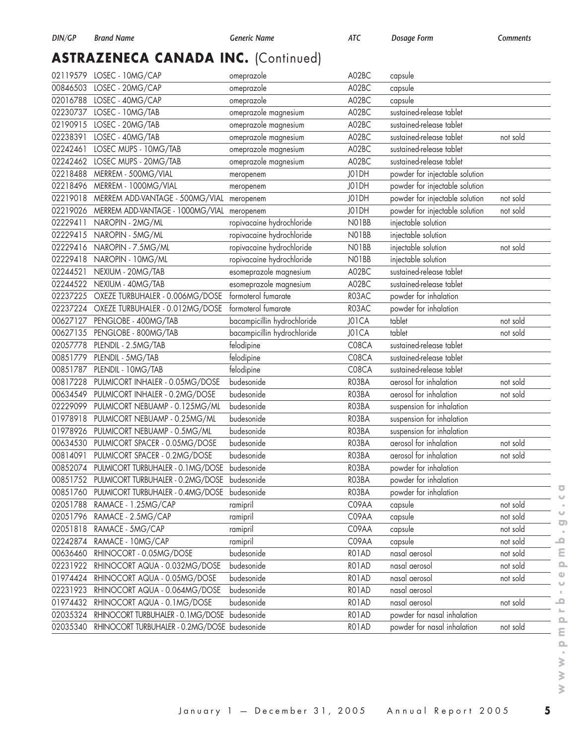# **ASTRAZENECA CANADA INC.** (Continued)

| A02BC<br>00846503<br>LOSEC - 20MG/CAP<br>omeprazole<br>capsule<br>02016788<br>LOSEC - 40MG/CAP<br>A02BC<br>capsule<br>omeprazole<br>02230737<br>LOSEC - 10MG/TAB<br>omeprazole magnesium<br>A02BC<br>sustained-release tablet<br>02190915<br>A02BC<br>sustained-release tablet<br>LOSEC - 20MG/TAB<br>omeprazole magnesium<br>02238391<br>LOSEC - 40MG/TAB<br>omeprazole magnesium<br>A02BC<br>sustained-release tablet<br>02242461<br>LOSEC MUPS - 10MG/TAB<br>omeprazole magnesium<br>A02BC<br>sustained-release tablet<br>sustained-release tablet<br>02242462<br>LOSEC MUPS - 20MG/TAB<br>omeprazole magnesium<br>A02BC<br>powder for injectable solution<br>02218488<br>MERREM - 500MG/VIAL<br>J01DH<br>meropenem<br>powder for injectable solution<br>02218496 MERREM - 1000MG/VIAL | not sold<br>not sold |
|-------------------------------------------------------------------------------------------------------------------------------------------------------------------------------------------------------------------------------------------------------------------------------------------------------------------------------------------------------------------------------------------------------------------------------------------------------------------------------------------------------------------------------------------------------------------------------------------------------------------------------------------------------------------------------------------------------------------------------------------------------------------------------------------|----------------------|
|                                                                                                                                                                                                                                                                                                                                                                                                                                                                                                                                                                                                                                                                                                                                                                                           |                      |
|                                                                                                                                                                                                                                                                                                                                                                                                                                                                                                                                                                                                                                                                                                                                                                                           |                      |
|                                                                                                                                                                                                                                                                                                                                                                                                                                                                                                                                                                                                                                                                                                                                                                                           |                      |
|                                                                                                                                                                                                                                                                                                                                                                                                                                                                                                                                                                                                                                                                                                                                                                                           |                      |
|                                                                                                                                                                                                                                                                                                                                                                                                                                                                                                                                                                                                                                                                                                                                                                                           |                      |
|                                                                                                                                                                                                                                                                                                                                                                                                                                                                                                                                                                                                                                                                                                                                                                                           |                      |
|                                                                                                                                                                                                                                                                                                                                                                                                                                                                                                                                                                                                                                                                                                                                                                                           |                      |
|                                                                                                                                                                                                                                                                                                                                                                                                                                                                                                                                                                                                                                                                                                                                                                                           |                      |
| J01DH<br>meropenem                                                                                                                                                                                                                                                                                                                                                                                                                                                                                                                                                                                                                                                                                                                                                                        |                      |
| 02219018<br>MERREM ADD-VANTAGE - 500MG/VIAL<br>J01DH<br>powder for injectable solution<br>meropenem                                                                                                                                                                                                                                                                                                                                                                                                                                                                                                                                                                                                                                                                                       |                      |
| 02219026<br>J01DH<br>powder for injectable solution<br>MERREM ADD-VANTAGE - 1000MG/VIAL<br>meropenem                                                                                                                                                                                                                                                                                                                                                                                                                                                                                                                                                                                                                                                                                      | not sold             |
| 02229411<br>ropivacaine hydrochloride<br>NO1BB<br>injectable solution<br>NAROPIN - 2MG/ML                                                                                                                                                                                                                                                                                                                                                                                                                                                                                                                                                                                                                                                                                                 |                      |
| injectable solution<br>02229415<br>NAROPIN - 5MG/ML<br>ropivacaine hydrochloride<br>NO1BB                                                                                                                                                                                                                                                                                                                                                                                                                                                                                                                                                                                                                                                                                                 |                      |
| ropivacaine hydrochloride<br>injectable solution<br>02229416<br>NAROPIN - 7.5MG/ML<br>NO1BB                                                                                                                                                                                                                                                                                                                                                                                                                                                                                                                                                                                                                                                                                               | not sold             |
| ropivacaine hydrochloride<br>02229418 NAROPIN - 10MG/ML<br>NO1BB<br>injectable solution                                                                                                                                                                                                                                                                                                                                                                                                                                                                                                                                                                                                                                                                                                   |                      |
| sustained-release tablet<br>02244521<br>esomeprazole magnesium<br>A02BC<br>NEXIUM - 20MG/TAB                                                                                                                                                                                                                                                                                                                                                                                                                                                                                                                                                                                                                                                                                              |                      |
| 02244522<br>A02BC<br>sustained-release tablet<br>NEXIUM - 40MG/TAB<br>esomeprazole magnesium                                                                                                                                                                                                                                                                                                                                                                                                                                                                                                                                                                                                                                                                                              |                      |
| formoterol fumarate<br>02237225<br>OXEZE TURBUHALER - 0.006MG/DOSE<br>R03AC<br>powder for inhalation                                                                                                                                                                                                                                                                                                                                                                                                                                                                                                                                                                                                                                                                                      |                      |
| 02237224<br>formoterol fumarate<br>OXEZE TURBUHALER - 0.012MG/DOSE<br>R03AC<br>powder for inhalation                                                                                                                                                                                                                                                                                                                                                                                                                                                                                                                                                                                                                                                                                      |                      |
| 00627127<br>bacampicillin hydrochloride<br>tablet<br>PENGLOBE - 400MG/TAB<br>J01CA                                                                                                                                                                                                                                                                                                                                                                                                                                                                                                                                                                                                                                                                                                        | not sold             |
| tablet<br>00627135<br>PENGLOBE - 800MG/TAB<br>bacampicillin hydrochloride<br>J01CA                                                                                                                                                                                                                                                                                                                                                                                                                                                                                                                                                                                                                                                                                                        | not sold             |
| C08CA<br>sustained-release tablet<br>02057778<br>PLENDIL - 2.5MG/TAB<br>felodipine                                                                                                                                                                                                                                                                                                                                                                                                                                                                                                                                                                                                                                                                                                        |                      |
| 00851779<br>felodipine<br>C08CA<br>sustained-release tablet<br>PLENDIL - 5MG/TAB                                                                                                                                                                                                                                                                                                                                                                                                                                                                                                                                                                                                                                                                                                          |                      |
| felodipine<br>00851787<br>PLENDIL - 10MG/TAB<br>C08CA<br>sustained-release tablet                                                                                                                                                                                                                                                                                                                                                                                                                                                                                                                                                                                                                                                                                                         |                      |
| 00817228<br>budesonide<br>aerosol for inhalation<br>RO3BA                                                                                                                                                                                                                                                                                                                                                                                                                                                                                                                                                                                                                                                                                                                                 | not sold             |
| PULMICORT INHALER - 0.05MG/DOSE                                                                                                                                                                                                                                                                                                                                                                                                                                                                                                                                                                                                                                                                                                                                                           |                      |
| aerosol for inhalation<br>00634549<br>PULMICORT INHALER - 0.2MG/DOSE<br>budesonide<br>RO3BA                                                                                                                                                                                                                                                                                                                                                                                                                                                                                                                                                                                                                                                                                               | not sold             |
| 02229099<br>budesonide<br>RO3BA<br>PULMICORT NEBUAMP - 0.125MG/ML<br>suspension for inhalation                                                                                                                                                                                                                                                                                                                                                                                                                                                                                                                                                                                                                                                                                            |                      |
| budesonide<br>01978918<br>PULMICORT NEBUAMP - 0.25MG/ML<br>RO3BA<br>suspension for inhalation                                                                                                                                                                                                                                                                                                                                                                                                                                                                                                                                                                                                                                                                                             |                      |
| 01978926<br>PULMICORT NEBUAMP - 0.5MG/ML<br>budesonide<br>RO3BA<br>suspension for inhalation                                                                                                                                                                                                                                                                                                                                                                                                                                                                                                                                                                                                                                                                                              |                      |
| 00634530<br>PULMICORT SPACER - 0.05MG/DOSE<br>budesonide<br>RO3BA<br>aerosol for inhalation                                                                                                                                                                                                                                                                                                                                                                                                                                                                                                                                                                                                                                                                                               | not sold             |
| 00814091<br>PULMICORT SPACER - 0.2MG/DOSE<br>budesonide<br>aerosol for inhalation<br>RO3BA                                                                                                                                                                                                                                                                                                                                                                                                                                                                                                                                                                                                                                                                                                | not sold             |
| PULMICORT TURBUHALER - 0.1 MG/DOSE<br>RO3BA<br>00852074<br>budesonide<br>powder for inhalation                                                                                                                                                                                                                                                                                                                                                                                                                                                                                                                                                                                                                                                                                            |                      |
| 00851752 PULMICORT TURBUHALER - 0.2MG/DOSE budesonide<br>RO3BA<br>powder for inhalation                                                                                                                                                                                                                                                                                                                                                                                                                                                                                                                                                                                                                                                                                                   |                      |
| 00851760 PULMICORT TURBUHALER - 0.4MG/DOSE budesonide<br>RO3BA<br>powder for inhalation                                                                                                                                                                                                                                                                                                                                                                                                                                                                                                                                                                                                                                                                                                   |                      |
| C09AA<br>02051788<br>RAMACE - 1.25MG/CAP<br>ramipril<br>capsule                                                                                                                                                                                                                                                                                                                                                                                                                                                                                                                                                                                                                                                                                                                           | not sold             |
| C09AA<br>02051796<br>RAMACE - 2.5MG/CAP<br>capsule<br>ramipril                                                                                                                                                                                                                                                                                                                                                                                                                                                                                                                                                                                                                                                                                                                            | not sold             |
| 02051818<br>RAMACE - 5MG/CAP<br>C09AA<br>capsule<br>ramipril                                                                                                                                                                                                                                                                                                                                                                                                                                                                                                                                                                                                                                                                                                                              | not sold             |
| C09AA<br>02242874<br>RAMACE - 10MG/CAP<br>ramipril<br>capsule                                                                                                                                                                                                                                                                                                                                                                                                                                                                                                                                                                                                                                                                                                                             | not sold             |
| RHINOCORT - 0.05MG/DOSE<br>00636460<br>budesonide<br>RO1AD<br>nasal aerosol                                                                                                                                                                                                                                                                                                                                                                                                                                                                                                                                                                                                                                                                                                               | not sold             |
| budesonide<br>RO1AD<br>02231922<br>RHINOCORT AQUA - 0.032MG/DOSE<br>nasal aerosol                                                                                                                                                                                                                                                                                                                                                                                                                                                                                                                                                                                                                                                                                                         | not sold             |
| RO1AD<br>01974424<br>budesonide<br>RHINOCORT AQUA - 0.05MG/DOSE<br>nasal aerosol                                                                                                                                                                                                                                                                                                                                                                                                                                                                                                                                                                                                                                                                                                          | not sold             |
| RO1AD<br>02231923<br>RHINOCORT AQUA - 0.064MG/DOSE<br>budesonide<br>nasal aerosol                                                                                                                                                                                                                                                                                                                                                                                                                                                                                                                                                                                                                                                                                                         |                      |
| 01974432<br>budesonide<br>RO1AD<br>RHINOCORT AQUA - 0.1MG/DOSE<br>nasal aerosol                                                                                                                                                                                                                                                                                                                                                                                                                                                                                                                                                                                                                                                                                                           | not sold             |
| 02035324<br>RO1AD<br>powder for nasal inhalation<br>RHINOCORT TURBUHALER - 0.1MG/DOSE<br>budesonide                                                                                                                                                                                                                                                                                                                                                                                                                                                                                                                                                                                                                                                                                       |                      |
| 02035340<br>RHINOCORT TURBUHALER - 0.2MG/DOSE budesonide<br>RO1AD<br>powder for nasal inhalation                                                                                                                                                                                                                                                                                                                                                                                                                                                                                                                                                                                                                                                                                          | not sold             |

 $\overline{\bullet}$  $\omega$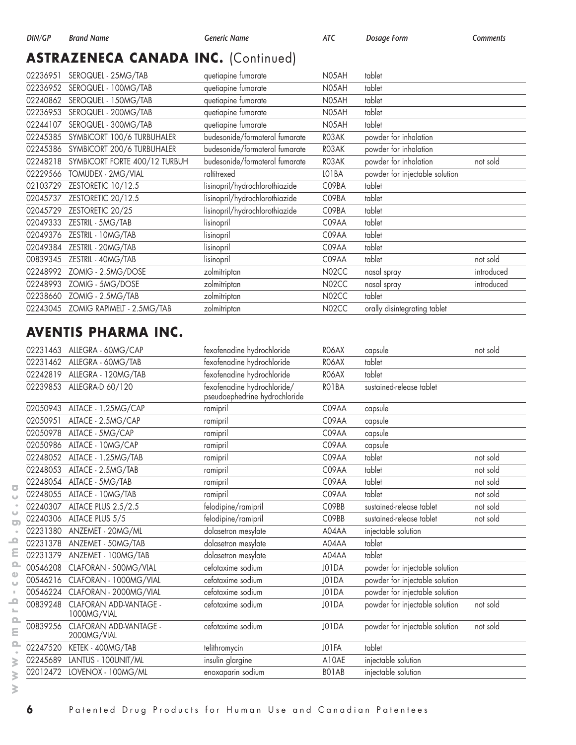# **ASTRAZENECA CANADA INC.** (Continued)

| 02236951 | SEROQUEL - 25MG/TAB           | quetiapine fumarate            | N05AH              | tablet                         |            |
|----------|-------------------------------|--------------------------------|--------------------|--------------------------------|------------|
| 02236952 | SEROQUEL - 100MG/TAB          | quetiapine fumarate            | N05AH              | tablet                         |            |
| 02240862 | SEROQUEL - 150MG/TAB          | quetiapine fumarate            | N05AH              | tablet                         |            |
| 02236953 | SEROQUEL - 200MG/TAB          | quetiapine fumarate            | N05AH              | tablet                         |            |
| 02244107 | SEROQUEL - 300MG/TAB          | quetiapine fumarate            | N05AH              | tablet                         |            |
| 02245385 | SYMBICORT 100/6 TURBUHALER    | budesonide/formoterol fumarate | RO3AK              | powder for inhalation          |            |
| 02245386 | SYMBICORT 200/6 TURBUHALER    | budesonide/formoterol fumarate | RO3AK              | powder for inhalation          |            |
| 02248218 | SYMBICORT FORTE 400/12 TURBUH | budesonide/formoterol fumarate | RO3AK              | powder for inhalation          | not sold   |
| 02229566 | TOMUDEX - 2MG/VIAL            | raltitrexed                    | LO1BA              | powder for injectable solution |            |
| 02103729 | ZESTORETIC 10/12.5            | lisinopril/hydrochlorothiazide | C09BA              | tablet                         |            |
| 02045737 | ZESTORETIC 20/12.5            | lisinopril/hydrochlorothiazide | C09BA              | tablet                         |            |
| 02045729 | ZESTORETIC 20/25              | lisinopril/hydrochlorothiazide | C09BA              | tablet                         |            |
| 02049333 | ZESTRIL - 5MG/TAB             | lisinopril                     | C09AA              | tablet                         |            |
| 02049376 | ZESTRIL - 10MG/TAB            | lisinopril                     | C09AA              | tablet                         |            |
| 02049384 | ZESTRIL - 20MG/TAB            | lisinopril                     | C09AA              | tablet                         |            |
| 00839345 | ZESTRIL - 40MG/TAB            | lisinopril                     | C09AA              | tablet                         | not sold   |
| 02248992 | ZOMIG - 2.5MG/DOSE            | zolmitriptan                   | N02CC              | nasal spray                    | introduced |
| 02248993 | ZOMIG - 5MG/DOSE              | zolmitriptan                   | N02CC              | nasal spray                    | introduced |
| 02238660 | ZOMIG - 2.5MG/TAB             | zolmitriptan                   | N <sub>02</sub> CC | tablet                         |            |
| 02243045 | ZOMIG RAPIMELT - 2.5MG/TAB    | zolmitriptan                   | N02CC              | orally disintegrating tablet   |            |
|          |                               |                                |                    |                                |            |

## **AVENTIS PHARMA INC.**

| 02231463 | ALLEGRA - 60MG/CAP                    | fexofenadine hydrochloride                                   | RO6AX | capsule                        | not sold |
|----------|---------------------------------------|--------------------------------------------------------------|-------|--------------------------------|----------|
| 02231462 | ALLEGRA - 60MG/TAB                    | fexofenadine hydrochloride                                   | RO6AX | tablet                         |          |
| 02242819 | ALLEGRA - 120MG/TAB                   | fexofenadine hydrochloride                                   | RO6AX | tablet                         |          |
| 02239853 | ALLEGRA-D 60/120                      | fexofenadine hydrochloride/<br>pseudoephedrine hydrochloride | RO1BA | sustained-release tablet       |          |
| 02050943 | ALTACE - 1.25MG/CAP                   | ramipril                                                     | C09AA | capsule                        |          |
| 02050951 | ALTACE - 2.5MG/CAP                    | ramipril                                                     | C09AA | capsule                        |          |
| 02050978 | ALTACE - 5MG/CAP                      | ramipril                                                     | C09AA | capsule                        |          |
| 02050986 | ALTACE - 10MG/CAP                     | ramipril                                                     | C09AA | capsule                        |          |
| 02248052 | ALTACE - 1.25MG/TAB                   | ramipril                                                     | C09AA | tablet                         | not sold |
| 02248053 | ALTACE - 2.5MG/TAB                    | ramipril                                                     | C09AA | tablet                         | not sold |
| 02248054 | ALTACE - 5MG/TAB                      | ramipril                                                     | C09AA | tablet                         | not sold |
| 02248055 | ALTACE - 10MG/TAB                     | ramipril                                                     | C09AA | tablet                         | not sold |
| 02240307 | ALTACE PLUS 2.5/2.5                   | felodipine/ramipril                                          | C09BB | sustained-release tablet       | not sold |
| 02240306 | ALTACE PLUS 5/5                       | felodipine/ramipril                                          | C09BB | sustained-release tablet       | not sold |
| 02231380 | ANZEMET - 20MG/ML                     | dolasetron mesylate                                          | A04AA | injectable solution            |          |
| 02231378 | ANZEMET - 50MG/TAB                    | dolasetron mesylate                                          | A04AA | tablet                         |          |
| 02231379 | ANZEMET - 100MG/TAB                   | dolasetron mesylate                                          | A04AA | tablet                         |          |
| 00546208 | CLAFORAN - 500MG/VIAL                 | cefotaxime sodium                                            | J01DA | powder for injectable solution |          |
| 00546216 | CLAFORAN - 1000MG/VIAL                | cefotaxime sodium                                            | J01DA | powder for injectable solution |          |
| 00546224 | CLAFORAN - 2000MG/VIAL                | cefotaxime sodium                                            | J01DA | powder for injectable solution |          |
| 00839248 | CLAFORAN ADD-VANTAGE -<br>1000MG/VIAL | cefotaxime sodium                                            | J01DA | powder for injectable solution | not sold |
| 00839256 | CLAFORAN ADD-VANTAGE -<br>2000MG/VIAL | cefotaxime sodium                                            | J01DA | powder for injectable solution | not sold |
| 02247520 | KETEK - 400MG/TAB                     | telithromycin                                                | JO1FA | tablet                         |          |
| 02245689 | LANTUS - 100UNIT/ML                   | insulin glargine                                             | A10AE | injectable solution            |          |
|          | 02012472 LOVENOX - 100MG/ML           | enoxaparin sodium                                            | BO1AB | injectable solution            |          |

 $\overline{\bullet}$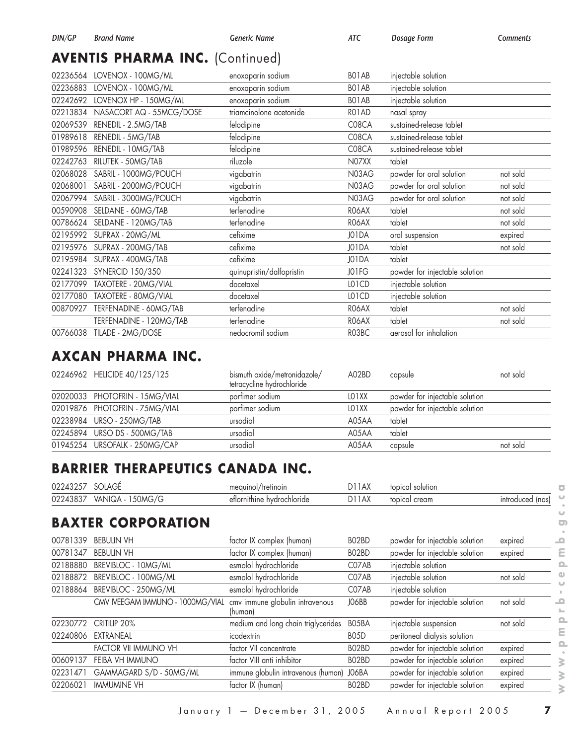# **AVENTIS PHARMA INC.** (Continued)

| 02236564 | LOVENOX - 100MG/ML       | enoxaparin sodium         | BO1AB | injectable solution            |          |
|----------|--------------------------|---------------------------|-------|--------------------------------|----------|
| 02236883 | LOVENOX - 100MG/ML       | enoxaparin sodium         | BO1AB | injectable solution            |          |
| 02242692 | LOVENOX HP - 150MG/ML    | enoxaparin sodium         | BO1AB | injectable solution            |          |
| 02213834 | NASACORT AQ - 55MCG/DOSE | triamcinolone acetonide   | RO1AD | nasal spray                    |          |
| 02069539 | RENEDIL - 2.5MG/TAB      | felodipine                | C08CA | sustained-release tablet       |          |
| 01989618 | RENEDIL - 5MG/TAB        | felodipine                | C08CA | sustained-release tablet       |          |
| 01989596 | RENEDIL - 10MG/TAB       | felodipine                | C08CA | sustained-release tablet       |          |
| 02242763 | RILUTEK - 50MG/TAB       | riluzole                  | N07XX | tablet                         |          |
| 02068028 | SABRIL - 1000MG/POUCH    | vigabatrin                | N03AG | powder for oral solution       | not sold |
| 02068001 | SABRIL - 2000MG/POUCH    | vigabatrin                | N03AG | powder for oral solution       | not sold |
| 02067994 | SABRIL - 3000MG/POUCH    | vigabatrin                | N03AG | powder for oral solution       | not sold |
| 00590908 | SELDANE - 60MG/TAB       | terfenadine               | RO6AX | tablet                         | not sold |
| 00786624 | SELDANE - 120MG/TAB      | terfenadine               | RO6AX | tablet                         | not sold |
| 02195992 | SUPRAX - 20MG/ML         | cefixime                  | J01DA | oral suspension                | expired  |
| 02195976 | SUPRAX - 200MG/TAB       | cefixime                  | J01DA | tablet                         | not sold |
| 02195984 | SUPRAX - 400MG/TAB       | cefixime                  | J01DA | tablet                         |          |
| 02241323 | <b>SYNERCID 150/350</b>  | quinupristin/dalfopristin | J01FG | powder for injectable solution |          |
| 02177099 | TAXOTERE - 20MG/VIAL     | docetaxel                 | LO1CD | injectable solution            |          |
| 02177080 | TAXOTERE - 80MG/VIAL     | docetaxel                 | LO1CD | injectable solution            |          |
| 00870927 | TERFENADINE - 60MG/TAB   | terfenadine               | RO6AX | tablet                         | not sold |
|          | TERFENADINE - 120MG/TAB  | terfenadine               | RO6AX | tablet                         | not sold |
| 00766038 | TILADE - 2MG/DOSE        | nedocromil sodium         | RO3BC | aerosol for inhalation         |          |
|          |                          |                           |       |                                |          |

## **AXCAN PHARMA INC.**

| 02246962 HELICIDE 40/125/125   | bismuth oxide/metronidazole/<br>tetracycline hydrochloride | A02BD              | capsule                        | not sold |
|--------------------------------|------------------------------------------------------------|--------------------|--------------------------------|----------|
| 02020033 PHOTOFRIN - 15MG/VIAL | porfimer sodium                                            | LO <sub>1</sub> XX | powder for injectable solution |          |
| 02019876 PHOTOFRIN - 75MG/VIAL | porfimer sodium                                            | LO1XX              | powder for injectable solution |          |
| 02238984 URSO - 250MG/TAB      | ursodiol                                                   | A05AA              | tablet                         |          |
| 02245894 URSO DS - 500MG/TAB   | ursodiol                                                   | A05AA              | tablet                         |          |
| 01945254 URSOFALK - 250MG/CAP  | ursodiol                                                   | A05AA              | capsule                        | not sold |

## **BARRIER THERAPEUTICS CANADA INC.**

| 0224325/ | SOLAGE                           | mequinol/tretinoin                         | DIJAX              | topical solution               |                  |
|----------|----------------------------------|--------------------------------------------|--------------------|--------------------------------|------------------|
| 02243837 | VANIQA - 150MG/G                 | eflornithine hydrochloride                 | D11AX              | topical cream                  | introduced (nas) |
|          | <b>BAXTER CORPORATION</b>        |                                            |                    |                                |                  |
| 00781339 | <b>BEBULIN VH</b>                | factor IX complex (human)                  | BO2BD              | powder for injectable solution | expired          |
| 00781347 | <b>BEBULIN VH</b>                | factor IX complex (human)                  | BO2BD              | powder for injectable solution | expired          |
| 02188880 | BREVIBLOC - 10MG/ML              | esmolol hydrochloride                      | C07AB              | injectable solution            |                  |
| 02188872 | BREVIBLOC - 100MG/ML             | esmolol hydrochloride                      | C07AB              | injectable solution            | not sold         |
| 02188864 | BREVIBLOC - 250MG/ML             | esmolol hydrochloride                      | C07AB              | injectable solution            |                  |
|          | CMV IVEEGAM IMMUNO - 1000MG/VIAL | cmv immune globulin intravenous<br>(human) | JO6BB              | powder for injectable solution | not sold         |
| 02230772 | CRITILIP 20%                     | medium and long chain triglycerides        | BO5BA              | injectable suspension          | not sold         |
| 02240806 | EXTRANEAL                        | icodextrin                                 | B <sub>05</sub> D  | peritoneal dialysis solution   |                  |
|          | FACTOR VII IMMUNO VH             | factor VII concentrate                     | BO <sub>2</sub> BD | powder for injectable solution | expired          |
| 00609137 | FEIBA VH IMMUNO                  | factor VIII anti inhibitor                 | BO <sub>2</sub> BD | powder for injectable solution | expired          |
| 02231471 | GAMMAGARD S/D - 50MG/ML          | immune globulin intravenous (human)        | J06BA              | powder for injectable solution | expired          |
| 02206021 | IMMUMINE VH                      | factor IX (human)                          | BO <sub>2</sub> BD | powder for injectable solution | expired          |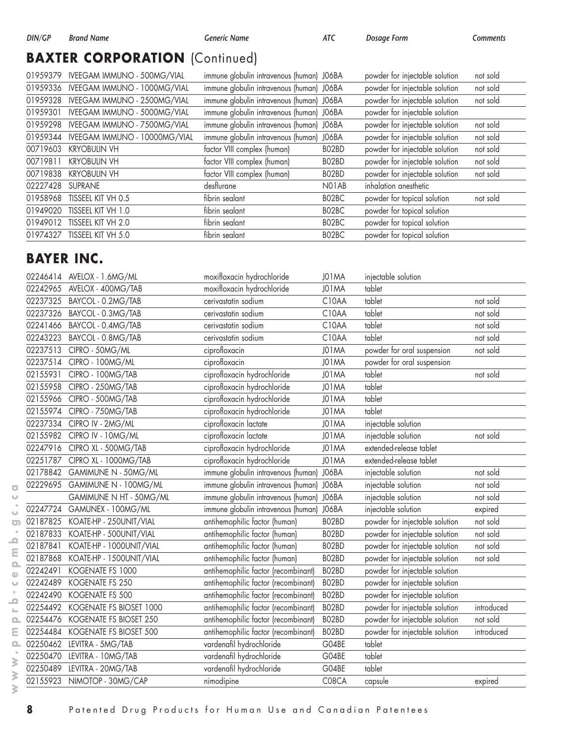## **BAXTER CORPORATION** (Continued)

| 01959379 | IVEEGAM IMMUNO - 500MG/VIAL   | immune globulin intravenous (human) J06BA |                    | powder for injectable solution | not sold |
|----------|-------------------------------|-------------------------------------------|--------------------|--------------------------------|----------|
| 01959336 | IVEEGAM IMMUNO - 1000MG/VIAL  | immune globulin intravenous (human) J06BA |                    | powder for injectable solution | not sold |
| 01959328 | IVEEGAM IMMUNO - 2500MG/VIAL  | immune globulin intravenous (human) J06BA |                    | powder for injectable solution | not sold |
| 01959301 | IVEEGAM IMMUNO - 5000MG/VIAL  | immune globulin intravenous (human) J06BA |                    | powder for injectable solution |          |
| 01959298 | IVEEGAM IMMUNO - 7500MG/VIAL  | immune globulin intravenous (human) J06BA |                    | powder for injectable solution | not sold |
| 01959344 | IVEEGAM IMMUNO - 10000MG/VIAL | immune globulin intravenous (human) J06BA |                    | powder for injectable solution | not sold |
| 00719603 | <b>KRYOBULIN VH</b>           | factor VIII complex (human)               | BO <sub>2</sub> BD | powder for injectable solution | not sold |
| 00719811 | <b>KRYOBULIN VH</b>           | factor VIII complex (human)               | BO <sub>2</sub> BD | powder for injectable solution | not sold |
| 00719838 | <b>KRYOBULIN VH</b>           | factor VIII complex (human)               | BO2BD              | powder for injectable solution | not sold |
| 02227428 | <b>SUPRANE</b>                | desflurane                                | NO1AB              | inhalation anesthetic          |          |
| 01958968 | TISSEEL KIT VH 0.5            | fibrin sealant                            | BO2BC              | powder for topical solution    | not sold |
| 01949020 | TISSEEL KIT VH 1.0            | fibrin sealant                            | BO <sub>2</sub> BC | powder for topical solution    |          |
| 01949012 | TISSEEL KIT VH 2.0            | fibrin sealant                            | BO2BC              | powder for topical solution    |          |
| 01974327 | TISSEEL KIT VH 5.0            | fibrin sealant                            | BO <sub>2</sub> BC | powder for topical solution    |          |

## **BAYER INC.**

| AVELOX - 400MG/TAB<br>moxifloxacin hydrochloride<br>J01MA<br>tablet<br>02242965<br>tablet<br>02237325<br>BAYCOL - 0.2MG/TAB<br>C10AA<br>cerivastatin sodium<br>tablet<br>02237326<br>BAYCOL - 0.3MG/TAB<br>cerivastatin sodium<br>C <sub>10</sub> AA<br>C10AA<br>tablet<br>02241466<br>BAYCOL - 0.4MG/TAB<br>cerivastatin sodium<br>tablet<br>C10AA<br>02243223<br>BAYCOL - 0.8MG/TAB<br>cerivastatin sodium<br>02237513<br>CIPRO - 50MG/ML<br>J01MA<br>ciprofloxacin<br>02237514<br>ciprofloxacin<br>J01MA<br>CIPRO - 100MG/ML<br>ciprofloxacin hydrochloride<br>tablet<br>02155931<br>CIPRO - 100MG/TAB<br>J01MA<br>ciprofloxacin hydrochloride<br>tablet<br>02155958<br>CIPRO - 250MG/TAB<br>J01MA<br>ciprofloxacin hydrochloride<br>tablet<br>02155966<br>CIPRO - 500MG/TAB<br>J01MA<br>tablet<br>02155974<br>CIPRO - 750MG/TAB<br>ciprofloxacin hydrochloride<br>J01MA<br>02237334<br>CIPRO IV - 2MG/ML<br>ciprofloxacin lactate<br>J01MA<br>ciprofloxacin lactate<br>J01MA<br>02155982<br>CIPRO IV - 10MG/ML<br>02247916<br>ciprofloxacin hydrochloride<br>J01MA<br>CIPRO XL - 500MG/TAB<br>ciprofloxacin hydrochloride<br>02251787<br>CIPRO XL - 1000MG/TAB<br>J01MA<br>immune globulin intravenous (human)<br>J06BA<br>02178842<br>GAMIMUNE N - 50MG/ML<br>02229695<br>GAMIMUNE N - 100MG/ML<br>immune globulin intravenous (human)<br>J06BA<br>GAMIMUNE N HT - 50MG/ML<br>immune globulin intravenous (human)<br>J06BA<br>immune globulin intravenous (human)<br>J06BA<br>GAMUNEX - 100MG/ML<br>02247724<br>BO2BD<br>02187825<br>KOATE-HP - 250UNIT/VIAL<br>antihemophilic factor (human)<br>02187833<br>KOATE-HP - 500UNIT/VIAL<br>antihemophilic factor (human)<br>BO2BD<br>KOATE-HP - 1000UNIT/VIAL<br>antihemophilic factor (human)<br>02187841<br>BO2BD<br>KOATE-HP - 1500UNIT/VIAL<br>antihemophilic factor (human)<br>BO2BD<br>02187868<br>BO2BD<br>antihemophilic factor (recombinant)<br>02242491<br>KOGENATE FS 1000<br>BO2BD<br>02242489<br>KOGENATE FS 250<br>antihemophilic factor (recombinant)<br>BO2BD<br>KOGENATE FS 500<br>antihemophilic factor (recombinant)<br>02242490<br>antihemophilic factor (recombinant)<br>BO2BD<br>02254492<br>KOGENATE FS BIOSET 1000<br>BO2BD<br>02254476<br>KOGENATE FS BIOSET 250<br>antihemophilic factor (recombinant)<br>BO2BD<br>02254484<br>KOGENATE FS BIOSET 500<br>antihemophilic factor (recombinant)<br>vardenafil hydrochloride<br>02250462<br>LEVITRA - 5MG/TAB<br>G04BE<br>tablet<br>vardenafil hydrochloride<br>tablet<br>02250470<br>LEVITRA - 10MG/TAB<br>G04BE | injectable solution                          |
|-------------------------------------------------------------------------------------------------------------------------------------------------------------------------------------------------------------------------------------------------------------------------------------------------------------------------------------------------------------------------------------------------------------------------------------------------------------------------------------------------------------------------------------------------------------------------------------------------------------------------------------------------------------------------------------------------------------------------------------------------------------------------------------------------------------------------------------------------------------------------------------------------------------------------------------------------------------------------------------------------------------------------------------------------------------------------------------------------------------------------------------------------------------------------------------------------------------------------------------------------------------------------------------------------------------------------------------------------------------------------------------------------------------------------------------------------------------------------------------------------------------------------------------------------------------------------------------------------------------------------------------------------------------------------------------------------------------------------------------------------------------------------------------------------------------------------------------------------------------------------------------------------------------------------------------------------------------------------------------------------------------------------------------------------------------------------------------------------------------------------------------------------------------------------------------------------------------------------------------------------------------------------------------------------------------------------------------------------------------------------------------------------------------------------------------------------------------------------------------------------------------------------------------------|----------------------------------------------|
|                                                                                                                                                                                                                                                                                                                                                                                                                                                                                                                                                                                                                                                                                                                                                                                                                                                                                                                                                                                                                                                                                                                                                                                                                                                                                                                                                                                                                                                                                                                                                                                                                                                                                                                                                                                                                                                                                                                                                                                                                                                                                                                                                                                                                                                                                                                                                                                                                                                                                                                                           |                                              |
|                                                                                                                                                                                                                                                                                                                                                                                                                                                                                                                                                                                                                                                                                                                                                                                                                                                                                                                                                                                                                                                                                                                                                                                                                                                                                                                                                                                                                                                                                                                                                                                                                                                                                                                                                                                                                                                                                                                                                                                                                                                                                                                                                                                                                                                                                                                                                                                                                                                                                                                                           | not sold                                     |
|                                                                                                                                                                                                                                                                                                                                                                                                                                                                                                                                                                                                                                                                                                                                                                                                                                                                                                                                                                                                                                                                                                                                                                                                                                                                                                                                                                                                                                                                                                                                                                                                                                                                                                                                                                                                                                                                                                                                                                                                                                                                                                                                                                                                                                                                                                                                                                                                                                                                                                                                           | not sold                                     |
|                                                                                                                                                                                                                                                                                                                                                                                                                                                                                                                                                                                                                                                                                                                                                                                                                                                                                                                                                                                                                                                                                                                                                                                                                                                                                                                                                                                                                                                                                                                                                                                                                                                                                                                                                                                                                                                                                                                                                                                                                                                                                                                                                                                                                                                                                                                                                                                                                                                                                                                                           | not sold                                     |
|                                                                                                                                                                                                                                                                                                                                                                                                                                                                                                                                                                                                                                                                                                                                                                                                                                                                                                                                                                                                                                                                                                                                                                                                                                                                                                                                                                                                                                                                                                                                                                                                                                                                                                                                                                                                                                                                                                                                                                                                                                                                                                                                                                                                                                                                                                                                                                                                                                                                                                                                           | not sold                                     |
|                                                                                                                                                                                                                                                                                                                                                                                                                                                                                                                                                                                                                                                                                                                                                                                                                                                                                                                                                                                                                                                                                                                                                                                                                                                                                                                                                                                                                                                                                                                                                                                                                                                                                                                                                                                                                                                                                                                                                                                                                                                                                                                                                                                                                                                                                                                                                                                                                                                                                                                                           | powder for oral suspension<br>not sold       |
|                                                                                                                                                                                                                                                                                                                                                                                                                                                                                                                                                                                                                                                                                                                                                                                                                                                                                                                                                                                                                                                                                                                                                                                                                                                                                                                                                                                                                                                                                                                                                                                                                                                                                                                                                                                                                                                                                                                                                                                                                                                                                                                                                                                                                                                                                                                                                                                                                                                                                                                                           | powder for oral suspension                   |
|                                                                                                                                                                                                                                                                                                                                                                                                                                                                                                                                                                                                                                                                                                                                                                                                                                                                                                                                                                                                                                                                                                                                                                                                                                                                                                                                                                                                                                                                                                                                                                                                                                                                                                                                                                                                                                                                                                                                                                                                                                                                                                                                                                                                                                                                                                                                                                                                                                                                                                                                           | not sold                                     |
|                                                                                                                                                                                                                                                                                                                                                                                                                                                                                                                                                                                                                                                                                                                                                                                                                                                                                                                                                                                                                                                                                                                                                                                                                                                                                                                                                                                                                                                                                                                                                                                                                                                                                                                                                                                                                                                                                                                                                                                                                                                                                                                                                                                                                                                                                                                                                                                                                                                                                                                                           |                                              |
|                                                                                                                                                                                                                                                                                                                                                                                                                                                                                                                                                                                                                                                                                                                                                                                                                                                                                                                                                                                                                                                                                                                                                                                                                                                                                                                                                                                                                                                                                                                                                                                                                                                                                                                                                                                                                                                                                                                                                                                                                                                                                                                                                                                                                                                                                                                                                                                                                                                                                                                                           |                                              |
|                                                                                                                                                                                                                                                                                                                                                                                                                                                                                                                                                                                                                                                                                                                                                                                                                                                                                                                                                                                                                                                                                                                                                                                                                                                                                                                                                                                                                                                                                                                                                                                                                                                                                                                                                                                                                                                                                                                                                                                                                                                                                                                                                                                                                                                                                                                                                                                                                                                                                                                                           |                                              |
|                                                                                                                                                                                                                                                                                                                                                                                                                                                                                                                                                                                                                                                                                                                                                                                                                                                                                                                                                                                                                                                                                                                                                                                                                                                                                                                                                                                                                                                                                                                                                                                                                                                                                                                                                                                                                                                                                                                                                                                                                                                                                                                                                                                                                                                                                                                                                                                                                                                                                                                                           | injectable solution                          |
|                                                                                                                                                                                                                                                                                                                                                                                                                                                                                                                                                                                                                                                                                                                                                                                                                                                                                                                                                                                                                                                                                                                                                                                                                                                                                                                                                                                                                                                                                                                                                                                                                                                                                                                                                                                                                                                                                                                                                                                                                                                                                                                                                                                                                                                                                                                                                                                                                                                                                                                                           | not sold<br>injectable solution              |
|                                                                                                                                                                                                                                                                                                                                                                                                                                                                                                                                                                                                                                                                                                                                                                                                                                                                                                                                                                                                                                                                                                                                                                                                                                                                                                                                                                                                                                                                                                                                                                                                                                                                                                                                                                                                                                                                                                                                                                                                                                                                                                                                                                                                                                                                                                                                                                                                                                                                                                                                           | extended-release tablet                      |
|                                                                                                                                                                                                                                                                                                                                                                                                                                                                                                                                                                                                                                                                                                                                                                                                                                                                                                                                                                                                                                                                                                                                                                                                                                                                                                                                                                                                                                                                                                                                                                                                                                                                                                                                                                                                                                                                                                                                                                                                                                                                                                                                                                                                                                                                                                                                                                                                                                                                                                                                           | extended-release tablet                      |
|                                                                                                                                                                                                                                                                                                                                                                                                                                                                                                                                                                                                                                                                                                                                                                                                                                                                                                                                                                                                                                                                                                                                                                                                                                                                                                                                                                                                                                                                                                                                                                                                                                                                                                                                                                                                                                                                                                                                                                                                                                                                                                                                                                                                                                                                                                                                                                                                                                                                                                                                           | not sold<br>injectable solution              |
|                                                                                                                                                                                                                                                                                                                                                                                                                                                                                                                                                                                                                                                                                                                                                                                                                                                                                                                                                                                                                                                                                                                                                                                                                                                                                                                                                                                                                                                                                                                                                                                                                                                                                                                                                                                                                                                                                                                                                                                                                                                                                                                                                                                                                                                                                                                                                                                                                                                                                                                                           | injectable solution<br>not sold              |
|                                                                                                                                                                                                                                                                                                                                                                                                                                                                                                                                                                                                                                                                                                                                                                                                                                                                                                                                                                                                                                                                                                                                                                                                                                                                                                                                                                                                                                                                                                                                                                                                                                                                                                                                                                                                                                                                                                                                                                                                                                                                                                                                                                                                                                                                                                                                                                                                                                                                                                                                           | injectable solution<br>not sold              |
|                                                                                                                                                                                                                                                                                                                                                                                                                                                                                                                                                                                                                                                                                                                                                                                                                                                                                                                                                                                                                                                                                                                                                                                                                                                                                                                                                                                                                                                                                                                                                                                                                                                                                                                                                                                                                                                                                                                                                                                                                                                                                                                                                                                                                                                                                                                                                                                                                                                                                                                                           | injectable solution<br>expired               |
|                                                                                                                                                                                                                                                                                                                                                                                                                                                                                                                                                                                                                                                                                                                                                                                                                                                                                                                                                                                                                                                                                                                                                                                                                                                                                                                                                                                                                                                                                                                                                                                                                                                                                                                                                                                                                                                                                                                                                                                                                                                                                                                                                                                                                                                                                                                                                                                                                                                                                                                                           | powder for injectable solution<br>not sold   |
|                                                                                                                                                                                                                                                                                                                                                                                                                                                                                                                                                                                                                                                                                                                                                                                                                                                                                                                                                                                                                                                                                                                                                                                                                                                                                                                                                                                                                                                                                                                                                                                                                                                                                                                                                                                                                                                                                                                                                                                                                                                                                                                                                                                                                                                                                                                                                                                                                                                                                                                                           | powder for injectable solution<br>not sold   |
|                                                                                                                                                                                                                                                                                                                                                                                                                                                                                                                                                                                                                                                                                                                                                                                                                                                                                                                                                                                                                                                                                                                                                                                                                                                                                                                                                                                                                                                                                                                                                                                                                                                                                                                                                                                                                                                                                                                                                                                                                                                                                                                                                                                                                                                                                                                                                                                                                                                                                                                                           | powder for injectable solution<br>not sold   |
|                                                                                                                                                                                                                                                                                                                                                                                                                                                                                                                                                                                                                                                                                                                                                                                                                                                                                                                                                                                                                                                                                                                                                                                                                                                                                                                                                                                                                                                                                                                                                                                                                                                                                                                                                                                                                                                                                                                                                                                                                                                                                                                                                                                                                                                                                                                                                                                                                                                                                                                                           | powder for injectable solution<br>not sold   |
|                                                                                                                                                                                                                                                                                                                                                                                                                                                                                                                                                                                                                                                                                                                                                                                                                                                                                                                                                                                                                                                                                                                                                                                                                                                                                                                                                                                                                                                                                                                                                                                                                                                                                                                                                                                                                                                                                                                                                                                                                                                                                                                                                                                                                                                                                                                                                                                                                                                                                                                                           | powder for injectable solution               |
|                                                                                                                                                                                                                                                                                                                                                                                                                                                                                                                                                                                                                                                                                                                                                                                                                                                                                                                                                                                                                                                                                                                                                                                                                                                                                                                                                                                                                                                                                                                                                                                                                                                                                                                                                                                                                                                                                                                                                                                                                                                                                                                                                                                                                                                                                                                                                                                                                                                                                                                                           | powder for injectable solution               |
|                                                                                                                                                                                                                                                                                                                                                                                                                                                                                                                                                                                                                                                                                                                                                                                                                                                                                                                                                                                                                                                                                                                                                                                                                                                                                                                                                                                                                                                                                                                                                                                                                                                                                                                                                                                                                                                                                                                                                                                                                                                                                                                                                                                                                                                                                                                                                                                                                                                                                                                                           | powder for injectable solution               |
|                                                                                                                                                                                                                                                                                                                                                                                                                                                                                                                                                                                                                                                                                                                                                                                                                                                                                                                                                                                                                                                                                                                                                                                                                                                                                                                                                                                                                                                                                                                                                                                                                                                                                                                                                                                                                                                                                                                                                                                                                                                                                                                                                                                                                                                                                                                                                                                                                                                                                                                                           | powder for injectable solution<br>introduced |
|                                                                                                                                                                                                                                                                                                                                                                                                                                                                                                                                                                                                                                                                                                                                                                                                                                                                                                                                                                                                                                                                                                                                                                                                                                                                                                                                                                                                                                                                                                                                                                                                                                                                                                                                                                                                                                                                                                                                                                                                                                                                                                                                                                                                                                                                                                                                                                                                                                                                                                                                           | powder for injectable solution<br>not sold   |
|                                                                                                                                                                                                                                                                                                                                                                                                                                                                                                                                                                                                                                                                                                                                                                                                                                                                                                                                                                                                                                                                                                                                                                                                                                                                                                                                                                                                                                                                                                                                                                                                                                                                                                                                                                                                                                                                                                                                                                                                                                                                                                                                                                                                                                                                                                                                                                                                                                                                                                                                           | powder for injectable solution<br>introduced |
|                                                                                                                                                                                                                                                                                                                                                                                                                                                                                                                                                                                                                                                                                                                                                                                                                                                                                                                                                                                                                                                                                                                                                                                                                                                                                                                                                                                                                                                                                                                                                                                                                                                                                                                                                                                                                                                                                                                                                                                                                                                                                                                                                                                                                                                                                                                                                                                                                                                                                                                                           |                                              |
|                                                                                                                                                                                                                                                                                                                                                                                                                                                                                                                                                                                                                                                                                                                                                                                                                                                                                                                                                                                                                                                                                                                                                                                                                                                                                                                                                                                                                                                                                                                                                                                                                                                                                                                                                                                                                                                                                                                                                                                                                                                                                                                                                                                                                                                                                                                                                                                                                                                                                                                                           |                                              |
| vardenafil hydrochloride<br>tablet<br>02250489<br>LEVITRA - 20MG/TAB<br>G04BE                                                                                                                                                                                                                                                                                                                                                                                                                                                                                                                                                                                                                                                                                                                                                                                                                                                                                                                                                                                                                                                                                                                                                                                                                                                                                                                                                                                                                                                                                                                                                                                                                                                                                                                                                                                                                                                                                                                                                                                                                                                                                                                                                                                                                                                                                                                                                                                                                                                             |                                              |
| 02155923<br>NIMOTOP - 30MG/CAP<br>nimodipine<br>C08CA<br>capsule                                                                                                                                                                                                                                                                                                                                                                                                                                                                                                                                                                                                                                                                                                                                                                                                                                                                                                                                                                                                                                                                                                                                                                                                                                                                                                                                                                                                                                                                                                                                                                                                                                                                                                                                                                                                                                                                                                                                                                                                                                                                                                                                                                                                                                                                                                                                                                                                                                                                          | expired                                      |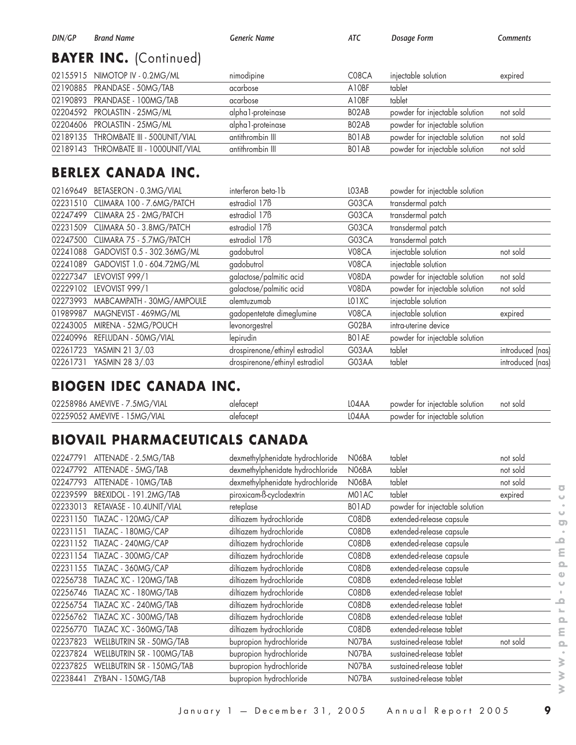| DIN/GP | <b>Brand Name</b>                      | Generic Name       | ATC                | Dosage Form                    | Comments |
|--------|----------------------------------------|--------------------|--------------------|--------------------------------|----------|
|        | <b>BAYER INC.</b> (Continued)          |                    |                    |                                |          |
|        | 02155915 NIMOTOP IV - 0.2MG/ML         | nimodipine         | C08CA              | injectable solution            | expired  |
|        | 02190885 PRANDASE - 50MG/TAB           | acarbose           | A10BF              | tablet                         |          |
|        |                                        | acarbose           | A10BF              | tablet                         |          |
|        | 02204592 PROLASTIN - 25MG/ML           | alpha 1-proteinase | BO <sub>2</sub> AB | powder for injectable solution | not sold |
|        | 02204606 PROLASTIN - 25MG/ML           | alpha 1-proteinase | BO2AB              | powder for injectable solution |          |
|        | 02189135 THROMBATE III - 500UNIT/VIAL  | antithrombin III   | BO1AB              | powder for injectable solution | not sold |
|        | 02189143 THROMBATE III - 1000UNIT/VIAL | antithrombin III   | BO1AB              | powder for injectable solution | not sold |

#### **BERLEX CANADA INC.**

|          | 02169649 BETASERON - 0.3MG/VIAL | interferon beta-1b             | LO3AB | powder for injectable solution |                  |
|----------|---------------------------------|--------------------------------|-------|--------------------------------|------------------|
| 02231510 | CLIMARA 100 - 7.6MG/PATCH       | estradiol 17 <sub>B</sub>      | G03CA | transdermal patch              |                  |
| 02247499 | CLIMARA 25 - 2MG/PATCH          | estradiol 17 <sub>B</sub>      | G03CA | transdermal patch              |                  |
| 02231509 | CLIMARA 50 - 3.8MG/PATCH        | estradiol 17 <sub>B</sub>      | G03CA | transdermal patch              |                  |
| 02247500 | CLIMARA 75 - 5.7MG/PATCH        | estradiol 17 <sub>B</sub>      | G03CA | transdermal patch              |                  |
| 02241088 | GADOVIST 0.5 - 302.36MG/ML      | gadobutrol                     | V08CA | injectable solution            | not sold         |
| 02241089 | GADOVIST 1.0 - 604.72MG/ML      | gadobutrol                     | V08CA | injectable solution            |                  |
| 02227347 | LEVOVIST 999/1                  | galactose/palmitic acid        | V08DA | powder for injectable solution | not sold         |
| 02229102 | LEVOVIST 999/1                  | galactose/palmitic acid        | V08DA | powder for injectable solution | not sold         |
| 02273993 | MABCAMPATH - 30MG/AMPOULE       | alemtuzumab                    | LO1XC | injectable solution            |                  |
| 01989987 | MAGNEVIST - 469MG/ML            | gadopentetate dimeglumine      | V08CA | injectable solution            | expired          |
| 02243005 | MIRENA - 52MG/POUCH             | levonorgestrel                 | G02BA | intra-uterine device           |                  |
| 02240996 | REFLUDAN - 50MG/VIAL            | lepirudin                      | BO1AE | powder for injectable solution |                  |
| 02261723 | YASMIN 21 3/.03                 | drospirenone/ethinyl estradiol | G03AA | tablet                         | introduced (nas) |
| 02261731 | YASMIN 28 3/.03                 | drospirenone/ethinyl estradiol | G03AA | tablet                         | introduced (nas) |

#### **BIOGEN IDEC CANADA INC.**

| 02258986 AMEVIVE - 7.5MG/VIAL | uletacep' | 04AA. | powder for injectable solution | not sold |
|-------------------------------|-----------|-------|--------------------------------|----------|
| 02259052 AMEVIVE - 15MG/VIAL  |           | .04AA | powder for injectable solution |          |

# **BIOVAIL PHARMACEUTICALS CANADA**

| 02247791 | ATTENADE - 2.5MG/TAB      | dexmethylphenidate hydrochloride | N06BA | tablet                         | not sold |
|----------|---------------------------|----------------------------------|-------|--------------------------------|----------|
| 02247792 | ATTENADE - 5MG/TAB        | dexmethylphenidate hydrochloride | N06BA | tablet                         | not sold |
| 02247793 | ATTENADE - 10MG/TAB       | dexmethylphenidate hydrochloride | N06BA | tablet                         | not sold |
| 02239599 | BREXIDOL - 191.2MG/TAB    | piroxicam-B-cyclodextrin         | M01AC | tablet                         | expired  |
| 02233013 | RETAVASE - 10.4UNIT/VIAL  | reteplase                        | BO1AD | powder for injectable solution |          |
| 02231150 | TIAZAC - 120MG/CAP        | diltiazem hydrochloride          | C08DB | extended-release capsule       |          |
| 02231151 | TIAZAC - 180MG/CAP        | diltiazem hydrochloride          | C08DB | extended-release capsule       |          |
| 02231152 | TIAZAC - 240MG/CAP        | diltiazem hydrochloride          | C08DB | extended-release capsule       |          |
| 02231154 | TIAZAC - 300MG/CAP        | diltiazem hydrochloride          | C08DB | extended-release capsule       |          |
| 02231155 | TIAZAC - 360MG/CAP        | diltiazem hydrochloride          | C08DB | extended-release capsule       |          |
| 02256738 | TIAZAC XC - 120MG/TAB     | diltiazem hydrochloride          | C08DB | extended-release tablet        |          |
| 02256746 | TIAZAC XC - 180MG/TAB     | diltiazem hydrochloride          | C08DB | extended-release tablet        |          |
| 02256754 | TIAZAC XC - 240MG/TAB     | diltiazem hydrochloride          | C08DB | extended-release tablet        |          |
| 02256762 | TIAZAC XC - 300MG/TAB     | diltiazem hydrochloride          | C08DB | extended-release tablet        |          |
| 02256770 | TIAZAC XC - 360MG/TAB     | diltiazem hydrochloride          | C08DB | extended-release tablet        |          |
| 02237823 | WELLBUTRIN SR - 50MG/TAB  | bupropion hydrochloride          | N07BA | sustained-release tablet       | not sold |
| 02237824 | WELLBUTRIN SR - 100MG/TAB | bupropion hydrochloride          | N07BA | sustained-release tablet       |          |
| 02237825 | WELLBUTRIN SR - 150MG/TAB | bupropion hydrochloride          | N07BA | sustained-release tablet       |          |
| 02238441 | ZYBAN - 150MG/TAB         | bupropion hydrochloride          | N07BA | sustained-release tablet       |          |
|          |                           |                                  |       |                                |          |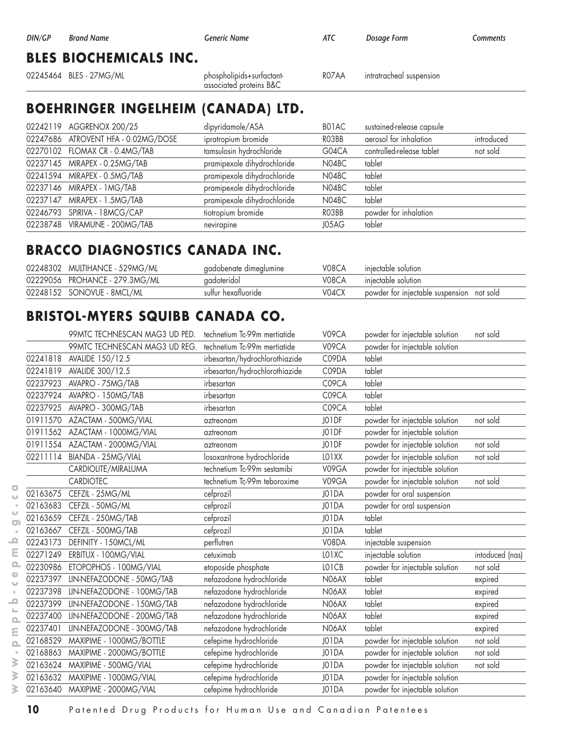| DIN/GP | <b>Brand Name</b>             | Generic Name                                         | ATC   | Dosage Form              | Comments |
|--------|-------------------------------|------------------------------------------------------|-------|--------------------------|----------|
|        | <b>BLES BIOCHEMICALS INC.</b> |                                                      |       |                          |          |
|        | 02245464 BLES - 27MG/ML       | phospholipids+surfactant-<br>associated proteins B&C | ROZAA | intratracheal suspension |          |

#### **BOEHRINGER INGELHEIM (CANADA) LTD.**

| 02242119 AGGRENOX 200/25            | dipyridamole/ASA            | BO1AC | sustained-release capsule |            |
|-------------------------------------|-----------------------------|-------|---------------------------|------------|
| 02247686 ATROVENT HFA - 0.02MG/DOSE | ipratropium bromide         | RO3BB | aerosol for inhalation    | introduced |
| 02270102 FLOMAX CR - 0.4MG/TAB      | tamsulosin hydrochloride    | G04CA | controlled-release tablet | not sold   |
| 02237145 MIRAPEX - 0.25MG/TAB       | pramipexole dihydrochloride | N04BC | tablet                    |            |
| 02241594 MIRAPEX - 0.5MG/TAB        | pramipexole dihydrochloride | N04BC | tablet                    |            |
| 02237146 MIRAPEX - 1MG/TAB          | pramipexole dihydrochloride | N04BC | tablet                    |            |
| 02237147 MIRAPEX - 1.5MG/TAB        | pramipexole dihydrochloride | N04BC | tablet                    |            |
| 02246793 SPIRIVA - 18MCG/CAP        | tiotropium bromide          | RO3BB | powder for inhalation     |            |
| 02238748 VIRAMUNE - 200MG/TAB       | nevirapine                  | J05AG | tablet                    |            |

#### **BRACCO DIAGNOSTICS CANADA INC.**

| 02248302 MULTIHANCE - 529MG/ML | gadobenate dimeglumine | V08CA | iniectable solution                       |
|--------------------------------|------------------------|-------|-------------------------------------------|
| 02229056 PROHANCE - 279.3MG/ML | gadoteridol            | V08CA | iniectable solution                       |
| 02248152 SONOVUE - 8MCL/ML     | sulfur hexafluoride    | V04CX | powder for injectable suspension not sold |

#### **BRISTOL-MYERS SQUIBB CANADA CO.**

|                                       |          | 99MTC TECHNESCAN MAG3 UD PED.      | technetium Tc-99m mertigtide   | V09CA | powder for injectable solution | not sold        |
|---------------------------------------|----------|------------------------------------|--------------------------------|-------|--------------------------------|-----------------|
|                                       |          | 99MTC TECHNESCAN MAG3 UD REG.      | technetium Tc-99m mertiatide   | V09CA | powder for injectable solution |                 |
|                                       | 02241818 | AVALIDE 150/12.5                   | irbesartan/hydrochlorothiazide | C09DA | tablet                         |                 |
|                                       | 02241819 | AVALIDE 300/12.5                   | irbesartan/hydrochlorothiazide | C09DA | tablet                         |                 |
|                                       | 02237923 | AVAPRO - 75MG/TAB                  | irbesartan                     | C09CA | tablet                         |                 |
|                                       |          | 02237924 AVAPRO - 150MG/TAB        | irbesartan                     | C09CA | tablet                         |                 |
|                                       | 02237925 | AVAPRO - 300MG/TAB                 | irbesartan                     | C09CA | tablet                         |                 |
|                                       |          | 01911570 AZACTAM - 500MG/VIAL      | aztreonam                      | JO1DF | powder for injectable solution | not sold        |
|                                       |          | 01911562 AZACTAM - 1000MG/VIAL     | aztreonam                      | JO1DF | powder for injectable solution |                 |
|                                       |          | 01911554 AZACTAM - 2000MG/VIAL     | aztreonam                      | JO1DF | powder for injectable solution | not sold        |
|                                       |          | 02211114 BIANDA - 25MG/VIAL        | losoxantrone hydrochloride     | LO1XX | powder for injectable solution | not sold        |
|                                       |          | CARDIOLITE/MIRALUMA                | technetium Tc-99m sestamibi    | V09GA | powder for injectable solution |                 |
|                                       |          | <b>CARDIOTEC</b>                   | technetium Tc-99m teboroxime   | V09GA | powder for injectable solution | not sold        |
| ō<br>$\cup$                           | 02163675 | CEFZIL - 25MG/ML                   | cefprozil                      | J01DA | powder for oral suspension     |                 |
|                                       | 02163683 | CEFZIL - 50MG/ML                   | cefprozil                      | J01DA | powder for oral suspension     |                 |
| $\circ$<br>$\bullet$                  | 02163659 | CEFZIL - 250MG/TAB                 | cefprozil                      | J01DA | tablet                         |                 |
|                                       |          | 02163667 CEFZIL - 500MG/TAB        | cefprozil                      | J01DA | tablet                         |                 |
| $\mathbf{\Omega}$                     | 02243173 | DEFINITY - 150MCL/ML               | perflutren                     | V08DA | injectable suspension          |                 |
| ε                                     |          | 02271249 ERBITUX - 100MG/VIAL      | cetuximab                      | LO1XC | injectable solution            | intoduced (nas) |
| $\Omega$                              |          | 02230986 ETOPOPHOS - 100MG/VIAL    | etoposide phosphate            | LO1CB | powder for injectable solution | not sold        |
| Φ<br>$\cup$                           |          | 02237397 LIN-NEFAZODONE - 50MG/TAB | nefazodone hydrochloride       | N06AX | tablet                         | expired         |
| $\pm$                                 | 02237398 | LIN-NEFAZODONE - 100MG/TAB         | nefazodone hydrochloride       | N06AX | tablet                         | expired         |
| $\mathbf{\Omega}$                     | 02237399 | LIN-NEFAZODONE - 150MG/TAB         | nefazodone hydrochloride       | N06AX | tablet                         | expired         |
| $\mathbb{L}_{\mathbb{R}}$<br>$\Omega$ | 02237400 | LIN-NEFAZODONE - 200MG/TAB         | nefazodone hydrochloride       | N06AX | tablet                         | expired         |
| Ε                                     | 02237401 | LIN-NEFAZODONE - 300MG/TAB         | nefazodone hydrochloride       | N06AX | tablet                         | expired         |
| $\Omega$                              | 02168529 | MAXIPIME - 1000MG/BOTTLE           | cefepime hydrochloride         | J01DA | powder for injectable solution | not sold        |
| $\bullet$                             | 02168863 | MAXIPIME - 2000MG/BOTTLE           | cefepime hydrochloride         | J01DA | powder for injectable solution | not sold        |
| ≽                                     | 02163624 | MAXIPIME - 500MG/VIAL              | cefepime hydrochloride         | J01DA | powder for injectable solution | not sold        |
| ⋧                                     |          | 02163632 MAXIPIME - 1000MG/VIAL    | cefepime hydrochloride         | J01DA | powder for injectable solution |                 |
| ℥                                     |          | 02163640 MAXIPIME - 2000MG/VIAL    | cefepime hydrochloride         | J01DA | powder for injectable solution |                 |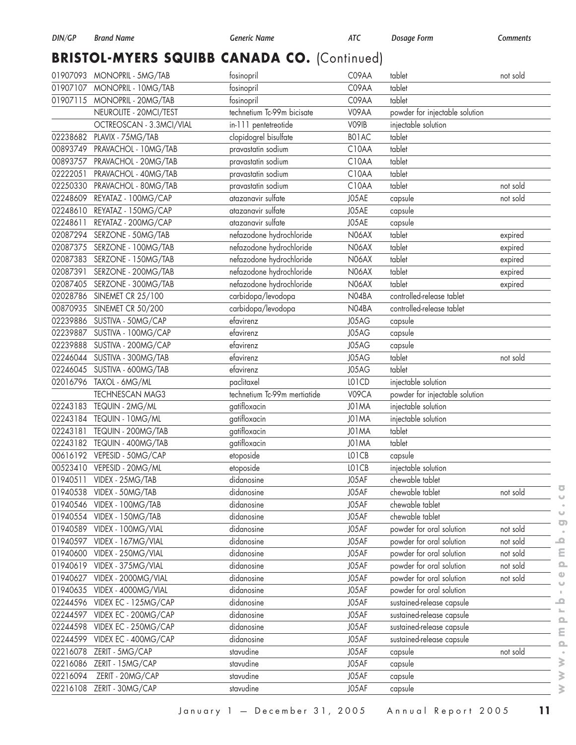# **BRISTOL-MYERS SQUIBB CANADA CO.** (Continued)

|          | 01907093 MONOPRIL - 5MG/TAB   | fosinopril                   | C09AA        | tablet                         | not sold |
|----------|-------------------------------|------------------------------|--------------|--------------------------------|----------|
|          | 01907107 MONOPRIL - 10MG/TAB  | fosinopril                   | C09AA        | tablet                         |          |
| 01907115 | MONOPRIL - 20MG/TAB           | fosinopril                   | C09AA        | tablet                         |          |
|          | NEUROLITE - 20MCI/TEST        | technetium Tc-99m bicisate   | V09AA        | powder for injectable solution |          |
|          | OCTREOSCAN - 3.3MCI/VIAL      | in-111 pentetreotide         | V09IB        | injectable solution            |          |
| 02238682 | PLAVIX - 75MG/TAB             | clopidogrel bisulfate        | B01AC        | tablet                         |          |
| 00893749 | PRAVACHOL - 10MG/TAB          | pravastatin sodium           | C10AA        | tablet                         |          |
| 00893757 | PRAVACHOL - 20MG/TAB          | pravastatin sodium           | C10AA        | tablet                         |          |
| 02222051 | PRAVACHOL - 40MG/TAB          | pravastatin sodium           | C10AA        | tablet                         |          |
|          | 02250330 PRAVACHOL - 80MG/TAB | pravastatin sodium           | C10AA        | tablet                         | not sold |
| 02248609 | REYATAZ - 100MG/CAP           | atazanavir sulfate           | J05AE        | capsule                        | not sold |
| 02248610 | REYATAZ - 150MG/CAP           | atazanavir sulfate           | J05AE        | capsule                        |          |
| 02248611 | REYATAZ - 200MG/CAP           | atazanavir sulfate           | J05AE        | capsule                        |          |
| 02087294 | SERZONE - 50MG/TAB            | nefazodone hydrochloride     | <b>N06AX</b> | tablet                         | expired  |
| 02087375 | SERZONE - 100MG/TAB           | nefazodone hydrochloride     | <b>N06AX</b> | tablet                         | expired  |
|          | 02087383 SERZONE - 150MG/TAB  | nefazodone hydrochloride     | N06AX        | tablet                         | expired  |
| 02087391 | SERZONE - 200MG/TAB           | nefazodone hydrochloride     | N06AX        | tablet                         | expired  |
| 02087405 | SERZONE - 300MG/TAB           | nefazodone hydrochloride     | N06AX        | tablet                         | expired  |
| 02028786 | <b>SINEMET CR 25/100</b>      | carbidopa/levodopa           | N04BA        | controlled-release tablet      |          |
| 00870935 | SINEMET CR 50/200             | carbidopa/levodopa           | N04BA        | controlled-release tablet      |          |
| 02239886 | SUSTIVA - 50MG/CAP            | efavirenz                    | J05AG        | capsule                        |          |
|          | 02239887 SUSTIVA - 100MG/CAP  | efavirenz                    | J05AG        | capsule                        |          |
| 02239888 | SUSTIVA - 200MG/CAP           | efavirenz                    | J05AG        | capsule                        |          |
| 02246044 | SUSTIVA - 300MG/TAB           | efavirenz                    | J05AG        | tablet                         | not sold |
|          | 02246045 SUSTIVA - 600MG/TAB  | efavirenz                    | J05AG        | tablet                         |          |
|          | 02016796 TAXOL - 6MG/ML       | paclitaxel                   | LO1CD        | injectable solution            |          |
|          | <b>TECHNESCAN MAG3</b>        | technetium Tc-99m mertiatide | V09CA        | powder for injectable solution |          |
|          | 02243183 TEQUIN - 2MG/ML      | gatifloxacin                 | J01MA        | injectable solution            |          |
|          | 02243184 TEQUIN - 10MG/ML     | gatifloxacin                 | J01MA        | injectable solution            |          |
| 02243181 | TEQUIN - 200MG/TAB            | gatifloxacin                 | J01MA        | tablet                         |          |
|          | 02243182 TEQUIN - 400MG/TAB   | gatifloxacin                 | J01MA        | tablet                         |          |
|          | 00616192 VEPESID - 50MG/CAP   | etoposide                    | LO1CB        | capsule                        |          |
|          | 00523410 VEPESID - 20MG/ML    | etoposide                    | LO1CB        | injectable solution            |          |
|          | 01940511 VIDEX - 25MG/TAB     | didanosine                   | J05AF        | chewable tablet                |          |
|          | 01940538 VIDEX - 50MG/TAB     | didanosine                   | J05AF        | chewable tablet                | not sold |
| 01940546 | VIDEX - 100MG/TAB             | didanosine                   | J05AF        | chewable tablet                |          |
| 01940554 | VIDEX - 150MG/TAB             | didanosine                   | J05AF        | chewable tablet                |          |
| 01940589 | VIDEX - 100MG/VIAL            | didanosine                   | J05AF        | powder for oral solution       | not sold |
| 01940597 | VIDEX - 167MG/VIAL            | didanosine                   | J05AF        | powder for oral solution       | not sold |
| 01940600 | VIDEX - 250MG/VIAL            | didanosine                   | J05AF        | powder for oral solution       | not sold |
| 01940619 | VIDEX - 375MG/VIAL            | didanosine                   | J05AF        | powder for oral solution       | not sold |
| 01940627 | VIDEX - 2000MG/VIAL           | didanosine                   | J05AF        | powder for oral solution       | not sold |
| 01940635 | VIDEX - 4000MG/VIAL           | didanosine                   | J05AF        | powder for oral solution       |          |
| 02244596 | VIDEX EC - 125MG/CAP          | didanosine                   | J05AF        | sustained-release capsule      |          |
|          | 02244597 VIDEX EC - 200MG/CAP | didanosine                   | J05AF        | sustained-release capsule      |          |
| 02244598 | VIDEX EC - 250MG/CAP          | didanosine                   | J05AF        | sustained-release capsule      |          |
| 02244599 | VIDEX EC - 400MG/CAP          | didanosine                   | J05AF        | sustained-release capsule      |          |
| 02216078 | ZERIT - 5MG/CAP               | stavudine                    | J05AF        | capsule                        | not sold |
| 02216086 | ZERIT - 15MG/CAP              | stavudine                    | J05AF        | capsule                        |          |
| 02216094 | ZERIT - 20MG/CAP              | stavudine                    | J05AF        | capsule                        |          |
| 02216108 | ZERIT - 30MG/CAP              | stavudine                    | J05AF        | capsule                        |          |
|          |                               |                              |              |                                |          |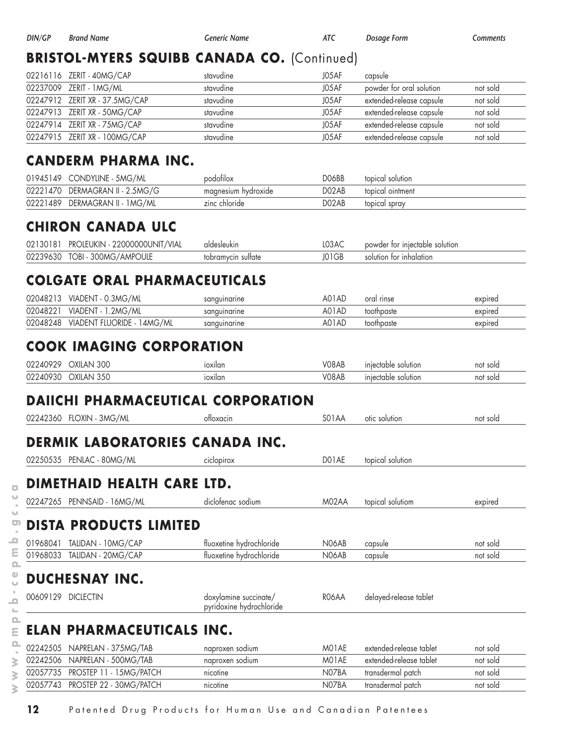| DIN/GP               | <b>Brand Name</b>                                                     | <b>Generic Name</b>                               | <b>ATC</b>     | <b>Dosage Form</b>                         | Comments |
|----------------------|-----------------------------------------------------------------------|---------------------------------------------------|----------------|--------------------------------------------|----------|
|                      | <b>BRISTOL-MYERS SQUIBB CANADA CO. (Continued)</b>                    |                                                   |                |                                            |          |
| 02216116             | ZERIT - 40MG/CAP                                                      | stavudine                                         | J05AF          | capsule                                    |          |
| 02237009             | ZERIT - 1 MG/ML                                                       | stavudine                                         | J05AF          | powder for oral solution                   | not sold |
|                      | 02247912 ZERIT XR - 37.5MG/CAP                                        | stavudine                                         | J05AF          | extended-release capsule                   | not sold |
| 02247913             | ZERIT XR - 50MG/CAP                                                   | stavudine                                         | J05AF          | extended-release capsule                   | not sold |
| 02247914             | ZERIT XR - 75MG/CAP                                                   | stavudine                                         | J05AF          | extended-release capsule                   | not sold |
|                      | 02247915 ZERIT XR - 100MG/CAP                                         | stavudine                                         | J05AF          | extended-release capsule                   | not sold |
|                      | <b>CANDERM PHARMA INC.</b>                                            |                                                   |                |                                            |          |
| 01945149             | CONDYLINE - 5MG/ML                                                    | podofilox                                         | DO6BB          | topical solution                           |          |
|                      | 02221470 DERMAGRAN II - 2.5MG/G                                       | magnesium hydroxide                               | D02AB          | topical ointment                           |          |
| 02221489             | DERMAGRAN II - 1 MG/ML                                                | zinc chloride                                     | D02AB          | topical spray                              |          |
|                      | <b>CHIRON CANADA ULC</b>                                              |                                                   |                |                                            |          |
| 02130181             | PROLEUKIN - 22000000UNIT/VIAL                                         | aldesleukin                                       | L03AC          | powder for injectable solution             |          |
| 02239630             | TOBI - 300MG/AMPOULE                                                  | tobramycin sulfate                                | J01GB          | solution for inhalation                    |          |
|                      | <b>COLGATE ORAL PHARMACEUTICALS</b>                                   |                                                   |                |                                            |          |
| 02048213             | VIADENT - 0.3MG/ML                                                    | sanguinarine                                      | A01AD          | oral rinse                                 | expired  |
| 02048221             | VIADENT - 1.2MG/ML                                                    | sanguinarine                                      | A01AD          | toothpaste                                 | expired  |
| 02048248             | VIADENT FLUORIDE - 14MG/ML                                            | sanguinarine                                      | A01AD          | toothpaste                                 | expired  |
| 02240929<br>02240930 | OXILAN 300<br>OXILAN 350<br><b>DAIICHI PHARMACEUTICAL CORPORATION</b> | ioxilan                                           | V08AB<br>V08AB | injectable solution<br>injectable solution | not sold |
|                      | 02242360 FLOXIN - 3MG/ML                                              | otloxacin                                         | S01AA          | otic solution                              | not sold |
|                      | DERMIK LABORATORIES CANADA INC.                                       |                                                   |                |                                            |          |
|                      | 02250535 PENLAC - 80MG/ML                                             | ciclopirox                                        | DO1AE          | topical solution                           |          |
|                      | DIMETHAID HEALTH CARE LTD.                                            |                                                   |                |                                            |          |
| 02247265             | PENNSAID - 16MG/ML                                                    | diclofenac sodium                                 | M02AA          | topical solutiom                           | expired  |
|                      | <b>DISTA PRODUCTS LIMITED</b>                                         |                                                   |                |                                            |          |
| 01968041             | TALIDAN - 10MG/CAP                                                    | fluoxetine hydrochloride                          | N06AB          | capsule                                    | not sold |
| 01968033             | TALIDAN - 20MG/CAP                                                    | fluoxetine hydrochloride                          | N06AB          | capsule                                    | not sold |
|                      |                                                                       |                                                   |                |                                            |          |
|                      | <b>DUCHESNAY INC.</b>                                                 |                                                   |                |                                            |          |
|                      | 00609129 DICLECTIN                                                    | doxylamine succinate/<br>pyridoxine hydrochloride | R06AA          | delayed-release tablet                     |          |
|                      | ELAN PHARMACEUTICALS INC.                                             |                                                   |                |                                            |          |
| 02242505             | NAPRELAN - 375MG/TAB                                                  | naproxen sodium                                   | M01AE          | extended-release tablet                    | not sold |
|                      | 02242506 NAPRELAN - 500MG/TAB                                         | naproxen sodium                                   | M01AE          | extended-release tablet                    | not sold |
|                      | 02057735 PROSTEP 11 - 15MG/PATCH                                      | nicotine                                          | N07BA          | transdermal patch                          | not sold |
|                      | 02057743 PROSTEP 22 - 30MG/PATCH                                      | nicotine                                          | N07BA          | transdermal patch                          | not sold |

**12** Patented Drug Products for Human Use and Canadian Patentees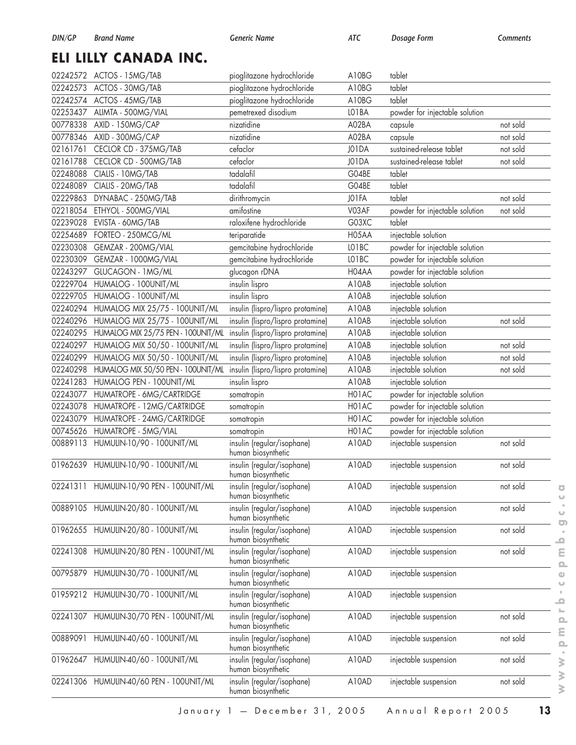# **ELI LILLY CANADA INC.**

|          | 02242572 ACTOS - 15MG/TAB               | pioglitazone hydrochloride                       | A10BG | tablet                         |          |
|----------|-----------------------------------------|--------------------------------------------------|-------|--------------------------------|----------|
| 02242573 | ACTOS - 30MG/TAB                        | pioglitazone hydrochloride                       | A10BG | tablet                         |          |
|          | 02242574 ACTOS - 45MG/TAB               | pioglitazone hydrochloride                       | A10BG | tablet                         |          |
| 02253437 | ALIMTA - 500MG/VIAL                     | pemetrexed disodium                              | LO1BA | powder for injectable solution |          |
| 00778338 | AXID - 150MG/CAP                        | nizatidine                                       | A02BA | capsule                        | not sold |
| 00778346 | AXID - 300MG/CAP                        | nizatidine                                       | A02BA | capsule                        | not sold |
| 02161761 | CECLOR CD - 375MG/TAB                   | cefaclor                                         | J01DA | sustained-release tablet       | not sold |
| 02161788 | CECLOR CD - 500MG/TAB                   | cefaclor                                         | J01DA | sustained-release tablet       | not sold |
| 02248088 | CIALIS - 10MG/TAB                       | tadalafil                                        | G04BE | tablet                         |          |
| 02248089 | CIALIS - 20MG/TAB                       | tadalafil                                        | G04BE | tablet                         |          |
| 02229863 | DYNABAC - 250MG/TAB                     | dirithromycin                                    | JO1FA | tablet                         | not sold |
| 02218054 | ETHYOL - 500MG/VIAL                     | amifostine                                       | V03AF | powder for injectable solution | not sold |
| 02239028 | EVISTA - 60MG/TAB                       | raloxifene hydrochloride                         | G03XC | tablet                         |          |
| 02254689 | FORTEO - 250MCG/ML                      | teriparatide                                     | H05AA | injectable solution            |          |
| 02230308 | GEMZAR - 200MG/VIAL                     | gemcitabine hydrochloride                        | LO1BC | powder for injectable solution |          |
| 02230309 | GEMZAR - 1000MG/VIAL                    | gemcitabine hydrochloride                        | LO1BC | powder for injectable solution |          |
| 02243297 | GLUCAGON - 1MG/ML                       | glucagon rDNA                                    | H04AA | powder for injectable solution |          |
| 02229704 | HUMALOG - 100UNIT/ML                    | insulin lispro                                   | A10AB | injectable solution            |          |
| 02229705 | HUMALOG - 100UNIT/ML                    | insulin lispro                                   | A10AB | injectable solution            |          |
| 02240294 | HUMALOG MIX 25/75 - 100UNIT/ML          | insulin (lispro/lispro protamine)                | A10AB | injectable solution            |          |
| 02240296 | HUMALOG MIX 25/75 - 100UNIT/ML          | insulin (lispro/lispro protamine)                | A10AB | injectable solution            | not sold |
| 02240295 | HUMALOG MIX 25/75 PEN - 100UNIT/ML      | insulin (lispro/lispro protamine)                | A10AB | injectable solution            |          |
| 02240297 | HUMALOG MIX 50/50 - 100UNIT/ML          | insulin (lispro/lispro protamine)                | A10AB | injectable solution            | not sold |
| 02240299 | HUMALOG MIX 50/50 - 100UNIT/ML          | insulin (lispro/lispro protamine)                | A10AB | injectable solution            | not sold |
| 02240298 | HUMALOG MIX 50/50 PEN - 100UNIT/ML      | insulin (lispro/lispro protamine)                | A10AB | injectable solution            | not sold |
| 02241283 | HUMALOG PEN - 100UNIT/ML                | insulin lispro                                   | A10AB | injectable solution            |          |
| 02243077 | HUMATROPE - 6MG/CARTRIDGE               | somatropin                                       | H01AC | powder for injectable solution |          |
| 02243078 | HUMATROPE - 12MG/CARTRIDGE              | somatropin                                       | H01AC | powder for injectable solution |          |
| 02243079 | HUMATROPE - 24MG/CARTRIDGE              | somatropin                                       | H01AC | powder for injectable solution |          |
| 00745626 | HUMATROPE - 5MG/VIAL                    | somatropin                                       | H01AC | powder for injectable solution |          |
| 00889113 | HUMULIN-10/90 - 100UNIT/ML              | insulin (regular/isophane)<br>human biosynthetic | A10AD | injectable suspension          | not sold |
|          | 01962639 HUMULIN-10/90 - 100UNIT/ML     | insulin (regular/isophane)<br>human biosynthetic | A10AD | injectable suspension          | not sold |
|          | 02241311 HUMULIN-10/90 PEN - 100UNIT/ML | insulin (regular/isophane)<br>human biosynthetic | A10AD | injectable suspension          | not sold |
| 00889105 | HUMULIN-20/80 - 100UNIT/ML              | insulin (regular/isophane)<br>human biosynthetic | A10AD | injectable suspension          | not sold |
| 01962655 | HUMULIN-20/80 - 100UNIT/ML              | insulin (regular/isophane)<br>human biosynthetic | A10AD | injectable suspension          | not sold |
| 02241308 | HUMULIN-20/80 PEN - 100UNIT/ML          | insulin (regular/isophane)<br>human biosynthetic | A10AD | injectable suspension          | not sold |
| 00795879 | HUMULIN-30/70 - 100UNIT/ML              | insulin (regular/isophane)<br>human biosynthetic | A10AD | injectable suspension          |          |
| 01959212 | HUMULIN-30/70 - 100UNIT/ML              | insulin (regular/isophane)<br>human biosynthetic | A10AD | injectable suspension          |          |
| 02241307 | HUMULIN-30/70 PEN - 100UNIT/ML          | insulin (regular/isophane)<br>human biosynthetic | A10AD | injectable suspension          | not sold |
| 00889091 | HUMULIN-40/60 - 100UNIT/ML              | insulin (regular/isophane)<br>human biosynthetic | A10AD | injectable suspension          | not sold |
| 01962647 | HUMULIN-40/60 - 100UNIT/ML              | insulin (regular/isophane)<br>human biosynthetic | A10AD | injectable suspension          | not sold |
|          | 02241306 HUMULIN-40/60 PEN - 100UNIT/ML | insulin (regular/isophane)<br>human biosynthetic | A10AD | injectable suspension          | not sold |

 $\overline{\textbf{C}}$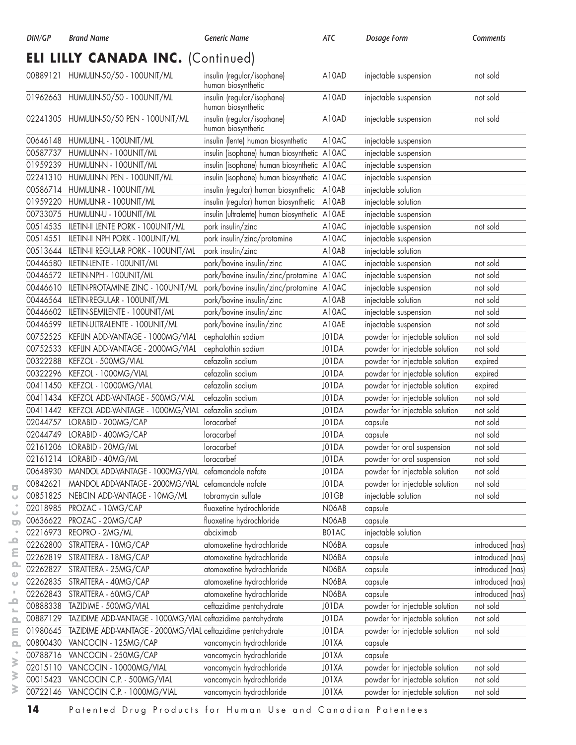## **ELI LILLY CANADA INC.** (Continued)

|          | 00889121 HUMULIN-50/50 - 100UNIT/ML                         | insulin (regular/isophane)<br>human biosynthetic | A10AD | injectable suspension          | not sold         |
|----------|-------------------------------------------------------------|--------------------------------------------------|-------|--------------------------------|------------------|
|          | 01962663 HUMULIN-50/50 - 100UNIT/ML                         | insulin (regular/isophane)<br>human biosynthetic | A10AD | injectable suspension          | not sold         |
|          | 02241305 HUMULIN-50/50 PEN - 100UNIT/ML                     | insulin (regular/isophane)<br>human biosynthetic | A10AD | injectable suspension          | not sold         |
| 00646148 | HUMULIN-L - 100UNIT/ML                                      | insulin (lente) human biosynthetic               | A10AC | injectable suspension          |                  |
| 00587737 | HUMULIN-N - 100UNIT/ML                                      | insulin (isophane) human biosynthetic A10AC      |       | injectable suspension          |                  |
| 01959239 | HUMULIN-N - 100UNIT/ML                                      | insulin (isophane) human biosynthetic A10AC      |       | injectable suspension          |                  |
| 02241310 | HUMULIN-N PEN - 100UNIT/ML                                  | insulin (isophane) human biosynthetic            | A10AC | injectable suspension          |                  |
| 00586714 | HUMULIN-R - 100UNIT/ML                                      | insulin (regular) human biosynthetic             | A10AB | injectable solution            |                  |
| 01959220 | HUMULIN-R - 100UNIT/ML                                      | insulin (regular) human biosynthetic             | A10AB | injectable solution            |                  |
| 00733075 | HUMULIN-U - 100UNIT/ML                                      | insulin (ultralente) human biosynthetic          | A10AE | injectable suspension          |                  |
| 00514535 | ILETIN-II LENTE PORK - 100UNIT/ML                           | pork insulin/zinc                                | A10AC | injectable suspension          | not sold         |
| 00514551 | ILETIN-II NPH PORK - 100UNIT/ML                             | pork insulin/zinc/protamine                      | A10AC | injectable suspension          |                  |
| 00513644 | ILETIN-II REGULAR PORK - 100UNIT/ML                         | pork insulin/zinc                                | A10AB | injectable solution            |                  |
| 00446580 | ILETIN-LENTE - 100UNIT/ML                                   | pork/bovine insulin/zinc                         | A10AC | injectable suspension          | not sold         |
| 00446572 | ILETIN-NPH - 100UNIT/ML                                     | pork/bovine insulin/zinc/protamine A10AC         |       | injectable suspension          | not sold         |
| 00446610 | ILETIN-PROTAMINE ZINC - 100UNIT/ML                          | pork/bovine insulin/zinc/protamine A10AC         |       | injectable suspension          | not sold         |
| 00446564 | ILETIN-REGULAR - 100UNIT/ML                                 | pork/bovine insulin/zinc                         | A10AB | injectable solution            | not sold         |
| 00446602 | ILETIN-SEMILENTE - 100UNIT/ML                               | pork/bovine insulin/zinc                         | A10AC | injectable suspension          | not sold         |
| 00446599 | ILETIN-ULTRALENTE - 100UNIT/ML                              | pork/bovine insulin/zinc                         | A10AE | injectable suspension          | not sold         |
| 00752525 | KEFLIN ADD-VANTAGE - 1000MG/VIAL                            | cephalothin sodium                               | J01DA | powder for injectable solution | not sold         |
| 00752533 | KEFLIN ADD-VANTAGE - 2000MG/VIAL                            | cephalothin sodium                               | J01DA | powder for injectable solution | not sold         |
| 00322288 | KEFZOL - 500MG/VIAL                                         | cefazolin sodium                                 | J01DA | powder for injectable solution | expired          |
| 00322296 | KEFZOL - 1000MG/VIAL                                        | cefazolin sodium                                 | J01DA | powder for injectable solution | expired          |
| 00411450 | KEFZOL - 10000MG/VIAL                                       | cefazolin sodium                                 | J01DA | powder for injectable solution | expired          |
| 00411434 | KEFZOL ADD-VANTAGE - 500MG/VIAL                             | cefazolin sodium                                 | J01DA | powder for injectable solution | not sold         |
| 00411442 | KEFZOL ADD-VANTAGE - 1000MG/VIAL                            | cefazolin sodium                                 | J01DA | powder for injectable solution | not sold         |
| 02044757 | LORABID - 200MG/CAP                                         | loracarbef                                       | J01DA | capsule                        | not sold         |
| 02044749 | LORABID - 400MG/CAP                                         | loracarbef                                       | J01DA | capsule                        | not sold         |
| 02161206 | LORABID - 20MG/ML                                           | loracarbef                                       | J01DA | powder for oral suspension     | not sold         |
| 02161214 | LORABID - 40MG/ML                                           | loracarbef                                       | J01DA | powder for oral suspension     | not sold         |
| 00648930 | MANDOL ADD-VANTAGE - 1000MG/VIAL cefamandole nafate         |                                                  | J01DA | powder for injectable solution | not sold         |
| 00842621 | MANDOL ADD-VANTAGE - 2000MG/VIAL cefamandole nafate         |                                                  | J01DA | powder for injectable solution | not sold         |
| 00851825 | NEBCIN ADD-VANTAGE - 10MG/ML                                | tobramycin sulfate                               | JO1GB | injectable solution            | not sold         |
| 02018985 | PROZAC - 10MG/CAP                                           | fluoxetine hydrochloride                         | N06AB | capsule                        |                  |
| 00636622 | PROZAC - 20MG/CAP                                           | fluoxetine hydrochloride                         | N06AB | capsule                        |                  |
| 02216973 | REOPRO - 2MG/ML                                             | abciximab                                        | BO1AC | injectable solution            |                  |
| 02262800 | STRATTERA - 10MG/CAP                                        | atomoxetine hydrochloride                        | N06BA | capsule                        | introduced (nas) |
| 02262819 | STRATTERA - 18MG/CAP                                        | atomoxetine hydrochloride                        | N06BA | capsule                        | introduced (nas) |
| 02262827 | STRATTERA - 25MG/CAP                                        | atomoxetine hydrochloride                        | N06BA | capsule                        | introduced (nas) |
| 02262835 | STRATTERA - 40MG/CAP                                        | atomoxetine hydrochloride                        | N06BA | capsule                        | introduced (nas) |
| 02262843 | STRATTERA - 60MG/CAP                                        | atomoxetine hydrochloride                        | N06BA | capsule                        | introduced (nas) |
| 00888338 | TAZIDIME - 500MG/VIAL                                       | ceftazidime pentahydrate                         | J01DA | powder for injectable solution | not sold         |
| 00887129 | TAZIDIME ADD-VANTAGE - 1000MG/VIAL ceftazidime pentahydrate |                                                  | J01DA | powder for injectable solution | not sold         |
| 01980645 | TAZIDIME ADD-VANTAGE - 2000MG/VIAL ceftazidime pentahydrate |                                                  | J01DA | powder for injectable solution | not sold         |
| 00800430 | VANCOCIN - 125MG/CAP                                        | vancomycin hydrochloride                         | J01XA | capsule                        |                  |
| 00788716 | VANCOCIN - 250MG/CAP                                        | vancomycin hydrochloride                         | J01XA | capsule                        |                  |
| 02015110 | VANCOCIN - 10000MG/VIAL                                     | vancomycin hydrochloride                         | J01XA | powder for injectable solution | not sold         |
| 00015423 | VANCOCIN C.P. - 500MG/VIAL                                  | vancomycin hydrochloride                         | J01XA | powder for injectable solution | not sold         |
| 00722146 | VANCOCIN C.P. - 1000MG/VIAL                                 | vancomycin hydrochloride                         | J01XA | powder for injectable solution | not sold         |

 $\overline{\bullet}$  $\bar{\omega}$  $\ddot{\phantom{a}}$  $\overset{-}{\cup}$ 

**14** Patented Drug Products for Human Use and Canadian Patentees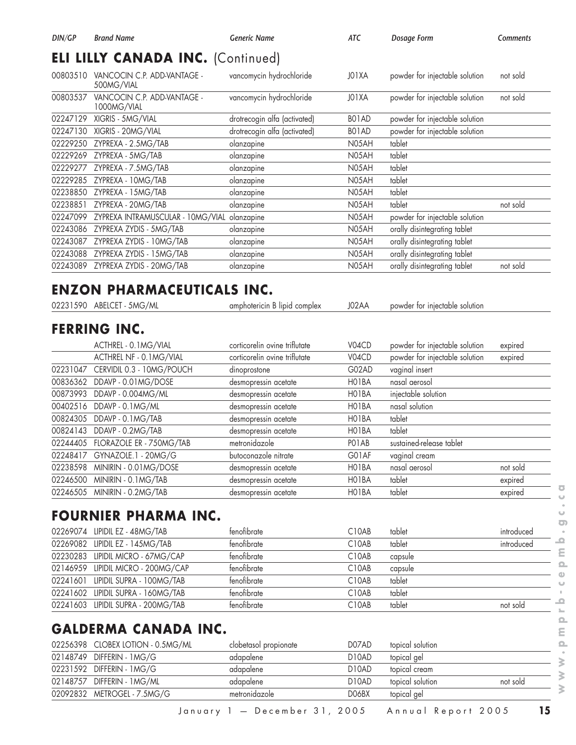| DIN/GP   | <b>Brand Name</b>                                  | <b>Generic Name</b>           | ATC   | Dosage Form                    | <b>Comments</b> |
|----------|----------------------------------------------------|-------------------------------|-------|--------------------------------|-----------------|
|          | <b>ELI LILLY CANADA INC. (Continued)</b>           |                               |       |                                |                 |
|          | 00803510 VANCOCIN C.P. ADD-VANTAGE -<br>500MG/VIAL | vancomycin hydrochloride      | JO1XA | powder for injectable solution | not sold        |
| 00803537 | VANCOCIN C.P. ADD-VANTAGE -<br>1000MG/VIAL         | vancomycin hydrochloride      | J01XA | powder for injectable solution | not sold        |
| 02247129 | XIGRIS - 5MG/VIAL                                  | drotrecogin alfa (activated)  | BO1AD | powder for injectable solution |                 |
| 02247130 | XIGRIS - 20MG/VIAL                                 | drotrecogin alfa (activated)  | BO1AD | powder for injectable solution |                 |
|          | 02229250 ZYPREXA - 2.5MG/TAB                       | olanzapine                    | N05AH | tablet                         |                 |
| 02229269 | ZYPREXA - 5MG/TAB                                  | olanzapine                    | N05AH | tablet                         |                 |
| 02229277 | ZYPREXA - 7.5MG/TAB                                | olanzapine                    | N05AH | tablet                         |                 |
|          | 02229285 ZYPREXA - 10MG/TAB                        | olanzapine                    | N05AH | tablet                         |                 |
| 02238850 | ZYPREXA - 15MG/TAB                                 | olanzapine                    | N05AH | tablet                         |                 |
| 02238851 | ZYPREXA - 20MG/TAB                                 | olanzapine                    | N05AH | tablet                         | not sold        |
| 02247099 | ZYPREXA INTRAMUSCULAR - 10MG/VIAL                  | olanzapine                    | N05AH | powder for injectable solution |                 |
| 02243086 | ZYPREXA ZYDIS - 5MG/TAB                            | olanzapine                    | N05AH | orally disintegrating tablet   |                 |
| 02243087 | ZYPREXA ZYDIS - 10MG/TAB                           | olanzapine                    | N05AH | orally disintegrating tablet   |                 |
| 02243088 | ZYPREXA ZYDIS - 15MG/TAB                           | olanzapine                    | N05AH | orally disintegrating tablet   |                 |
|          | 02243089 ZYPREXA ZYDIS - 20MG/TAB                  | olanzapine                    | N05AH | orally disintegrating tablet   | not sold        |
|          |                                                    |                               |       |                                |                 |
|          | <b>ENZON PHARMACEUTICALS INC.</b>                  |                               |       |                                |                 |
|          | 02231590 ABELCET - 5MG/ML                          | amphotericin B lipid complex  | J02AA | powder for injectable solution |                 |
|          | <b>FERRING INC.</b>                                |                               |       |                                |                 |
|          | ACTHREL - 0.1MG/VIAL                               | corticorelin ovine triflutate | V04CD | powder for injectable solution | expired         |
|          | ACTHREL NF - 0.1MG/VIAL                            | corticorelin ovine triflutate | V04CD | powder for injectable solution | expired         |
| 02231047 | CERVIDIL 0.3 - 10MG/POUCH                          | dinoprostone                  | G02AD | vaginal insert                 |                 |
| 00836362 | DDAVP - 0.01MG/DOSE                                | desmopressin acetate          | HO1BA | nasal aerosol                  |                 |
|          | 00873993 DDAVP - 0.004MG/ML                        | desmopressin acetate          | HO1BA | injectable solution            |                 |
| 00402516 | DDAVP - 0.1MG/ML                                   | desmopressin acetate          | HO1BA | nasal solution                 |                 |
| 00824305 | DDAVP - 0.1MG/TAB                                  | desmopressin acetate          | HO1BA | tablet                         |                 |
|          | 00824143 DDAVP - 0.2MG/TAB                         | desmopressin acetate          | HO1BA | tablet                         |                 |
|          | 02244405 FLORAZOLE ER - 750MG/TAB                  | metronidazole                 | PO1AB | sustained-release tablet       |                 |
|          | 02248417 GYNAZOLE.1 - 20MG/G                       | butoconazole nitrate          | G01AF | vaginal cream                  |                 |
|          | 02238598 MINIRIN - 0.01MG/DOSE                     | desmopressin acetate          | HO1BA | nasal aerosol                  | not sold        |
|          | 02246500 MINIRIN - 0.1MG/TAB                       | desmopressin acetate          | HO1BA | tablet                         | expired         |
|          | 02246505 MINIRIN - 0.2MG/TAB                       | desmopressin acetate          | HO1BA | tablet                         | expired         |
|          |                                                    |                               |       |                                |                 |
|          | FOURNIER PHARMA INC.                               |                               |       |                                |                 |
|          | 02269074 LIPIDIL EZ - 48MG/TAB                     | fenofibrate                   | C10AB | tablet                         | introduced      |
|          | 02269082 LIPIDIL EZ - 145MG/TAB                    | fenofibrate                   | C10AB | tablet                         | introduced      |
| 02230283 | LIPIDIL MICRO - 67MG/CAP                           | fenofibrate                   | C10AB | capsule                        |                 |
|          | 02146959 LIPIDIL MICRO - 200MG/CAP                 | fenofibrate                   | C10AB | capsule                        |                 |
|          | 02241601 LIPIDIL SUPRA - 100MG/TAB                 | fenofibrate                   | C10AB | tablet                         |                 |
|          | 02241602 LIPIDIL SUPRA - 160MG/TAB                 | fenofibrate                   | C10AB | tablet                         |                 |
|          | 02241603 LIPIDIL SUPRA - 200MG/TAB                 | fenofibrate                   | C10AB | tablet                         | not sold        |
|          | <b>GALDERMA CANADA INC.</b>                        |                               |       |                                |                 |
|          | 02256398 CLOBEX LOTION - 0.5MG/ML                  | clobetasol propionate         | D07AD | topical solution               |                 |
|          | 02148749 DIFFERIN - 1MG/G                          | adapalene                     | D10AD | topical gel                    |                 |
|          | 02231592 DIFFERIN - 1MG/G                          | adapalene                     | D10AD | topical cream                  |                 |
|          | 02148757 DIFFERIN - 1MG/ML                         | adapalene                     | D10AD | topical solution               | not sold        |
|          |                                                    |                               |       |                                |                 |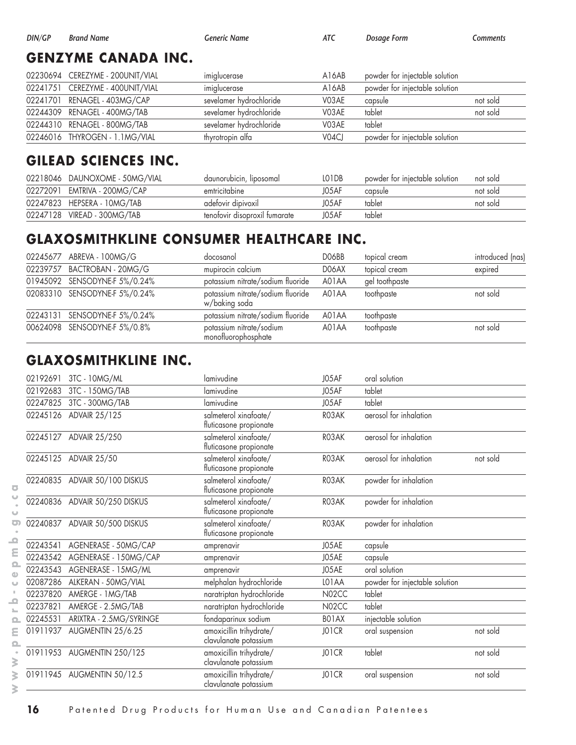#### **GENZYME CANADA INC.**

| 02230694 CEREZYME - 200UNIT/VIAL | imiglucerase            | A16AB                          | powder for injectable solution |          |
|----------------------------------|-------------------------|--------------------------------|--------------------------------|----------|
| 02241751 CEREZYME - 400UNIT/VIAL | imiglucerase            | A <sub>16</sub> A <sub>B</sub> | powder for injectable solution |          |
| 02241701 RENAGEL - 403MG/CAP     | sevelamer hydrochloride | V03AE                          | capsule                        | not sold |
| 02244309 RENAGEL - 400MG/TAB     | sevelamer hydrochloride | V03AE                          | tablet                         | not sold |
| 02244310 RENAGEL - 800MG/TAB     | sevelamer hydrochloride | V03AE                          | tablet                         |          |
| 02246016 THYROGEN - 1.1MG/VIAL   | thyrotropin alfa        | V04CJ                          | powder for injectable solution |          |

## **GILEAD SCIENCES INC.**

| 02218046 DAUNOXOME - 50MG/VIAL | daunorubicin, liposomal       | LO1DB | powder for injectable solution | not sold |
|--------------------------------|-------------------------------|-------|--------------------------------|----------|
| 02272091 EMTRIVA - 200MG/CAP   | emtricitabine                 | J05AF | capsule                        | not sold |
| 02247823 HEPSERA - 10MG/TAB    | adefovir dipivoxil            | J05AF | tablet                         | not sold |
| 02247128 VIREAD - 300MG/TAB    | tenofovir disoproxil fumarate | J05AF | tablet                         |          |

# **GLAXOSMITHKLINE CONSUMER HEALTHCARE INC.**

| 02245677 ABREVA - 100MG/G     | docosanol                                          | DO6BB | topical cream  | introduced (nas) |
|-------------------------------|----------------------------------------------------|-------|----------------|------------------|
| 02239757 BACTROBAN - 20MG/G   | mupirocin calcium                                  | DO6AX | topical cream  | expired          |
| 01945092 SENSODYNE-F 5%/0.24% | potassium nitrate/sodium fluoride                  | A01AA | gel toothpaste |                  |
| 02083310 SENSODYNE-F 5%/0.24% | potassium nitrate/sodium fluoride<br>w/baking soda | A01AA | toothpaste     | not sold         |
| 02243131 SENSODYNE-F 5%/0.24% | potassium nitrate/sodium fluoride                  | A01AA | toothpaste     |                  |
| 00624098 SENSODYNE-F 5%/0.8%  | potassium nitrate/sodium<br>monofluorophosphate    | A01AA | toothpaste     | not sold         |

## **GLAXOSMITHKLINE INC.**

| 02192691 | 3TC - 10MG/ML                 | lamivudine                                       | J05AF              | oral solution                  |          |
|----------|-------------------------------|--------------------------------------------------|--------------------|--------------------------------|----------|
| 02192683 | 3TC - 150MG/TAB               | lamivudine                                       | J05AF              | tablet                         |          |
| 02247825 | 3TC - 300MG/TAB               | lamivudine                                       | J05AF              | tablet                         |          |
| 02245126 | ADVAIR 25/125                 | salmeterol xinafoate/<br>fluticasone propionate  | RO3AK              | aerosol for inhalation         |          |
|          | 02245127 ADVAIR 25/250        | salmeterol xinafoate/<br>fluticasone propionate  | RO3AK              | aerosol for inhalation         |          |
| 02245125 | <b>ADVAIR 25/50</b>           | salmeterol xinafoate/<br>fluticasone propionate  | RO3AK              | aerosol for inhalation         | not sold |
|          | 02240835 ADVAIR 50/100 DISKUS | salmeterol xinafoate/<br>fluticasone propionate  | RO3AK              | powder for inhalation          |          |
|          | 02240836 ADVAIR 50/250 DISKUS | salmeterol xinafoate/<br>fluticasone propionate  | RO3AK              | powder for inhalation          |          |
|          | 02240837 ADVAIR 50/500 DISKUS | salmeterol xinafoate/<br>fluticasone propionate  | RO3AK              | powder for inhalation          |          |
| 02243541 | AGENERASE - 50MG/CAP          | amprenavir                                       | J05AE              | capsule                        |          |
| 02243542 | AGENERASE - 150MG/CAP         | amprenavir                                       | J05AE              | capsule                        |          |
| 02243543 | AGENERASE - 15MG/ML           | amprenavir                                       | J05AE              | oral solution                  |          |
| 02087286 | ALKERAN - 50MG/VIAL           | melphalan hydrochloride                          | LO1AA              | powder for injectable solution |          |
| 02237820 | AMERGE - 1 MG/TAB             | naratriptan hydrochloride                        | N02CC              | tablet                         |          |
| 02237821 | AMERGE - 2.5MG/TAB            | naratriptan hydrochloride                        | N02CC              | tablet                         |          |
| 02245531 | ARIXTRA - 2.5MG/SYRINGE       | fondaparinux sodium                              | BO <sub>1</sub> AX | injectable solution            |          |
| 01911937 | AUGMENTIN 25/6.25             | amoxicillin trihydrate/<br>clavulanate potassium | JO1CR              | oral suspension                | not sold |
| 01911953 | AUGMENTIN 250/125             | amoxicillin trihydrate/<br>clavulanate potassium | JO1CR              | tablet                         | not sold |
| 01911945 | AUGMENTIN 50/12.5             | amoxicillin trihydrate/<br>clavulanate potassium | JO1CR              | oral suspension                | not sold |

 $\overline{\bullet}$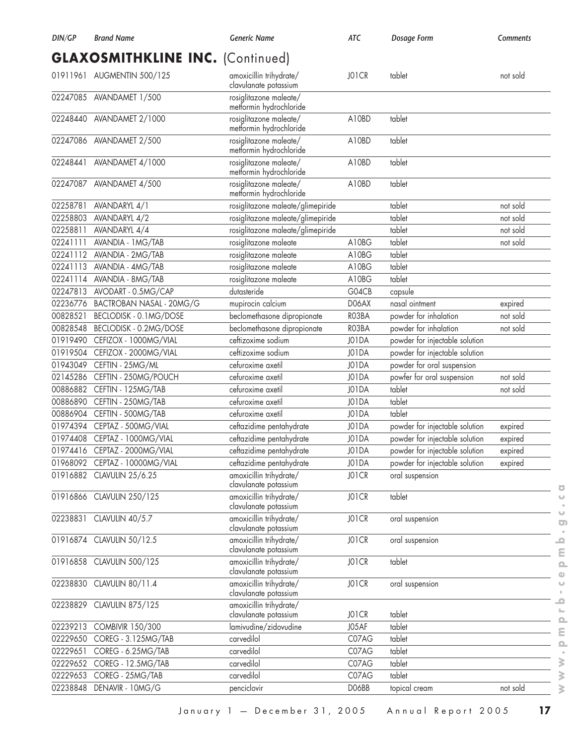| DIN/GP   | <b>Brand Name</b>                                           | <b>Generic Name</b>                               | <b>ATC</b> | Dosage Form                    | Comments |
|----------|-------------------------------------------------------------|---------------------------------------------------|------------|--------------------------------|----------|
|          | <b>GLAXOSMITHKLINE INC. (Continued)</b>                     |                                                   |            |                                |          |
|          | 01911961 AUGMENTIN 500/125                                  | amoxicillin trihydrate/<br>clavulanate potassium  | JO1CR      | tablet                         | not sold |
|          | 02247085 AVANDAMET 1/500                                    | rosiglitazone maleate/<br>metformin hydrochloride |            |                                |          |
| 02248440 | AVANDAMET 2/1000                                            | rosiglitazone maleate/<br>metformin hydrochloride | A10BD      | tablet                         |          |
|          | 02247086 AVANDAMET 2/500                                    | rosiglitazone maleate/<br>metformin hydrochloride | A10BD      | tablet                         |          |
| 02248441 | AVANDAMET 4/1000                                            | rosiglitazone maleate/<br>metformin hydrochloride | A10BD      | tablet                         |          |
|          | 02247087 AVANDAMET 4/500                                    | rosiglitazone maleate/<br>metformin hydrochloride | A10BD      | tablet                         |          |
| 02258781 | AVANDARYL 4/1                                               | rosiglitazone maleate/glimepiride                 |            | tablet                         | not sold |
| 02258803 | AVANDARYL 4/2                                               | rosiglitazone maleate/glimepiride                 |            | tablet                         | not sold |
| 02258811 | AVANDARYL 4/4                                               | rosiglitazone maleate/glimepiride                 |            | tablet                         | not sold |
| 02241111 | AVANDIA - 1 MG/TAB                                          | rosiglitazone maleate                             | A10BG      | tablet                         | not sold |
| 02241112 | AVANDIA - 2MG/TAB                                           | rosiglitazone maleate                             | A10BG      | tablet                         |          |
| 02241113 | AVANDIA - 4MG/TAB                                           | rosiglitazone maleate                             | A10BG      | tablet                         |          |
| 02241114 | AVANDIA - 8MG/TAB                                           | rosiglitazone maleate                             | A10BG      | tablet                         |          |
| 02247813 | AVODART - 0.5MG/CAP                                         | dutasteride                                       | G04CB      | capsule                        |          |
|          | 02236776 BACTROBAN NASAL - 20MG/G                           | mupirocin calcium                                 | D06AX      | nasal ointment                 | expired  |
| 00828521 | BECLODISK - 0.1MG/DOSE                                      | beclomethasone dipropionate                       | RO3BA      | powder for inhalation          | not sold |
| 00828548 | BECLODISK - 0.2MG/DOSE                                      | beclomethasone dipropionate                       | RO3BA      | powder for inhalation          | not sold |
| 01919490 | CEFIZOX - 1000MG/VIAL                                       | ceftizoxime sodium                                | J01DA      | powder for injectable solution |          |
| 01919504 | CEFIZOX - 2000MG/VIAL                                       | ceftizoxime sodium                                | J01DA      | powder for injectable solution |          |
| 01943049 | CEFTIN - 25MG/ML                                            | cefuroxime axetil                                 | J01DA      | powder for oral suspension     |          |
| 02145286 | CEFTIN - 250MG/POUCH                                        | cefuroxime axetil                                 | J01DA      | powfer for oral suspension     | not sold |
| 00886882 | CEFTIN - 125MG/TAB                                          | cefuroxime axetil                                 | J01DA      | tablet                         | not sold |
| 00886890 | CEFTIN - 250MG/TAB                                          | cefuroxime axetil                                 | J01DA      | tablet                         |          |
| 00886904 | CEFTIN - 500MG/TAB                                          | cefuroxime axetil                                 | J01DA      | tablet                         |          |
| 01974394 | CEPTAZ - 500MG/VIAL                                         | ceftazidime pentahydrate                          | J01DA      | powder for injectable solution | expired  |
|          | 01974408 CEPTAZ - 1000MG/VIAL                               | ceftazidime pentahydrate                          | J01DA      | powder for injectable solution |          |
|          |                                                             | ceftazidime pentahydrate                          | J01DA      | powder for injectable solution | expired  |
|          | 01974416 CEPTAZ - 2000MG/VIAL                               | ceftazidime pentahydrate                          | J01DA      |                                | expired  |
|          | 01968092 CEPTAZ - 10000MG/VIAL<br>01916882 CLAVULIN 25/6.25 |                                                   |            | powder for injectable solution | expired  |
|          |                                                             | amoxicillin trihydrate/<br>clavulanate potassium  | JO1CR      | oral suspension                |          |
|          | 01916866 CLAVULIN 250/125                                   | amoxicillin trihydrate/<br>clavulanate potassium  | JO1CR      | tablet                         |          |
| 02238831 | CLAVULIN 40/5.7                                             | amoxicillin trihydrate/<br>clavulanate potassium  | JO1CR      | oral suspension                |          |
|          | 01916874 CLAVULIN 50/12.5                                   | amoxicillin trihydrate/<br>clavulanate potassium  | JO1CR      | oral suspension                |          |
|          | 01916858 CLAVULIN 500/125                                   | amoxicillin trihydrate/<br>clavulanate potassium  | JO1CR      | tablet                         |          |
|          | 02238830 CLAVULIN 80/11.4                                   | amoxicillin trihydrate/<br>clavulanate potassium  | JO1CR      | oral suspension                |          |
|          | 02238829 CLAVULIN 875/125                                   | amoxicillin trihydrate/<br>clavulanate potassium  | JO1CR      | tablet                         |          |
| 02239213 | <b>COMBIVIR 150/300</b>                                     | lamivudine/zidovudine                             | J05AF      | tablet                         |          |
| 02229650 | COREG - 3.125MG/TAB                                         | carvedilol                                        | C07AG      | tablet                         |          |
| 02229651 | COREG - 6.25MG/TAB                                          | carvedilol                                        | C07AG      | tablet                         |          |
| 02229652 | COREG - 12.5MG/TAB                                          | carvedilol                                        | C07AG      | tablet                         |          |
| 02229653 | COREG - 25MG/TAB                                            | carvedilol                                        | C07AG      | tablet                         |          |
| 02238848 | DENAVIR - 10MG/G                                            | penciclovir                                       | DO6BB      | topical cream                  | not sold |
|          |                                                             |                                                   |            |                                |          |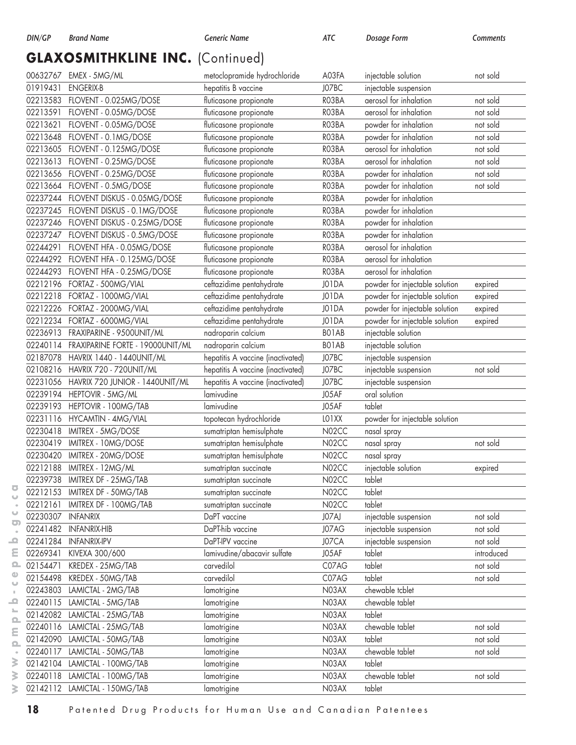#### **GLAXOSMITHKLINE INC.** (Continued)

|          | 00632767 EMEX - 5MG/ML                    | metoclopramide hydrochloride      | A03FA | injectable solution            | not sold   |
|----------|-------------------------------------------|-----------------------------------|-------|--------------------------------|------------|
| 01919431 | <b>ENGERIX-B</b>                          | hepatitis B vaccine               | J07BC | injectable suspension          |            |
|          | 02213583 FLOVENT - 0.025MG/DOSE           | fluticasone propionate            | RO3BA | aerosol for inhalation         | not sold   |
| 02213591 | FLOVENT - 0.05MG/DOSE                     | fluticasone propionate            | RO3BA | aerosol for inhalation         | not sold   |
| 02213621 | FLOVENT - 0.05MG/DOSE                     | fluticasone propionate            | RO3BA | powder for inhalation          | not sold   |
| 02213648 | FLOVENT - 0.1MG/DOSE                      | fluticasone propionate            | RO3BA | powder for inhalation          | not sold   |
|          | 02213605 FLOVENT - 0.125MG/DOSE           | fluticasone propionate            | RO3BA | aerosol for inhalation         | not sold   |
|          | 02213613 FLOVENT - 0.25MG/DOSE            | fluticasone propionate            | RO3BA | aerosol for inhalation         | not sold   |
|          | 02213656 FLOVENT - 0.25MG/DOSE            | fluticasone propionate            | RO3BA | powder for inhalation          | not sold   |
| 02213664 | FLOVENT - 0.5MG/DOSE                      | fluticasone propionate            | RO3BA | powder for inhalation          | not sold   |
|          | 02237244 FLOVENT DISKUS - 0.05MG/DOSE     | fluticasone propionate            | RO3BA | powder for inhalation          |            |
|          | 02237245 FLOVENT DISKUS - 0.1MG/DOSE      | fluticasone propionate            | RO3BA | powder for inhalation          |            |
|          | 02237246 FLOVENT DISKUS - 0.25MG/DOSE     | fluticasone propionate            | RO3BA | powder for inhalation          |            |
|          | 02237247 FLOVENT DISKUS - 0.5MG/DOSE      | fluticasone propionate            | RO3BA | powder for inhalation          |            |
| 02244291 | FLOVENT HFA - 0.05MG/DOSE                 | fluticasone propionate            | RO3BA | aerosol for inhalation         |            |
|          | 02244292 FLOVENT HFA - 0.125MG/DOSE       | fluticasone propionate            | RO3BA | aerosol for inhalation         |            |
|          | 02244293 FLOVENT HFA - 0.25MG/DOSE        | fluticasone propionate            | RO3BA | aerosol for inhalation         |            |
| 02212196 | FORTAZ - 500MG/VIAL                       | ceftazidime pentahydrate          | J01DA | powder for injectable solution | expired    |
| 02212218 | FORTAZ - 1000MG/VIAL                      | ceftazidime pentahydrate          | J01DA | powder for injectable solution | expired    |
|          | 02212226 FORTAZ - 2000MG/VIAL             | ceftazidime pentahydrate          | J01DA | powder for injectable solution | expired    |
|          | 02212234 FORTAZ - 6000MG/VIAL             | ceftazidime pentahydrate          | J01DA | powder for injectable solution | expired    |
|          | 02236913 FRAXIPARINE - 9500UNIT/ML        | nadroparin calcium                | BO1AB | injectable solution            |            |
|          | 02240114 FRAXIPARINE FORTE - 19000UNIT/ML | nadroparin calcium                | BO1AB | injectable solution            |            |
|          | 02187078 HAVRIX 1440 - 1440UNIT/ML        | hepatitis A vaccine (inactivated) | J07BC | injectable suspension          |            |
|          | 02108216 HAVRIX 720 - 720UNIT/ML          | hepatitis A vaccine (inactivated) | J07BC | injectable suspension          | not sold   |
|          | 02231056 HAVRIX 720 JUNIOR - 1440UNIT/ML  | hepatitis A vaccine (inactivated) | J07BC | injectable suspension          |            |
|          | 02239194 HEPTOVIR - 5MG/ML                | lamivudine                        | J05AF | oral solution                  |            |
| 02239193 | HEPTOVIR - 100MG/TAB                      | lamivudine                        | J05AF | tablet                         |            |
| 02231116 | HYCAMTIN - 4MG/VIAL                       | topotecan hydrochloride           | LO1XX | powder for injectable solution |            |
| 02230418 | IMITREX - 5MG/DOSE                        | sumatriptan hemisulphate          | N02CC | nasal spray                    |            |
| 02230419 | IMITREX - 10MG/DOSE                       | sumatriptan hemisulphate          | N02CC | nasal spray                    | not sold   |
| 02230420 | IMITREX - 20MG/DOSE                       | sumatriptan hemisulphate          | N02CC | nasal spray                    |            |
| 02212188 | IMITREX - 12MG/ML                         | sumatriptan succinate             | N02CC | injectable solution            | expired    |
| 02239738 | IMITREX DF - 25MG/TAB                     | sumatriptan succinate             | N02CC | tablet                         |            |
|          | 02212153 IMITREX DF - 50MG/TAB            | sumatriptan succinate             | N02CC | tablet                         |            |
| 02212161 | IMITREX DF - 100MG/TAB                    | sumatriptan succinate             | N02CC | tablet                         |            |
| 02230307 | <b>INFANRIX</b>                           | DaPT vaccine                      | J07AJ | injectable suspension          | not sold   |
| 02241482 | <b>INFANRIX-HIB</b>                       | DaPT-hib vaccine                  | J07AG | injectable suspension          | not sold   |
| 02241284 | <b>INFANRIX-IPV</b>                       | DaPT-IPV vaccine                  | J07CA | injectable suspension          | not sold   |
| 02269341 | KIVEXA 300/600                            | lamivudine/abacavir sulfate       | J05AF | tablet                         | introduced |
| 02154471 | KREDEX - 25MG/TAB                         | carvedilol                        | C07AG | tablet                         | not sold   |
| 02154498 | KREDEX - 50MG/TAB                         | carvedilol                        | C07AG | tablet                         | not sold   |
|          | 02243803 LAMICTAL - 2MG/TAB               | lamotrigine                       | N03AX | chewable tcblet                |            |
|          | 02240115 LAMICTAL - 5MG/TAB               | lamotrigine                       | N03AX | chewable tablet                |            |
|          | 02142082 LAMICTAL - 25MG/TAB              | lamotrigine                       | N03AX | tablet                         |            |
|          | 02240116 LAMICTAL - 25MG/TAB              | lamotrigine                       | N03AX | chewable tablet                | not sold   |
|          | 02142090 LAMICTAL - 50MG/TAB              | lamotrigine                       | N03AX | tablet                         | not sold   |
| 02240117 | LAMICTAL - 50MG/TAB                       | lamotrigine                       | N03AX | chewable tablet                | not sold   |
|          | 02142104 LAMICTAL - 100MG/TAB             | lamotrigine                       | N03AX | tablet                         |            |
|          | 02240118 LAMICTAL - 100MG/TAB             | lamotrigine                       | N03AX | chewable tablet                | not sold   |
|          | 02142112 LAMICTAL - 150MG/TAB             | lamotrigine                       | N03AX | tablet                         |            |

 $\overline{\bullet}$  $\cup$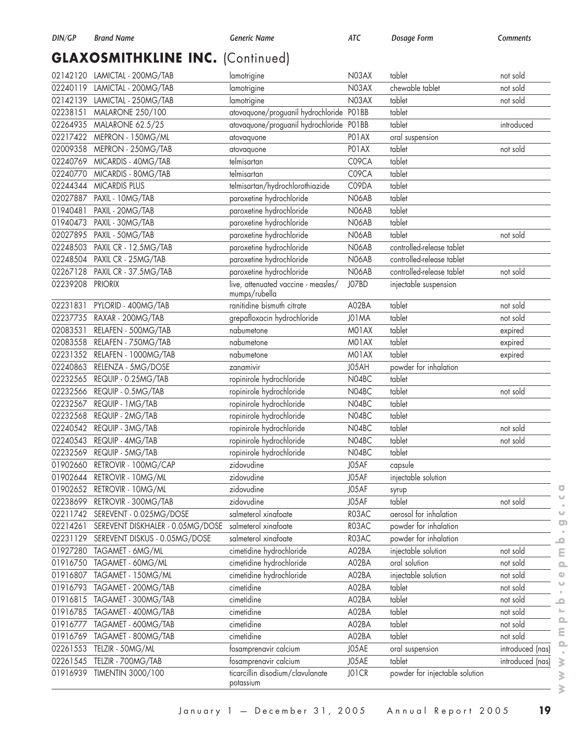# **GLAXOSMITHKLINE INC.** (Continued)

| 02142120 | LAMICTAL - 200MG/TAB                   | lamotrigine                                          | N03AX | tablet                         | not sold         |
|----------|----------------------------------------|------------------------------------------------------|-------|--------------------------------|------------------|
| 02240119 | LAMICTAL - 200MG/TAB                   | lamotrigine                                          | N03AX | chewable tablet                | not sold         |
| 02142139 | LAMICTAL - 250MG/TAB                   | lamotrigine                                          | N03AX | tablet                         | not sold         |
| 02238151 | MALARONE 250/100                       | atovaquone/proguanil hydrochloride                   | PO1BB | tablet                         |                  |
| 02264935 | <b>MALARONE 62.5/25</b>                | atovaquone/proguanil hydrochloride                   | PO1BB | tablet                         | introduced       |
|          | 02217422 MEPRON - 150MG/ML             | atovaquone                                           | PO1AX | oral suspension                |                  |
| 02009358 | MEPRON - 250MG/TAB                     | atovaquone                                           | PO1AX | tablet                         | not sold         |
| 02240769 | MICARDIS - 40MG/TAB                    | telmisartan                                          | C09CA | tablet                         |                  |
| 02240770 | MICARDIS - 80MG/TAB                    | telmisartan                                          | C09CA | tablet                         |                  |
| 02244344 | <b>MICARDIS PLUS</b>                   | telmisartan/hydrochlorothiazide                      | C09DA | tablet                         |                  |
| 02027887 | PAXIL - 10MG/TAB                       | paroxetine hydrochloride                             | N06AB | tablet                         |                  |
| 01940481 | PAXIL - 20MG/TAB                       | paroxetine hydrochloride                             | N06AB | tablet                         |                  |
| 01940473 | PAXIL - 30MG/TAB                       | paroxetine hydrochloride                             | N06AB | tablet                         |                  |
| 02027895 | PAXIL - 50MG/TAB                       | paroxetine hydrochloride                             | N06AB | tablet                         | not sold         |
| 02248503 | PAXIL CR - 12.5MG/TAB                  | paroxetine hydrochloride                             | N06AB | controlled-release tablet      |                  |
| 02248504 | PAXIL CR - 25MG/TAB                    | paroxetine hydrochloride                             | N06AB | controlled-release tablet      |                  |
| 02267128 | PAXIL CR - 37.5MG/TAB                  | paroxetine hydrochloride                             | N06AB | controlled-release tablet      | not sold         |
| 02239208 | <b>PRIORIX</b>                         | live, attenuated vaccine - measles/<br>mumps/rubella | J07BD | injectable suspension          |                  |
| 02231831 | PYLORID - 400MG/TAB                    | ranitidine bismuth citrate                           | A02BA | tablet                         | not sold         |
| 02237735 | RAXAR - 200MG/TAB                      | grepafloxacin hydrochloride                          | J01MA | tablet                         | not sold         |
| 02083531 | RELAFEN - 500MG/TAB                    | nabumetone                                           | M01AX | tablet                         | expired          |
| 02083558 | RELAFEN - 750MG/TAB                    | nabumetone                                           | M01AX | tablet                         | expired          |
| 02231352 | RELAFEN - 1000MG/TAB                   | nabumetone                                           | M01AX | tablet                         | expired          |
| 02240863 | RELENZA - 5MG/DOSE                     | zanamivir                                            | J05AH | powder for inhalation          |                  |
| 02232565 | REQUIP - 0.25MG/TAB                    | ropinirole hydrochloride                             | N04BC | tablet                         |                  |
| 02232566 | REQUIP - 0.5MG/TAB                     | ropinirole hydrochloride                             | N04BC | tablet                         | not sold         |
| 02232567 | REQUIP - 1MG/TAB                       | ropinirole hydrochloride                             | N04BC | tablet                         |                  |
| 02232568 | REQUIP - 2MG/TAB                       | ropinirole hydrochloride                             | N04BC | tablet                         |                  |
| 02240542 | REQUIP - 3MG/TAB                       | ropinirole hydrochloride                             | N04BC | tablet                         | not sold         |
| 02240543 | REQUIP - 4MG/TAB                       | ropinirole hydrochloride                             | N04BC | tablet                         | not sold         |
| 02232569 | REQUIP - 5MG/TAB                       | ropinirole hydrochloride                             | N04BC | tablet                         |                  |
| 01902660 | RETROVIR - 100MG/CAP                   | zidovudine                                           | J05AF | capsule                        |                  |
| 01902644 | RETROVIR - 10MG/ML                     | zidovudine                                           | J05AF | injectable solution            |                  |
|          | 01902652 RETROVIR - 10MG/ML            | zidovudine                                           | J05AF | syrup                          |                  |
| 02238699 | RETROVIR - 300MG/TAB                   | zidovudine                                           | J05AF | tablet                         | not sold         |
| 02211742 | SEREVENT - 0.025MG/DOSE                | salmeterol xinafoate                                 | R03AC | aerosol for inhalation         |                  |
| 02214261 | SEREVENT DISKHALER - 0.05MG/DOSE       | salmeterol xinafoate                                 | R03AC | powder for inhalation          |                  |
|          | 02231129 SEREVENT DISKUS - 0.05MG/DOSE | salmeterol xinafoate                                 | R03AC | powder for inhalation          |                  |
| 01927280 | TAGAMET - 6MG/ML                       | cimetidine hydrochloride                             | A02BA | injectable solution            | not sold         |
| 01916750 | TAGAMET - 60MG/ML                      | cimetidine hydrochloride                             | A02BA | oral solution                  | not sold         |
| 01916807 | TAGAMET - 150MG/ML                     | cimetidine hydrochloride                             | A02BA | injectable solution            | not sold         |
| 01916793 | TAGAMET - 200MG/TAB                    | cimetidine                                           | A02BA | tablet                         | not sold         |
|          | 01916815 TAGAMET - 300MG/TAB           | cimetidine                                           | A02BA | tablet                         | not sold         |
|          | 01916785 TAGAMET - 400MG/TAB           | cimetidine                                           | A02BA | tablet                         | not sold         |
| 01916777 | TAGAMET - 600MG/TAB                    | cimetidine                                           | A02BA | tablet                         | not sold         |
| 01916769 | TAGAMET - 800MG/TAB                    | cimetidine                                           | A02BA | tablet                         | not sold         |
| 02261553 | TELZIR - 50MG/ML                       | fosamprenavir calcium                                | J05AE | oral suspension                | introduced (nas) |
|          | 02261545 TELZIR - 700MG/TAB            | fosamprenavir calcium                                | J05AE | tablet                         | introduced (nas) |
|          | 01916939 TIMENTIN 3000/100             | ticarcillin disodium/clavulanate                     | JO1CR | powder for injectable solution |                  |
|          |                                        | potassium                                            |       |                                |                  |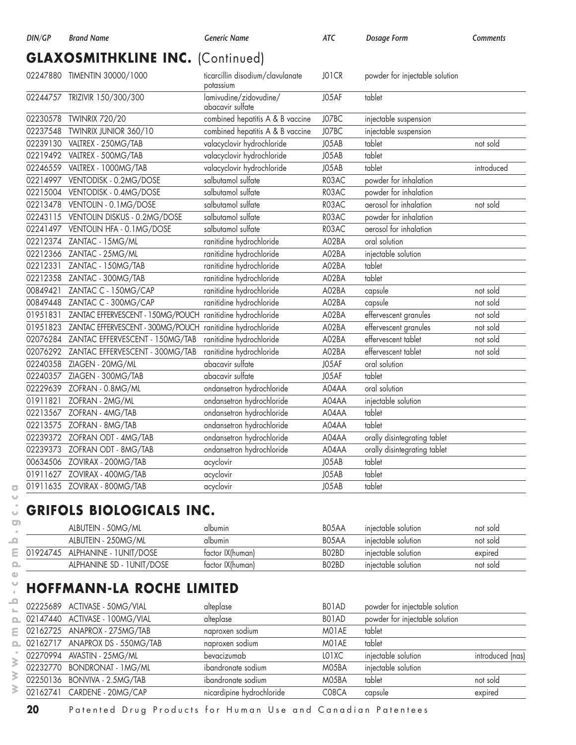# **GLAXOSMITHKLINE INC.** (Continued)

|          | 02247880 TIMENTIN 30000/1000                               | ticarcillin disodium/clavulanate<br>potassium | JO1CR | powder for injectable solution |            |
|----------|------------------------------------------------------------|-----------------------------------------------|-------|--------------------------------|------------|
|          | 02244757 TRIZIVIR 150/300/300                              | lamivudine/zidovudine/<br>abacavir sulfate    | J05AF | tablet                         |            |
|          | 02230578 TWINRIX 720/20                                    | combined hepatitis A & B vaccine              | J07BC | injectable suspension          |            |
|          | 02237548 TWINRIX JUNIOR 360/10                             | combined hepatitis A & B vaccine              | J07BC | injectable suspension          |            |
|          | 02239130    VALTREX - 250MG/TAB                            | valacyclovir hydrochloride                    | J05AB | tablet                         | not sold   |
|          | 02219492    VALTREX - 500MG/TAB                            | valacyclovir hydrochloride                    | J05AB | tablet                         |            |
|          | 02246559 VALTREX - 1000MG/TAB                              | valacyclovir hydrochloride                    | J05AB | tablet                         | introduced |
|          | 02214997 VENTODISK - 0.2MG/DOSE                            | salbutamol sulfate                            | R03AC | powder for inhalation          |            |
|          | 02215004 VENTODISK - 0.4MG/DOSE                            | salbutamol sulfate                            | R03AC | powder for inhalation          |            |
|          | 02213478 VENTOLIN - 0.1MG/DOSE                             | salbutamol sulfate                            | R03AC | aerosol for inhalation         | not sold   |
|          | 02243115 VENTOLIN DISKUS - 0.2MG/DOSE                      | salbutamol sulfate                            | R03AC | powder for inhalation          |            |
|          | 02241497 VENTOLIN HFA - 0.1MG/DOSE                         | salbutamol sulfate                            | R03AC | aerosol for inhalation         |            |
|          | 02212374 ZANTAC - 15MG/ML                                  | ranitidine hydrochloride                      | A02BA | oral solution                  |            |
|          | 02212366 ZANTAC - 25MG/ML                                  | ranitidine hydrochloride                      | A02BA | injectable solution            |            |
| 02212331 | ZANTAC - 150MG/TAB                                         | ranitidine hydrochloride                      | A02BA | tablet                         |            |
|          | 02212358 ZANTAC - 300MG/TAB                                | ranitidine hydrochloride                      | A02BA | tablet                         |            |
| 00849421 | ZANTAC C - 150MG/CAP                                       | ranitidine hydrochloride                      | A02BA | capsule                        | not sold   |
|          | 00849448 ZANTAC C - 300MG/CAP                              | ranitidine hydrochloride                      | A02BA | capsule                        | not sold   |
| 01951831 | ZANTAC EFFERVESCENT - 150MG/POUCH                          | ranitidine hydrochloride                      | A02BA | effervescent granules          | not sold   |
| 01951823 | ZANTAC EFFERVESCENT - 300MG/POUCH ranitidine hydrochloride |                                               | A02BA | effervescent granules          | not sold   |
|          | 02076284 ZANTAC EFFERVESCENT - 150MG/TAB                   | ranitidine hydrochloride                      | A02BA | effervescent tablet            | not sold   |
|          | 02076292 ZANTAC EFFERVESCENT - 300MG/TAB                   | ranitidine hydrochloride                      | A02BA | effervescent tablet            | not sold   |
|          | 02240358 ZIAGEN - 20MG/ML                                  | abacavir sulfate                              | J05AF | oral solution                  |            |
|          | 02240357 ZIAGEN - 300MG/TAB                                | abacavir sulfate                              | J05AF | tablet                         |            |
|          | 02229639 ZOFRAN - 0.8MG/ML                                 | ondansetron hydrochloride                     | A04AA | oral solution                  |            |
| 01911821 | ZOFRAN - 2MG/ML                                            | ondansetron hydrochloride                     | A04AA | injectable solution            |            |
|          | 02213567 ZOFRAN - 4MG/TAB                                  | ondansetron hydrochloride                     | A04AA | tablet                         |            |
|          | 02213575 ZOFRAN - 8MG/TAB                                  | ondansetron hydrochloride                     | A04AA | tablet                         |            |
|          | 02239372 ZOFRAN ODT - 4MG/TAB                              | ondansetron hydrochloride                     | A04AA | orally disintegrating tablet   |            |
|          | 02239373 ZOFRAN ODT - 8MG/TAB                              | ondansetron hydrochloride                     | A04AA | orally disintegrating tablet   |            |
|          | 00634506 ZOVIRAX - 200MG/TAB                               | acyclovir                                     | J05AB | tablet                         |            |
|          | 01911627 ZOVIRAX - 400MG/TAB                               | acyclovir                                     | J05AB | tablet                         |            |
|          | 01911635 ZOVIRAX - 800MG/TAB                               | acyclovir                                     | J05AB | tablet                         |            |

# **GRIFOLS BIOLOGICALS INC.**

| ALBUTEIN - 50MG/ML               | albumin          | B <sub>05</sub> AA | iniectable solution | not sold |
|----------------------------------|------------------|--------------------|---------------------|----------|
| ALBUTEIN - 250MG/ML              | albumin          | B <sub>05</sub> AA | iniectable solution | not sold |
| 01924745 ALPHANINE - 1 UNIT/DOSE | factor IX(human) | BO <sub>2</sub> BD | iniectable solution | expired  |
| ALPHANINE SD - 1 UNIT/DOSE       | factor IX(human) | BO2BD              | iniectable solution | not sold |

## **HOFFMANN-LA ROCHE LIMITED**

| 02225689 ACTIVASE - 50MG/VIAL   | alteplase                 | BO1AD | powder for injectable solution |                  |
|---------------------------------|---------------------------|-------|--------------------------------|------------------|
| 02147440 ACTIVASE - 100MG/VIAL  | alteplase                 | BO1AD | powder for injectable solution |                  |
| 02162725 ANAPROX - 275MG/TAB    | naproxen sodium           | MO1AE | tablet                         |                  |
| 02162717 ANAPROX DS - 550MG/TAB | naproxen sodium           | M01AE | tablet                         |                  |
| 02270994 AVASTIN - 25MG/ML      | bevacizumab               | LO1XC | injectable solution            | introduced (nas) |
| 02232770 BONDRONAT - 1MG/ML     | ibandronate sodium        | M05BA | injectable solution            |                  |
| 02250136 BONVIVA - 2.5MG/TAB    | ibandronate sodium        | M05BA | tablet                         | not sold         |
| 02162741 CARDENE - 20MG/CAP     | nicardipine hydrochloride | C08CA | capsule                        | expired          |

**20** Patented Drug Products for Human Use and Canadian Patentees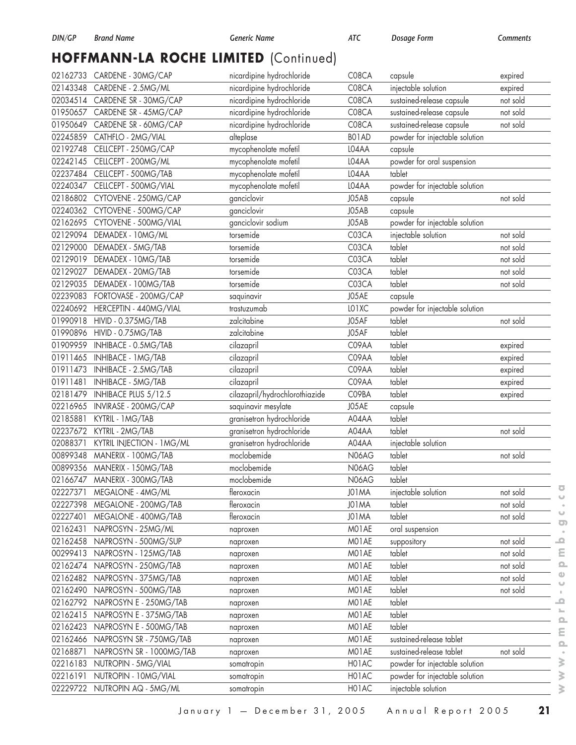# **HOFFMANN-LA ROCHE LIMITED** (Continued)

|                      | 02162733 CARDENE - 30MG/CAP                  | nicardipine hydrochloride      | C08CA          | capsule                                               | expired  |
|----------------------|----------------------------------------------|--------------------------------|----------------|-------------------------------------------------------|----------|
| 02143348             | CARDENE - 2.5MG/ML                           | nicardipine hydrochloride      | C08CA          | injectable solution                                   | expired  |
|                      | 02034514 CARDENE SR - 30MG/CAP               | nicardipine hydrochloride      | C08CA          | sustained-release capsule                             | not sold |
|                      | 01950657 CARDENE SR - 45MG/CAP               | nicardipine hydrochloride      | C08CA          | sustained-release capsule                             | not sold |
|                      | 01950649 CARDENE SR - 60MG/CAP               | nicardipine hydrochloride      | C08CA          | sustained-release capsule                             | not sold |
|                      | 02245859 CATHFLO - 2MG/VIAL                  | alteplase                      | BO1AD          | powder for injectable solution                        |          |
| 02192748             | CELLCEPT - 250MG/CAP                         | mycophenolate mofetil          | L04AA          | capsule                                               |          |
| 02242145             | CELLCEPT - 200MG/ML                          | mycophenolate mofetil          | LO4AA          | powder for oral suspension                            |          |
| 02237484             | CELLCEPT - 500MG/TAB                         | mycophenolate mofetil          | LO4AA          | tablet                                                |          |
| 02240347             | CELLCEPT - 500MG/VIAL                        | mycophenolate mofetil          | L04AA          | powder for injectable solution                        |          |
| 02186802             | CYTOVENE - 250MG/CAP                         | ganciclovir                    | J05AB          | capsule                                               | not sold |
|                      | 02240362 CYTOVENE - 500MG/CAP                | ganciclovir                    | J05AB          | capsule                                               |          |
| 02162695             | CYTOVENE - 500MG/VIAL                        | ganciclovir sodium             | J05AB          | powder for injectable solution                        |          |
| 02129094             | DEMADEX - 10MG/ML                            | torsemide                      | C03CA          | injectable solution                                   | not sold |
| 02129000             | DEMADEX - 5MG/TAB                            | torsemide                      | C03CA          | tablet                                                | not sold |
| 02129019             | DEMADEX - 10MG/TAB                           | torsemide                      | C03CA          | tablet                                                | not sold |
| 02129027             | DEMADEX - 20MG/TAB                           | torsemide                      | C03CA          | tablet                                                | not sold |
| 02129035             | DEMADEX - 100MG/TAB                          | torsemide                      | C03CA          | tablet                                                | not sold |
| 02239083             | FORTOVASE - 200MG/CAP                        | saquinavir                     | J05AE          | capsule                                               |          |
| 02240692             | HERCEPTIN - 440MG/VIAL                       | trastuzumab                    | LO1XC          | powder for injectable solution                        |          |
| 01990918             | HIVID - 0.375MG/TAB                          | zalcitabine                    | J05AF          | tablet                                                | not sold |
| 01990896             | HIVID - 0.75MG/TAB                           | zalcitabine                    | J05AF          | tablet                                                |          |
| 01909959             | INHIBACE - 0.5MG/TAB                         | cilazapril                     | C09AA          | tablet                                                | expired  |
| 01911465             | INHIBACE - 1 MG/TAB                          | cilazapril                     | C09AA          | tablet                                                | expired  |
| 01911473             | INHIBACE - 2.5MG/TAB                         | cilazapril                     | C09AA          | tablet                                                | expired  |
| 01911481             | INHIBACE - 5MG/TAB                           | cilazapril                     | C09AA          | tablet                                                | expired  |
| 02181479             | INHIBACE PLUS 5/12.5                         | cilazapril/hydrochlorothiazide | C09BA          | tablet                                                | expired  |
|                      |                                              |                                |                |                                                       |          |
|                      |                                              |                                |                |                                                       |          |
| 02216965             | INVIRASE - 200MG/CAP                         | saquinavir mesylate            | J05AE          | capsule                                               |          |
| 02185881             | KYTRIL - 1 MG/TAB                            | granisetron hydrochloride      | A04AA          | tablet                                                |          |
| 02237672             | KYTRIL - 2MG/TAB                             | granisetron hydrochloride      | A04AA          | tablet                                                | not sold |
| 02088371             | KYTRIL INJECTION - 1 MG/ML                   | granisetron hydrochloride      | A04AA          | injectable solution                                   |          |
| 00899348             | MANERIX - 100MG/TAB                          | moclobemide                    | N06AG          | tablet                                                | not sold |
| 00899356             | MANERIX - 150MG/TAB                          | moclobemide                    | N06AG          | tablet                                                |          |
| 02166747             | MANERIX - 300MG/TAB                          | moclobemide                    | N06AG          | tablet                                                |          |
|                      | 02227371 MEGALONE - 4MG/ML                   | fleroxacin                     | J01MA          | injectable solution                                   | not sold |
|                      | 02227398 MEGALONE - 200MG/TAB                | fleroxacin                     | J01MA          | tablet                                                | not sold |
| 02227401             | MEGALONE - 400MG/TAB                         | fleroxacin                     | J01MA          | tablet                                                | not sold |
| 02162431             | NAPROSYN - 25MG/ML                           | naproxen                       | M01AE          | oral suspension                                       |          |
| 02162458             | NAPROSYN - 500MG/SUP                         | naproxen                       | MO1AE          | suppository                                           | not sold |
| 00299413             | NAPROSYN - 125MG/TAB                         | naproxen                       | MO1AE          | tablet                                                | not sold |
|                      | 02162474 NAPROSYN - 250MG/TAB                | naproxen                       | MO1AE          | tablet                                                | not sold |
| 02162482             | NAPROSYN - 375MG/TAB                         | naproxen                       | MO1AE          | tablet                                                | not sold |
| 02162490             | NAPROSYN - 500MG/TAB                         | naproxen                       | MO1AE          | tablet                                                | not sold |
| 02162792             | NAPROSYN E - 250MG/TAB                       | naproxen                       | M01AE          | tablet                                                |          |
| 02162415             | NAPROSYN E - 375MG/TAB                       | naproxen                       | M01AE          | tablet                                                |          |
| 02162423             | NAPROSYN E - 500MG/TAB                       | naproxen                       | MO1AE          | tablet                                                |          |
|                      | 02162466 NAPROSYN SR - 750MG/TAB             | naproxen                       | MO1AE          | sustained-release tablet                              |          |
| 02168871             | NAPROSYN SR - 1000MG/TAB                     | naproxen                       | MO1AE          | sustained-release tablet                              | not sold |
| 02216183             | NUTROPIN - 5MG/VIAL                          | somatropin                     | H01AC          | powder for injectable solution                        |          |
| 02216191<br>02229722 | NUTROPIN - 10MG/VIAL<br>NUTROPIN AQ - 5MG/ML | somatropin<br>somatropin       | H01AC<br>H01AC | powder for injectable solution<br>injectable solution |          |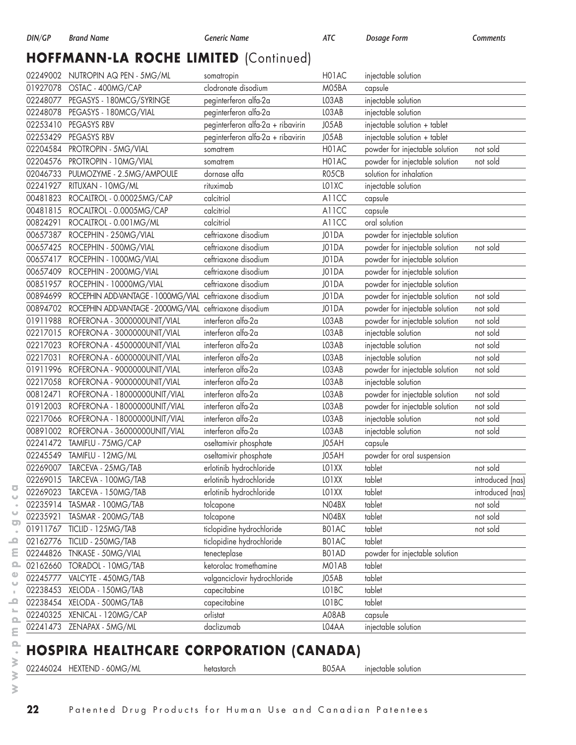# **HOFFMANN-LA ROCHE LIMITED** (Continued)

|          | 02249002 NUTROPIN AQ PEN - 5MG/ML                       | somatropin                        | H01AC | injectable solution            |                  |
|----------|---------------------------------------------------------|-----------------------------------|-------|--------------------------------|------------------|
| 01927078 | OSTAC - 400MG/CAP                                       | clodronate disodium               | M05BA | capsule                        |                  |
|          | 02248077 PEGASYS - 180MCG/SYRINGE                       | peginterferon alfa-2a             | LO3AB | injectable solution            |                  |
| 02248078 | PEGASYS - 180MCG/VIAL                                   | peginterferon alfa-2a             | LO3AB | injectable solution            |                  |
| 02253410 | PEGASYS RBV                                             | peginterferon alfa-2a + ribavirin | J05AB | injectable solution + tablet   |                  |
| 02253429 | <b>PEGASYS RBV</b>                                      | peginterferon alfa-2a + ribavirin | J05AB | injectable solution + tablet   |                  |
| 02204584 | PROTROPIN - 5MG/VIAL                                    | somatrem                          | H01AC | powder for injectable solution | not sold         |
| 02204576 | PROTROPIN - 10MG/VIAL                                   | somatrem                          | H01AC | powder for injectable solution | not sold         |
|          | 02046733 PULMOZYME - 2.5MG/AMPOULE                      | dornase alfa                      | RO5CB | solution for inhalation        |                  |
|          | 02241927 RITUXAN - 10MG/ML                              | rituximab                         | LO1XC | injectable solution            |                  |
| 00481823 | ROCALTROL - 0.00025MG/CAP                               | calcitriol                        | A11CC | capsule                        |                  |
|          | 00481815 ROCALTROL - 0.0005MG/CAP                       | calcitriol                        | A11CC | capsule                        |                  |
| 00824291 | ROCALTROL - 0.001MG/ML                                  | calcitriol                        | A11CC | oral solution                  |                  |
| 00657387 | ROCEPHIN - 250MG/VIAL                                   | ceftriaxone disodium              | J01DA | powder for injectable solution |                  |
|          | 00657425 ROCEPHIN - 500MG/VIAL                          | ceftriaxone disodium              | J01DA | powder for injectable solution | not sold         |
|          | 00657417 ROCEPHIN - 1000MG/VIAL                         | ceftriaxone disodium              | J01DA | powder for injectable solution |                  |
| 00657409 | ROCEPHIN - 2000MG/VIAL                                  | ceftriaxone disodium              | J01DA | powder for injectable solution |                  |
| 00851957 | ROCEPHIN - 10000MG/VIAL                                 | ceftriaxone disodium              | J01DA | powder for injectable solution |                  |
| 00894699 | ROCEPHIN ADD-VANTAGE - 1000MG/VIAL                      | ceftriaxone disodium              | J01DA | powder for injectable solution | not sold         |
| 00894702 | ROCEPHIN ADD-VANTAGE - 2000MG/VIAL ceftriaxone disodium |                                   | J01DA | powder for injectable solution | not sold         |
|          | 01911988 ROFERON-A - 3000000UNIT/VIAL                   | interferon alfa-2a                | LO3AB | powder for injectable solution | not sold         |
| 02217015 | ROFERON-A - 3000000UNIT/VIAL                            | interferon alfa-2a                | LO3AB | injectable solution            | not sold         |
| 02217023 | ROFERON-A - 4500000UNIT/VIAL                            | interferon alfa-2a                | LO3AB | injectable solution            | not sold         |
| 02217031 | ROFERON-A - 6000000UNIT/VIAL                            | interferon alfa-2a                | LO3AB | injectable solution            | not sold         |
|          | 01911996 ROFERON-A - 9000000UNIT/VIAL                   | interferon alfa-2a                | LO3AB | powder for injectable solution | not sold         |
|          | 02217058 ROFERON-A - 9000000UNIT/VIAL                   | interferon alfa-2a                | LO3AB | injectable solution            |                  |
| 00812471 | ROFERON-A - 18000000UNIT/VIAL                           | interferon alfa-2a                | LO3AB | powder for injectable solution | not sold         |
| 01912003 | ROFERON-A - 18000000UNIT/VIAL                           | interferon alfa-2a                | LO3AB | powder for injectable solution | not sold         |
| 02217066 | ROFERON-A - 18000000UNIT/VIAL                           | interferon alfa-2a                | LO3AB | injectable solution            | not sold         |
| 00891002 | ROFERON-A - 36000000UNIT/VIAL                           | interferon alfa-2a                | LO3AB | injectable solution            | not sold         |
| 02241472 | TAMIFLU - 75MG/CAP                                      | oseltamivir phosphate             | J05AH | capsule                        |                  |
|          | 02245549 TAMIFLU - 12MG/ML                              | oseltamivir phosphate             | J05AH | powder for oral suspension     |                  |
|          | 02269007 TARCEVA - 25MG/TAB                             | erlotinib hydrochloride           | LO1XX | tablet                         | not sold         |
|          | 02269015 TARCEVA - 100MG/TAB                            | erlotinib hydrochloride           | LO1XX | tablet                         | introduced (nas) |
| 02269023 | TARCEVA - 150MG/TAB                                     | erlotinib hydrochloride           | LO1XX | tablet                         | introduced (nas) |
| 02235914 | TASMAR - 100MG/TAB                                      | tolcapone                         | N04BX | tablet                         | not sold         |
| 02235921 | TASMAR - 200MG/TAB                                      | tolcapone                         | N04BX | tablet                         | not sold         |
|          | 01911767 TICLID - 125MG/TAB                             | ticlopidine hydrochloride         | BO1AC | tablet                         | not sold         |
|          | 02162776 TICLID - 250MG/TAB                             | ticlopidine hydrochloride         | BO1AC | tablet                         |                  |
|          | 02244826 TNKASE - 50MG/VIAL                             | tenecteplase                      | BO1AD | powder for injectable solution |                  |
|          | 02162660 TORADOL - 10MG/TAB                             | ketorolac tromethamine            | MO1AB | tablet                         |                  |
|          | 02245777 VALCYTE - 450MG/TAB                            | valganciclovir hydrochloride      | J05AB | tablet                         |                  |
| 02238453 | XELODA - 150MG/TAB                                      | capecitabine                      | LO1BC | tablet                         |                  |
|          | 02238454 XELODA - 500MG/TAB                             | capecitabine                      | LO1BC | tablet                         |                  |
|          | 02240325 XENICAL - 120MG/CAP                            | orlistat                          | A08AB | capsule                        |                  |
|          | 02241473 ZENAPAX - 5MG/ML                               | daclizumab                        | L04AA | injectable solution            |                  |

# **HOSPIRA HEALTHCARE CORPORATION (CANADA)**

02246024 HEXTEND - 60MG/ML hetastarch hetastarch B05AA injectable solution

 $\overline{\bullet}$  $\cup$  $\ddot{\phantom{a}}$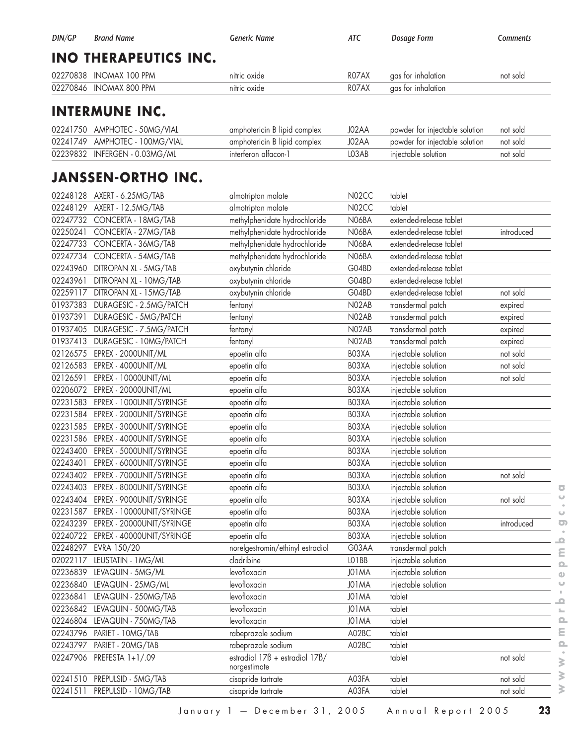| DIN/GP | <b>Brand Name</b>            | Generic Name | ATC   | Dosage Form        | Comments |
|--------|------------------------------|--------------|-------|--------------------|----------|
|        | <b>INO THERAPEUTICS INC.</b> |              |       |                    |          |
|        | 02270838 INOMAX 100 PPM      | nitric oxide | ROZAX | gas for inhalation | not sold |
|        | 02270846 INOMAX 800 PPM      | nitric oxide | ROZAX | gas for inhalation |          |
|        |                              |              |       |                    |          |

#### **INTERMUNE INC.**

| 02241750 AMPHOTEC - 50MG/VIAL  | amphotericin B lipid complex | J02AA | powder for injectable solution | not sold |
|--------------------------------|------------------------------|-------|--------------------------------|----------|
| 02241749 AMPHOTEC - 100MG/VIAL | amphotericin B lipid complex | J02AA | powder for injectable solution | not sold |
| 02239832 INFERGEN - 0.03MG/ML  | interferon alfacon-1         | LO3AB | iniectable solution            | not sold |

#### **JANSSEN-ORTHO INC.**

|          | 02248128 AXERT - 6.25MG/TAB    | almotriptan malate                             | N02CC | tablet                  |            |
|----------|--------------------------------|------------------------------------------------|-------|-------------------------|------------|
| 02248129 | AXERT - 12.5MG/TAB             | almotriptan malate                             | N02CC | tablet                  |            |
| 02247732 | CONCERTA - 18MG/TAB            | methylphenidate hydrochloride                  | N06BA | extended-release tablet |            |
| 02250241 | CONCERTA - 27MG/TAB            | methylphenidate hydrochloride                  | N06BA | extended-release tablet | introduced |
| 02247733 | CONCERTA - 36MG/TAB            | methylphenidate hydrochloride                  | N06BA | extended-release tablet |            |
| 02247734 | CONCERTA - 54MG/TAB            | methylphenidate hydrochloride                  | N06BA | extended-release tablet |            |
|          | 02243960 DITROPAN XL - 5MG/TAB | oxybutynin chloride                            | G04BD | extended-release tablet |            |
| 02243961 | DITROPAN XL - 10MG/TAB         | oxybutynin chloride                            | G04BD | extended-release tablet |            |
| 02259117 | DITROPAN XL - 15MG/TAB         | oxybutynin chloride                            | G04BD | extended-release tablet | not sold   |
| 01937383 | DURAGESIC - 2.5MG/PATCH        | fentanyl                                       | N02AB | transdermal patch       | expired    |
| 01937391 | DURAGESIC - 5MG/PATCH          | fentanyl                                       | N02AB | transdermal patch       | expired    |
| 01937405 | DURAGESIC - 7.5MG/PATCH        | fentanyl                                       | N02AB | transdermal patch       | expired    |
| 01937413 | DURAGESIC - 10MG/PATCH         | fentanyl                                       | N02AB | transdermal patch       | expired    |
|          | 02126575 EPREX - 2000UNIT/ML   | epoetin alfa                                   | BO3XA | injectable solution     | not sold   |
| 02126583 | EPREX - 4000UNIT/ML            | epoetin alfa                                   | BO3XA | injectable solution     | not sold   |
| 02126591 | EPREX - 10000UNIT/ML           | epoetin alfa                                   | B03XA | injectable solution     | not sold   |
| 02206072 | EPREX - 20000UNIT/ML           | epoetin alfa                                   | BO3XA | injectable solution     |            |
| 02231583 | EPREX - 1000UNIT/SYRINGE       | epoetin alfa                                   | BO3XA | injectable solution     |            |
| 02231584 | EPREX - 2000UNIT/SYRINGE       | epoetin alfa                                   | BO3XA | injectable solution     |            |
| 02231585 | EPREX - 3000UNIT/SYRINGE       | epoetin alfa                                   | BO3XA | injectable solution     |            |
| 02231586 | EPREX - 4000UNIT/SYRINGE       | epoetin alfa                                   | BO3XA | injectable solution     |            |
| 02243400 | EPREX - 5000UNIT/SYRINGE       | epoetin alfa                                   | BO3XA | injectable solution     |            |
| 02243401 | EPREX - 6000UNIT/SYRINGE       | epoetin alfa                                   | BO3XA | injectable solution     |            |
| 02243402 | EPREX - 7000UNIT/SYRINGE       | epoetin alfa                                   | BO3XA | injectable solution     | not sold   |
| 02243403 | EPREX - 8000UNIT/SYRINGE       | epoetin alfa                                   | BO3XA | injectable solution     |            |
| 02243404 | EPREX - 9000UNIT/SYRINGE       | epoetin alfa                                   | BO3XA | injectable solution     | not sold   |
| 02231587 | EPREX - 10000UNIT/SYRINGE      | epoetin alfa                                   | BO3XA | injectable solution     |            |
| 02243239 | EPREX - 20000UNIT/SYRINGE      | epoetin alfa                                   | BO3XA | injectable solution     | introduced |
| 02240722 | EPREX - 40000UNIT/SYRINGE      | epoetin alfa                                   | BO3XA | injectable solution     |            |
| 02248297 | EVRA 150/20                    | norelgestromin/ethinyl estradiol               | G03AA | transdermal patch       |            |
| 02022117 | LEUSTATIN - 1 MG/ML            | cladribine                                     | LO1BB | injectable solution     |            |
| 02236839 | LEVAQUIN - 5MG/ML              | levofloxacin                                   | J01MA | injectable solution     |            |
| 02236840 | LEVAQUIN - 25MG/ML             | levofloxacin                                   | J01MA | injectable solution     |            |
| 02236841 | LEVAQUIN - 250MG/TAB           | levofloxacin                                   | J01MA | tablet                  |            |
|          | 02236842 LEVAQUIN - 500MG/TAB  | levofloxacin                                   | J01MA | tablet                  |            |
|          | 02246804 LEVAQUIN - 750MG/TAB  | levofloxacin                                   | J01MA | tablet                  |            |
| 02243796 | PARIET - 10MG/TAB              | rabeprazole sodium                             | A02BC | tablet                  |            |
| 02243797 | PARIET - 20MG/TAB              | rabeprazole sodium                             | A02BC | tablet                  |            |
| 02247906 | PREFESTA 1+1/.09               | estradiol 178 + estradiol 17B/<br>norgestimate |       | tablet                  | not sold   |
| 02241510 | PREPULSID - 5MG/TAB            | cisapride tartrate                             | A03FA | tablet                  | not sold   |
| 02241511 | PREPULSID - 10MG/TAB           | cisapride tartrate                             | A03FA | tablet                  | not sold   |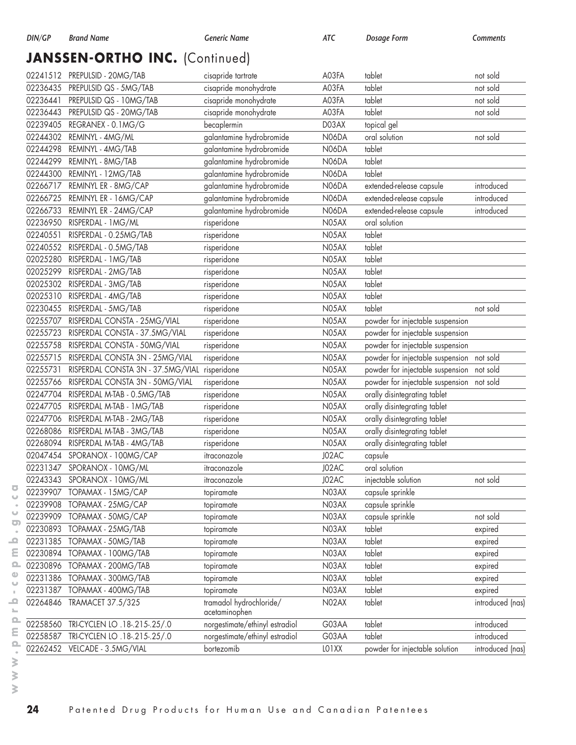## JANSSEN-ORTHO INC. (Continued)

|          | 02241512 PREPULSID - 20MG/TAB            | cisapride tartrate             | A03FA        | tablet                                    | not sold         |
|----------|------------------------------------------|--------------------------------|--------------|-------------------------------------------|------------------|
|          | 02236435 PREPULSID QS - 5MG/TAB          | cisapride monohydrate          | A03FA        | tablet                                    | not sold         |
| 02236441 | PREPULSID QS - 10MG/TAB                  | cisapride monohydrate          | A03FA        | tablet                                    | not sold         |
| 02236443 | PREPULSID QS - 20MG/TAB                  | cisapride monohydrate          | A03FA        | tablet                                    | not sold         |
|          | 02239405 REGRANEX - 0.1MG/G              | becaplermin                    | D03AX        | topical gel                               |                  |
| 02244302 | REMINYL - 4MG/ML                         | galantamine hydrobromide       | N06DA        | oral solution                             | not sold         |
| 02244298 | REMINYL - 4MG/TAB                        | galantamine hydrobromide       | N06DA        | tablet                                    |                  |
| 02244299 | REMINYL - 8MG/TAB                        | galantamine hydrobromide       | N06DA        | tablet                                    |                  |
| 02244300 | REMINYL - 12MG/TAB                       | galantamine hydrobromide       | N06DA        | tablet                                    |                  |
|          | 02266717 REMINYL ER - 8MG/CAP            | galantamine hydrobromide       | N06DA        | extended-release capsule                  | introduced       |
| 02266725 | REMINYL ER - 16MG/CAP                    | galantamine hydrobromide       | <b>N06DA</b> | extended-release capsule                  | introduced       |
| 02266733 | REMINYL ER - 24MG/CAP                    | galantamine hydrobromide       | <b>N06DA</b> | extended-release capsule                  | introduced       |
| 02236950 | RISPERDAL - 1 MG/ML                      | risperidone                    | N05AX        | oral solution                             |                  |
| 02240551 | RISPERDAL - 0.25MG/TAB                   | risperidone                    | N05AX        | tablet                                    |                  |
|          | 02240552 RISPERDAL - 0.5MG/TAB           | risperidone                    | N05AX        | tablet                                    |                  |
| 02025280 | RISPERDAL - 1 MG/TAB                     | risperidone                    | N05AX        | tablet                                    |                  |
| 02025299 | RISPERDAL - 2MG/TAB                      | risperidone                    | N05AX        | tablet                                    |                  |
| 02025302 | RISPERDAL - 3MG/TAB                      | risperidone                    | N05AX        | tablet                                    |                  |
| 02025310 | RISPERDAL - 4MG/TAB                      | risperidone                    | N05AX        | tablet                                    |                  |
| 02230455 | RISPERDAL - 5MG/TAB                      | risperidone                    | N05AX        | tablet                                    | not sold         |
|          | 02255707 RISPERDAL CONSTA - 25MG/VIAL    | risperidone                    | N05AX        | powder for injectable suspension          |                  |
| 02255723 | RISPERDAL CONSTA - 37.5MG/VIAL           | risperidone                    | N05AX        | powder for injectable suspension          |                  |
| 02255758 | RISPERDAL CONSTA - 50MG/VIAL             | risperidone                    | N05AX        | powder for injectable suspension          |                  |
|          | 02255715 RISPERDAL CONSTA 3N - 25MG/VIAL | risperidone                    | N05AX        | powder for injectable suspension not sold |                  |
| 02255731 | RISPERDAL CONSTA 3N - 37.5MG/VIAL        | risperidone                    | N05AX        | powder for injectable suspension not sold |                  |
| 02255766 | RISPERDAL CONSTA 3N - 50MG/VIAL          | risperidone                    | N05AX        | powder for injectable suspension not sold |                  |
|          | 02247704 RISPERDAL M-TAB - 0.5MG/TAB     | risperidone                    | N05AX        | orally disintegrating tablet              |                  |
| 02247705 | RISPERDAL M-TAB - 1 MG/TAB               | risperidone                    | N05AX        | orally disintegrating tablet              |                  |
| 02247706 | RISPERDAL M-TAB - 2MG/TAB                | risperidone                    | N05AX        | orally disintegrating tablet              |                  |
| 02268086 | RISPERDAL M-TAB - 3MG/TAB                | risperidone                    | N05AX        | orally disintegrating tablet              |                  |
| 02268094 | RISPERDAL M-TAB - 4MG/TAB                | risperidone                    | N05AX        | orally disintegrating tablet              |                  |
| 02047454 | SPORANOX - 100MG/CAP                     | itraconazole                   | J02AC        | capsule                                   |                  |
|          | 02231347 SPORANOX - 10MG/ML              | itraconazole                   | J02AC        | oral solution                             |                  |
|          | 02243343 SPORANOX - 10MG/ML              | itraconazole                   | J02AC        | injectable solution                       | not sold         |
| 02239907 | TOPAMAX - 15MG/CAP                       | topiramate                     | N03AX        | capsule sprinkle                          |                  |
| 02239908 | TOPAMAX - 25MG/CAP                       | topiramate                     | N03AX        | capsule sprinkle                          |                  |
| 02239909 | TOPAMAX - 50MG/CAP                       | topiramate                     | N03AX        | capsule sprinkle                          | not sold         |
|          | 02230893 TOPAMAX - 25MG/TAB              | topiramate                     | N03AX        | tablet                                    | expired          |
|          | 02231385 TOPAMAX - 50MG/TAB              | topiramate                     | N03AX        | tablet                                    | expired          |
| 02230894 | TOPAMAX - 100MG/TAB                      | topiramate                     | N03AX        | tablet                                    | expired          |
|          | 02230896 TOPAMAX - 200MG/TAB             | topiramate                     | N03AX        | tablet                                    | expired          |
|          | 02231386 TOPAMAX - 300MG/TAB             | topiramate                     | N03AX        | tablet                                    | expired          |
| 02231387 | TOPAMAX - 400MG/TAB                      | topiramate                     | N03AX        | tablet                                    | expired          |
| 02264846 | TRAMACET 37.5/325                        | tramadol hydrochloride/        | N02AX        | tablet                                    | introduced (nas) |
|          |                                          | acetaminophen                  |              |                                           |                  |
| 02258560 | TRI-CYCLEN LO .18-.215-.25/.0            | norgestimate/ethinyl estradiol | G03AA        | tablet                                    | introduced       |
| 02258587 | TRI-CYCLEN LO .18-.215-.25/.0            | norgestimate/ethinyl estradiol | G03AA        | tablet                                    | introduced       |
|          | 02262452 VELCADE - 3.5MG/VIAL            | bortezomib                     | LO1XX        | powder for injectable solution            | introduced (nas) |

 $\overline{\bullet}$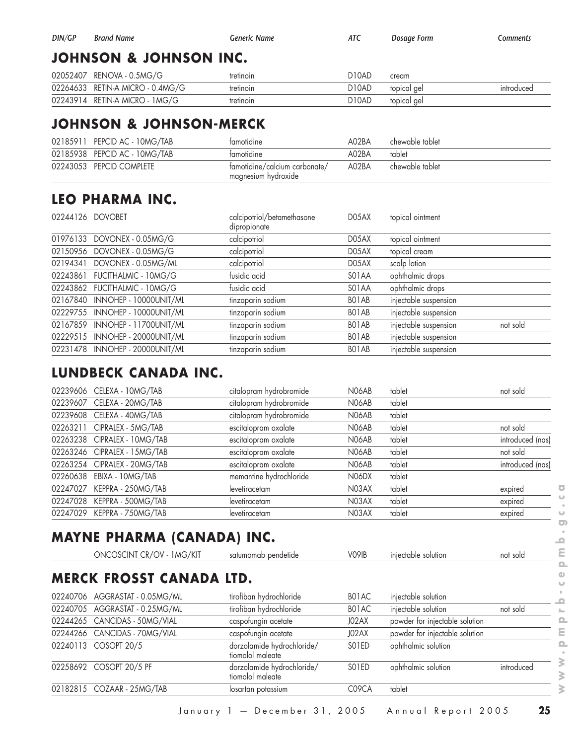| DIN/GP | <b>Brand Name</b>                 | Generic Name | ATC   | Dosage Form | Comments |  |  |  |
|--------|-----------------------------------|--------------|-------|-------------|----------|--|--|--|
|        | <b>JOHNSON &amp; JOHNSON INC.</b> |              |       |             |          |  |  |  |
|        | 02052407 RENOVA - 0.5MG/G         | tretinoin    | D10AD | cream       |          |  |  |  |
|        |                                   |              |       |             |          |  |  |  |

| VLVJL4V/        | <u>NLI YU YA TUJUYIU/ U</u>    | $\overline{11}$ chilotii | <b>DIVAD</b> | <b>CIGAIL</b> |            |
|-----------------|--------------------------------|--------------------------|--------------|---------------|------------|
| 02264633        | RFTIN-A<br>MICRO - L<br>.4MG/G | tretinoin                | D10AD        | topical ael   | 'ntroduceo |
| 0224391<br>ا 4، | <b>RETIN-A MICRO</b><br>1MG/G  | tretinoin                | D10AD        | topical ael   |            |

#### **JOHNSON & JOHNSON-MERCK**

| 02185911 PEPCID AC - 10MG/TAB | tamotidine                                           | A02BA | chewable tablet |
|-------------------------------|------------------------------------------------------|-------|-----------------|
| 02185938 PEPCID AC - 10MG/TAB | tamotidine                                           | A02BA | tablet          |
| 02243053 PEPCID COMPLETE      | famotidine/calcium carbonate/<br>magnesium hydroxide | A02BA | chewable tablet |

## **LEO PHARMA INC.**

| 02244126 DOVOBET |                                 | calcipotriol/betamethasone<br>dipropionate | D05AX              | topical ointment                  |
|------------------|---------------------------------|--------------------------------------------|--------------------|-----------------------------------|
|                  | 01976133 DOVONEX - 0.05MG/G     | calcipotriol                               | D05AX              | topical ointment                  |
|                  | 02150956 DOVONEX - 0.05MG/G     | calcipotriol                               | D05AX              | topical cream                     |
| 02194341         | DOVONEX - 0.05MG/ML             | calcipotriol                               | D05AX              | scalp lotion                      |
|                  | 02243861 FUCITHALMIC - 10MG/G   | fusidic acid                               | SO <sub>1</sub> AA | ophthalmic drops                  |
|                  | 02243862 FUCITHALMIC - 10MG/G   | fusidic acid                               | SO <sub>1</sub> AA | ophthalmic drops                  |
|                  | 02167840 INNOHEP - 10000UNIT/ML | tinzaparin sodium                          | BO1AB              | injectable suspension             |
|                  | 02229755 INNOHEP - 10000UNIT/ML | tinzaparin sodium                          | BO1AB              | injectable suspension             |
|                  | 02167859 INNOHEP - 11700UNIT/ML | tinzaparin sodium                          | BO1AB              | injectable suspension<br>not sold |
|                  | 02229515 INNOHEP - 20000UNIT/ML | tinzaparin sodium                          | BO1AB              | injectable suspension             |
|                  | 02231478 INNOHEP - 20000UNIT/ML | tinzaparin sodium                          | BO1AB              | injectable suspension             |

#### **LUNDBECK CANADA INC.**

| 02239606 CELEXA - 10MG/TAB   | citalopram hydrobromide | N <sub>06</sub> AB | tablet | not sold         |
|------------------------------|-------------------------|--------------------|--------|------------------|
| 02239607 CELEXA - 20MG/TAB   | citalopram hydrobromide | N06AB              | tablet |                  |
| 02239608 CELEXA - 40MG/TAB   | citalopram hydrobromide | N06AB              | tablet |                  |
| 02263211 CIPRALEX - 5MG/TAB  | escitalopram oxalate    | N06AB              | tablet | not sold         |
| 02263238 CIPRALEX - 10MG/TAB | escitalopram oxalate    | N06AB              | tablet | introduced (nas) |
| 02263246 CIPRALEX - 15MG/TAB | escitalopram oxalate    | N06AB              | tablet | not sold         |
| 02263254 CIPRALEX - 20MG/TAB | escitalopram oxalate    | N06AB              | tablet | introduced (nas) |
| 02260638 EBIXA - 10MG/TAB    | memantine hydrochloride | N06DX              | tablet |                  |
| 02247027 KEPPRA - 250MG/TAB  | levetiracetam           | N03AX              | tablet | expired          |
| 02247028 KEPPRA - 500MG/TAB  | levetiracetam           | N03AX              | tablet | expired          |
| 02247029 KEPPRA - 750MG/TAB  | levetiracetam           | N03AX              | tablet | expired          |
|                              |                         |                    |        |                  |

# **MAYNE PHARMA (CANADA) INC.**

| ONCOSCINT CR/OV - 1 MG/KIT      | satumomab pendetide                            | V <sub>09</sub> IB | injectable solution            | not sold   |
|---------------------------------|------------------------------------------------|--------------------|--------------------------------|------------|
| <b>MERCK FROSST CANADA LTD.</b> |                                                |                    |                                |            |
| 02240706 AGGRASTAT - 0.05MG/ML  | tirofiban hydrochloride                        | BO <sub>1</sub> AC | injectable solution            |            |
| 02240705 AGGRASTAT - 0.25MG/ML  | tirofiban hydrochloride                        | BO1AC              | injectable solution            | not sold   |
| 02244265 CANCIDAS - 50MG/VIAL   | caspofungin acetate                            | J02AX              | powder for injectable solution |            |
| 02244266 CANCIDAS - 70MG/VIAL   | caspofungin acetate                            | J02AX              | powder for injectable solution |            |
| 02240113 COSOPT 20/5            | dorzolamide hydrochloride/<br>tiomolol maleate | SO <sub>1</sub> ED | ophthalmic solution            |            |
| 02258692 COSOPT 20/5 PF         | dorzolamide hydrochloride/<br>tiomolol maleate | SO <sub>1</sub> ED | ophthalmic solution            | introduced |
| 02182815 COZAAR - 25MG/TAB      | losartan potassium                             | C <sub>09</sub> CA | tablet                         |            |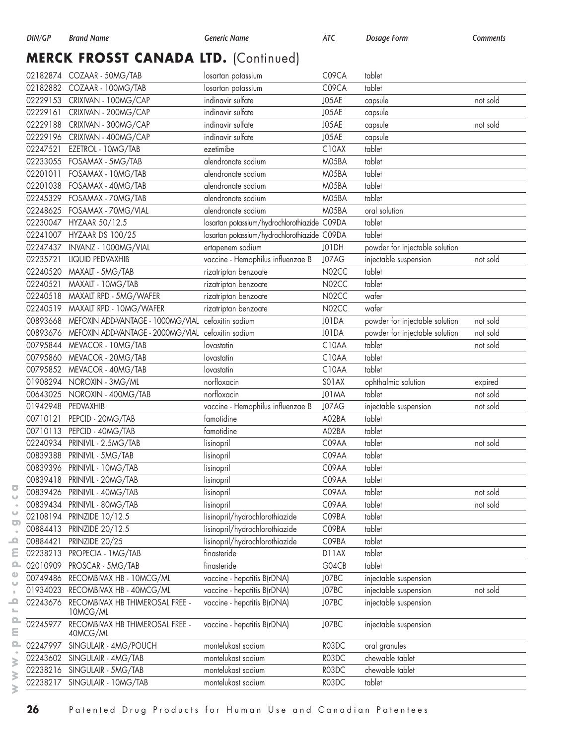# **MERCK FROSST CANADA LTD.** (Continued)

|          | 02182874 COZAAR - 50MG/TAB                                  | losartan potassium                           | C09CA | tablet                         |          |
|----------|-------------------------------------------------------------|----------------------------------------------|-------|--------------------------------|----------|
|          | 02182882 COZAAR - 100MG/TAB                                 | losartan potassium                           | C09CA | tablet                         |          |
|          | 02229153 CRIXIVAN - 100MG/CAP                               | indinavir sulfate                            | J05AE | capsule                        | not sold |
|          | 02229161 CRIXIVAN - 200MG/CAP                               | indinavir sulfate                            | J05AE | capsule                        |          |
|          | 02229188 CRIXIVAN - 300MG/CAP                               | indinavir sulfate                            | J05AE | capsule                        | not sold |
| 02229196 | CRIXIVAN - 400MG/CAP                                        | indinavir sulfate                            | J05AE | capsule                        |          |
| 02247521 | EZETROL - 10MG/TAB                                          | ezetimibe                                    | C10AX | tablet                         |          |
| 02233055 | FOSAMAX - 5MG/TAB                                           | alendronate sodium                           | M05BA | tablet                         |          |
| 02201011 | FOSAMAX - 10MG/TAB                                          | alendronate sodium                           | M05BA | tablet                         |          |
|          | 02201038 FOSAMAX - 40MG/TAB                                 | alendronate sodium                           | M05BA | tablet                         |          |
|          | 02245329 FOSAMAX - 70MG/TAB                                 | alendronate sodium                           | M05BA | tablet                         |          |
| 02248625 | FOSAMAX - 70MG/VIAL                                         | alendronate sodium                           | M05BA | oral solution                  |          |
| 02230047 | HYZAAR 50/12.5                                              | losartan potassium/hydrochlorothiazide C09DA |       | tablet                         |          |
| 02241007 | <b>HYZAAR DS 100/25</b>                                     | losartan potassium/hydrochlorothiazide C09DA |       | tablet                         |          |
| 02247437 | INVANZ - 1000MG/VIAL                                        | ertapenem sodium                             | J01DH | powder for injectable solution |          |
| 02235721 | LIQUID PEDVAXHIB                                            | vaccine - Hemophilus influenzae B            | J07AG | injectable suspension          | not sold |
| 02240520 | MAXALT - 5MG/TAB                                            | rizatriptan benzoate                         | N02CC | tablet                         |          |
| 02240521 | MAXALT - 10MG/TAB                                           | rizatriptan benzoate                         | N02CC | tablet                         |          |
| 02240518 | MAXALT RPD - 5MG/WAFER                                      | rizatriptan benzoate                         | N02CC | wafer                          |          |
| 02240519 | MAXALT RPD - 10MG/WAFER                                     | rizatriptan benzoate                         | N02CC | wafer                          |          |
| 00893668 | MEFOXIN ADD-VANTAGE - 1000MG/VIAL                           | cefoxitin sodium                             | J01DA | powder for injectable solution | not sold |
|          | 00893676 MEFOXIN ADD-VANTAGE - 2000MG/VIAL cefoxitin sodium |                                              | J01DA | powder for injectable solution | not sold |
| 00795844 | MEVACOR - 10MG/TAB                                          |                                              | C10AA | tablet                         | not sold |
| 00795860 |                                                             | lovastatin<br>lovastatin                     | C10AA | tablet                         |          |
|          | MEVACOR - 20MG/TAB                                          |                                              | C10AA | tablet                         |          |
|          | 00795852 MEVACOR - 40MG/TAB                                 | lovastatin<br>norfloxacin                    |       |                                |          |
| 01908294 | NOROXIN - 3MG/ML                                            |                                              | SO1AX | ophthalmic solution            | expired  |
| 00643025 | NOROXIN - 400MG/TAB                                         | norfloxacin                                  | J01MA | tablet                         | not sold |
| 01942948 | PEDVAXHIB                                                   | vaccine - Hemophilus influenzae B            | J07AG | injectable suspension          | not sold |
| 00710121 | PEPCID - 20MG/TAB                                           | famotidine                                   | A02BA | tablet                         |          |
| 00710113 | PEPCID - 40MG/TAB                                           | famotidine                                   | A02BA | tablet                         |          |
| 02240934 | PRINIVIL - 2.5MG/TAB                                        | lisinopril                                   | C09AA | tablet                         | not sold |
| 00839388 | PRINIVIL - 5MG/TAB                                          | lisinopril                                   | C09AA | tablet                         |          |
|          | 00839396 PRINIVIL - 10MG/TAB                                | lisinopril                                   | C09AA | tablet                         |          |
|          | 00839418 PRINIVIL - 20MG/TAB                                | lisinopril                                   | C09AA | tablet                         |          |
|          | 00839426 PRINIVIL - 40MG/TAB                                | lisinopril                                   | C09AA | tablet                         | not sold |
| 00839434 | PRINIVIL - 80MG/TAB                                         | lisinopril                                   | C09AA | tablet                         | not sold |
| 02108194 | PRINZIDE 10/12.5                                            | lisinopril/hydrochlorothiazide               | C09BA | tablet                         |          |
| 00884413 | PRINZIDE 20/12.5                                            | lisinopril/hydrochlorothiazide               | C09BA | tablet                         |          |
| 00884421 | PRINZIDE 20/25                                              | lisinopril/hydrochlorothiazide               | C09BA | tablet                         |          |
| 02238213 | PROPECIA - 1 MG/TAB                                         | finasteride                                  | D11AX | tablet                         |          |
| 02010909 | PROSCAR - 5MG/TAB                                           | finasteride                                  | G04CB | tablet                         |          |
| 00749486 | RECOMBIVAX HB - 10MCG/ML                                    | vaccine - hepatitis B(rDNA)                  | J07BC | injectable suspension          |          |
| 01934023 | RECOMBIVAX HB - 40MCG/ML                                    | vaccine - hepatitis B(rDNA)                  | J07BC | injectable suspension          | not sold |
| 02243676 | RECOMBIVAX HB THIMEROSAL FREE -<br>10MCG/ML                 | vaccine - hepatitis B(rDNA)                  | J07BC | injectable suspension          |          |
| 02245977 | RECOMBIVAX HB THIMEROSAL FREE -<br>40MCG/ML                 | vaccine - hepatitis B(rDNA)                  | J07BC | injectable suspension          |          |
| 02247997 | SINGULAIR - 4MG/POUCH                                       | montelukast sodium                           | R03DC | oral granules                  |          |
| 02243602 | SINGULAIR - 4MG/TAB                                         | montelukast sodium                           | R03DC | chewable tablet                |          |
| 02238216 | SINGULAIR - 5MG/TAB                                         | montelukast sodium                           | R03DC | chewable tablet                |          |
| 02238217 | SINGULAIR - 10MG/TAB                                        | montelukast sodium                           | R03DC | tablet                         |          |

 $\overline{\bullet}$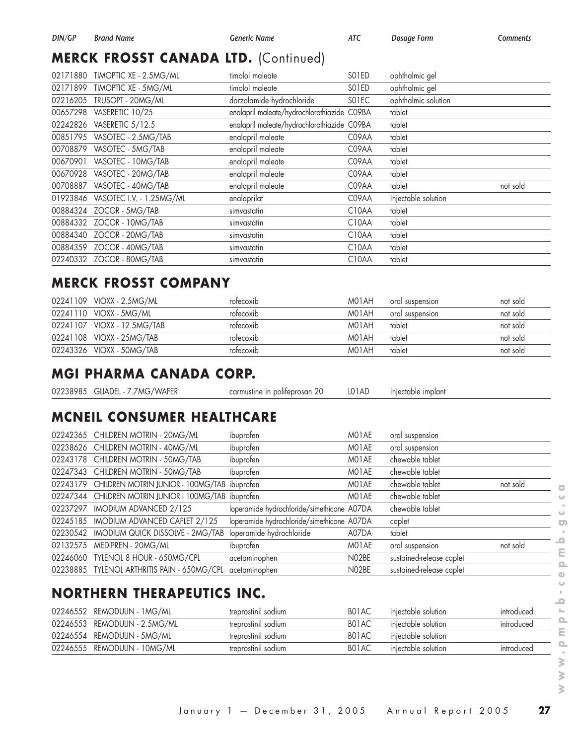# **MERCK FROSST CANADA LTD.** (Continued)

| 02171880 | TIMOPTIC XE - 2.5MG/ML    | timolol maleate                             | SO1ED              | ophthalmic gel      |          |
|----------|---------------------------|---------------------------------------------|--------------------|---------------------|----------|
| 02171899 | TIMOPTIC XE - 5MG/ML      | timolol maleate                             | SO <sub>1</sub> ED | ophthalmic gel      |          |
| 02216205 | TRUSOPT - 20MG/ML         | dorzolamide hydrochloride                   | SO1EC              | ophthalmic solution |          |
| 00657298 | VASERETIC 10/25           | enalapril maleate/hydrochlorothiazide C09BA |                    | tablet              |          |
| 02242826 | VASERETIC 5/12.5          | enalapril maleate/hydrochlorothiazide C09BA |                    | tablet              |          |
| 00851795 | VASOTEC - 2.5MG/TAB       | enalapril maleate                           | C09AA              | tablet              |          |
| 00708879 | VASOTEC - 5MG/TAB         | enalapril maleate                           | C09AA              | tablet              |          |
| 00670901 | VASOTEC - 10MG/TAB        | enalapril maleate                           | C09AA              | tablet              |          |
| 00670928 | VASOTEC - 20MG/TAB        | enalapril maleate                           | C09AA              | tablet              |          |
| 00708887 | VASOTEC - 40MG/TAB        | enalapril maleate                           | C09AA              | tablet              | not sold |
| 01923846 | VASOTEC I.V. - 1.25MG/ML  | enalaprilat                                 | C09AA              | injectable solution |          |
|          | 00884324 ZOCOR - 5MG/TAB  | simvastatin                                 | C <sub>10</sub> AA | tablet              |          |
| 00884332 | ZOCOR - 10MG/TAB          | simvastatin                                 | C <sub>10</sub> AA | tablet              |          |
|          | 00884340 ZOCOR - 20MG/TAB | simvastatin                                 | C <sub>10</sub> AA | tablet              |          |
| 00884359 | ZOCOR - 40MG/TAB          | simvastatin                                 | C <sub>10</sub> AA | tablet              |          |
|          | 02240332 ZOCOR - 80MG/TAB | simvastatin                                 | C10AA              | tablet              |          |

## **MERCK FROSST COMPANY**

| 02241109 VIOXX - 2.5MG/ML    | rotecoxib | M01AH | oral suspension | not sold |
|------------------------------|-----------|-------|-----------------|----------|
| 02241110 VIOXX - 5MG/ML      | rotecoxib | M01AH | oral suspension | not sold |
| 02241107 VIOXX - 12.5MG/TAB  | rofecoxib | M01AH | tablet          | not sold |
| 02241108 VIOXX - 25MG/TAB    | rofecoxib | M01AH | tablet          | not sold |
| 02243326    VIOXX - 50MG/TAB | rofecoxib | M01AH | tablet          | not sold |

#### **MGI PHARMA CANADA CORP.**

|  | 02238985    GLIADEL - 7.7MG/WAFER | carmustine in polifeprosan 20 |  | LO1AD injectable implant |  |
|--|-----------------------------------|-------------------------------|--|--------------------------|--|
|--|-----------------------------------|-------------------------------|--|--------------------------|--|

# **MCNEIL CONSUMER HEALTHCARE**

| 02242365 CHILDREN MOTRIN - 20MG/ML                    | ibuprofen                                  | MO1AE | oral suspension          |          |
|-------------------------------------------------------|--------------------------------------------|-------|--------------------------|----------|
| 02238626 CHILDREN MOTRIN - 40MG/ML                    | ibuprofen                                  | M01AE | oral suspension          |          |
| 02243178 CHILDREN MOTRIN - 50MG/TAB                   | ibuprofen                                  | M01AE | chewable tablet          |          |
| 02247343 CHILDREN MOTRIN - 50MG/TAB                   | ibuprofen                                  | M01AE | chewable tablet          |          |
| 02243179 CHILDREN MOTRIN JUNIOR - 100MG/TAB ibuprofen |                                            | MO1AE | chewable tablet          | not sold |
| 02247344 CHILDREN MOTRIN JUNIOR - 100MG/TAB ibuprofen |                                            | MO1AE | chewable tablet          |          |
| 02237297 IMODIUM ADVANCED 2/125                       | loperamide hydrochloride/simethicone A07DA |       | chewable tablet          |          |
| 02245185 IMODIUM ADVANCED CAPLET 2/125                | loperamide hydrochloride/simethicone A07DA |       | caplet                   |          |
| 02230542 IMODIUM QUICK DISSOLVE - 2MG/TAB             | loperamide hydrochloride                   | A07DA | tablet                   |          |
| 02132575 MEDIPREN - 20MG/ML                           | ibuprofen                                  | MO1AE | oral suspension          | not sold |
| 02246060 TYLENOL 8 HOUR - 650MG/CPL                   | acetaminophen                              | N02BE | sustained-release caplet |          |
| 02238885 TYLENOL ARTHRITIS PAIN - 650MG/CPL           | acetaminophen                              | N02BE | sustained-release caplet |          |
|                                                       |                                            |       |                          |          |

## **NORTHERN THERAPEUTICS INC.**

| 02246552 REMODULIN - 1MG/ML   | treprostinil sodium | BO1AC              | iniectable solution | introduced |
|-------------------------------|---------------------|--------------------|---------------------|------------|
| 02246553 REMODULIN - 2.5MG/ML | treprostinil sodium | BO1AC              | iniectable solution | introduced |
| 02246554 REMODULIN - 5MG/ML   | treprostinil sodium | BO <sub>1</sub> AC | iniectable solution |            |
| 02246555 REMODULIN - 10MG/ML  | treprostinil sodium | BO1AC              | iniectable solution | introduced |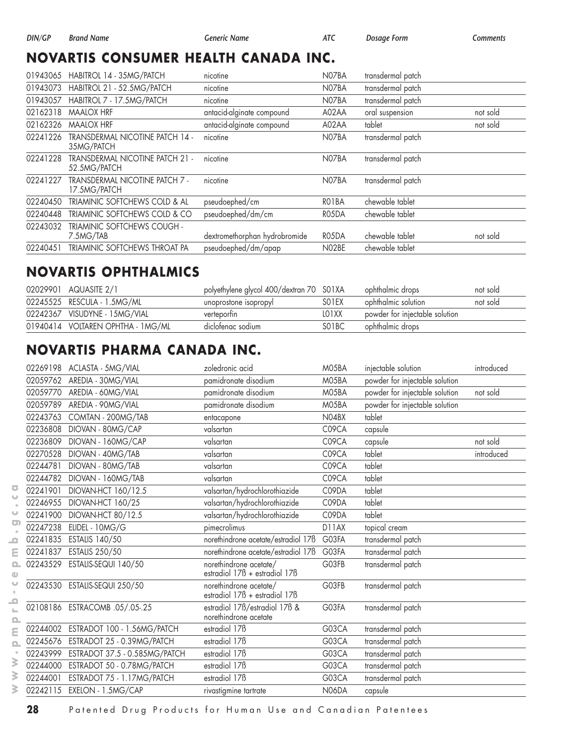## **NOVARTIS CONSUMER HEALTH CANADA INC.**

| 01943065 | HABITROL 14 - 35MG/PATCH                               | nicotine                      | N07BA | transdermal patch |          |
|----------|--------------------------------------------------------|-------------------------------|-------|-------------------|----------|
|          |                                                        |                               |       |                   |          |
| 01943073 | HABITROL 21 - 52.5MG/PATCH                             | nicotine                      | N07BA | transdermal patch |          |
| 01943057 | HABITROL 7 - 17.5MG/PATCH                              | nicotine                      | N07BA | transdermal patch |          |
| 02162318 | <b>MAALOX HRF</b>                                      | antacid-alginate compound     | A02AA | oral suspension   | not sold |
| 02162326 | <b>MAALOX HRF</b>                                      | antacid-alginate compound     | A02AA | tablet            | not sold |
| 02241226 | TRANSDERMAL NICOTINE PATCH 14 -<br>35MG/PATCH          | nicotine                      | N07BA | transdermal patch |          |
| 02241228 | <b>TRANSDERMAL NICOTINE PATCH 21 -</b><br>52.5MG/PATCH | nicotine                      | N07BA | transdermal patch |          |
| 02241227 | <b>TRANSDERMAL NICOTINE PATCH 7 -</b><br>17.5MG/PATCH  | nicotine                      | N07BA | transdermal patch |          |
| 02240450 | TRIAMINIC SOFTCHEWS COLD & AL                          | pseudoephed/cm                | RO1BA | chewable tablet   |          |
| 02240448 | TRIAMINIC SOFTCHEWS COLD & CO                          | pseudoephed/dm/cm             | RO5DA | chewable tablet   |          |
| 02243032 | <b>TRIAMINIC SOFTCHEWS COUGH -</b><br>7.5MG/TAB        | dextromethorphan hydrobromide | RO5DA | chewable tablet   | not sold |
| 02240451 | TRIAMINIC SOFTCHEWS THROAT PA                          | pseudoephed/dm/apap           | N02BE | chewable tablet   |          |

#### **NOVARTIS OPHTHALMICS**

| 02029901 AQUASITE 2/1             | polyethylene glycol 400/dextran 70 S01XA |                    | ophthalmic drops               | not sold |
|-----------------------------------|------------------------------------------|--------------------|--------------------------------|----------|
| 02245525 RESCULA - 1.5MG/ML       | unoprostone isopropyl                    | SO <sub>1</sub> EX | ophthalmic solution            | not sold |
| 02242367 VISUDYNE - 15MG/VIAL     | verteportin                              | LO1XX              | powder for injectable solution |          |
| 01940414 VOLTAREN OPHTHA - 1MG/ML | diclofenac sodium                        | SO <sub>1</sub> BC | ophthalmic drops               |          |

## **NOVARTIS PHARMA CANADA INC.**

| 02269198 | ACLASTA - 5MG/VIAL             | zoledronic acid                                         | M05BA | injectable solution            | introduced |
|----------|--------------------------------|---------------------------------------------------------|-------|--------------------------------|------------|
| 02059762 | AREDIA - 30MG/VIAL             | pamidronate disodium                                    | M05BA | powder for injectable solution |            |
| 02059770 | AREDIA - 60MG/VIAL             | pamidronate disodium                                    | M05BA | powder for injectable solution | not sold   |
| 02059789 | AREDIA - 90MG/VIAL             | pamidronate disodium                                    | M05BA | powder for injectable solution |            |
| 02243763 | COMTAN - 200MG/TAB             | entacapone                                              | N04BX | tablet                         |            |
| 02236808 | DIOVAN - 80MG/CAP              | valsartan                                               | C09CA | capsule                        |            |
| 02236809 | DIOVAN - 160MG/CAP             | valsartan                                               | C09CA | capsule                        | not sold   |
| 02270528 | DIOVAN - 40MG/TAB              | valsartan                                               | C09CA | tablet                         | introduced |
| 02244781 | DIOVAN - 80MG/TAB              | valsartan                                               | C09CA | tablet                         |            |
| 02244782 | DIOVAN - 160MG/TAB             | valsartan                                               | C09CA | tablet                         |            |
| 02241901 | DIOVAN-HCT 160/12.5            | valsartan/hydrochlorothiazide                           | C09DA | tablet                         |            |
| 02246955 | DIOVAN-HCT 160/25              | valsartan/hydrochlorothiazide                           | C09DA | tablet                         |            |
| 02241900 | DIOVAN-HCT 80/12.5             | valsartan/hydrochlorothiazide                           | C09DA | tablet                         |            |
| 02247238 | ELIDEL - 10MG/G                | pimecrolimus                                            | D11AX | topical cream                  |            |
| 02241835 | ESTALIS 140/50                 | norethindrone acetate/estradiol 17B                     | G03FA | transdermal patch              |            |
| 02241837 | ESTALIS 250/50                 | norethindrone acetate/estradiol 17B                     | G03FA | transdermal patch              |            |
| 02243529 | ESTALIS-SEQUI 140/50           | norethindrone acetate/<br>estradiol 17ß + estradiol 17ß | G03FB | transdermal patch              |            |
| 02243530 | ESTALIS-SEQUI 250/50           | norethindrone acetate/<br>estradiol 178 + estradiol 178 | G03FB | transdermal patch              |            |
|          | 02108186 ESTRACOMB .05/.05-.25 | estradiol 17B/estradiol 17B &<br>norethindrone acetate  | G03FA | transdermal patch              |            |
| 02244002 | ESTRADOT 100 - 1.56MG/PATCH    | estradiol 17 <sub>B</sub>                               | G03CA | transdermal patch              |            |
| 02245676 | ESTRADOT 25 - 0.39MG/PATCH     | estradiol 17 <sub>B</sub>                               | G03CA | transdermal patch              |            |
| 02243999 | ESTRADOT 37.5 - 0.585MG/PATCH  | estradiol 17 <sub>B</sub>                               | G03CA | transdermal patch              |            |
| 02244000 | ESTRADOT 50 - 0.78MG/PATCH     | estradiol 17 <sub>B</sub>                               | G03CA | transdermal patch              |            |
| 02244001 | ESTRADOT 75 - 1.17MG/PATCH     | estradiol 17 <sub>B</sub>                               | G03CA | transdermal patch              |            |
| 02242115 | EXELON - 1.5MG/CAP             | rivastigmine tartrate                                   | N06DA | capsule                        |            |

 $\overline{\bullet}$  $\cup$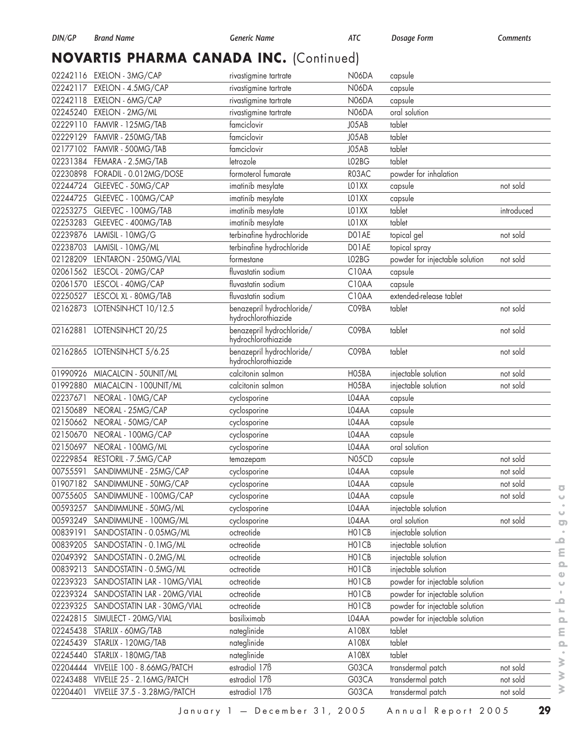# **NOVARTIS PHARMA CANADA INC.** (Continued)

|          | 02242116 EXELON - 3MG/CAP       | rivastigmine tartrate                            | <b>N06DA</b> | capsule                        |            |
|----------|---------------------------------|--------------------------------------------------|--------------|--------------------------------|------------|
| 02242117 | EXELON - 4.5MG/CAP              | rivastigmine tartrate                            | N06DA        | capsule                        |            |
|          | 02242118 EXELON - 6MG/CAP       | rivastigmine tartrate                            | N06DA        | capsule                        |            |
|          | 02245240 EXELON - 2MG/ML        | rivastigmine tartrate                            | <b>N06DA</b> | oral solution                  |            |
| 02229110 | FAMVIR - 125MG/TAB              | famciclovir                                      | J05AB        | tablet                         |            |
|          | 02229129    FAMVIR - 250MG/TAB  | famciclovir                                      | J05AB        | tablet                         |            |
|          | 02177102    FAMVIR - 500MG/TAB  | famciclovir                                      | J05AB        | tablet                         |            |
| 02231384 | FEMARA - 2.5MG/TAB              | letrozole                                        | LO2BG        | tablet                         |            |
|          | 02230898 FORADIL - 0.012MG/DOSE | formoterol fumarate                              | R03AC        | powder for inhalation          |            |
| 02244724 | GLEEVEC - 50MG/CAP              | imatinib mesylate                                | LO1XX        | capsule                        | not sold   |
| 02244725 | GLEEVEC - 100MG/CAP             | imatinib mesylate                                | LO1XX        | capsule                        |            |
|          | 02253275 GLEEVEC - 100MG/TAB    | imatinib mesylate                                | LO1XX        | tablet                         | introduced |
| 02253283 | GLEEVEC - 400MG/TAB             | imatinib mesylate                                | LO1XX        | tablet                         |            |
| 02239876 | LAMISIL - 10MG/G                | terbinafine hydrochloride                        | DO1AE        | topical gel                    | not sold   |
|          | 02238703 LAMISIL - 10MG/ML      | terbinafine hydrochloride                        | DO1AE        | topical spray                  |            |
| 02128209 | LENTARON - 250MG/VIAL           | formestane                                       | LO2BG        | powder for injectable solution | not sold   |
| 02061562 | LESCOL - 20MG/CAP               | fluvastatin sodium                               | C10AA        | capsule                        |            |
|          | 02061570 LESCOL - 40MG/CAP      | fluvastatin sodium                               | C10AA        | capsule                        |            |
| 02250527 | LESCOL XL - 80MG/TAB            | fluvastatin sodium                               | C10AA        | extended-release tablet        |            |
| 02162873 | LOTENSIN-HCT 10/12.5            | benazepril hydrochloride/                        | C09BA        | tablet                         | not sold   |
|          |                                 | hydrochlorothiazide                              |              |                                |            |
|          | 02162881 LOTENSIN-HCT 20/25     | benazepril hydrochloride/<br>hydrochlorothiazide | C09BA        | tablet                         | not sold   |
|          | 02162865 LOTENSIN-HCT 5/6.25    | benazepril hydrochloride/<br>hydrochlorothiazide | C09BA        | tablet                         | not sold   |
| 01990926 | MIACALCIN - 50UNIT/ML           | calcitonin salmon                                | HO5BA        | injectable solution            | not sold   |
|          | 01992880 MIACALCIN - 100UNIT/ML | calcitonin salmon                                | H05BA        | injectable solution            | not sold   |
| 02237671 | NEORAL - 10MG/CAP               | cyclosporine                                     | L04AA        | capsule                        |            |
| 02150689 | NEORAL - 25MG/CAP               | cyclosporine                                     | LO4AA        | capsule                        |            |
| 02150662 | NEORAL - 50MG/CAP               | cyclosporine                                     | L04AA        | capsule                        |            |
| 02150670 | NEORAL - 100MG/CAP              | cyclosporine                                     | L04AA        | capsule                        |            |
| 02150697 | NEORAL - 100MG/ML               | cyclosporine                                     | L04AA        | oral solution                  |            |
| 02229854 | RESTORIL - 7.5MG/CAP            | temazepam                                        | N05CD        | capsule                        | not sold   |
| 00755591 | SANDIMMUNE - 25MG/CAP           | cyclosporine                                     | LO4AA        | capsule                        | not sold   |
|          | 01907182 SANDIMMUNE - 50MG/CAP  | cyclosporine                                     | L04AA        | capsule                        | not sold   |
| 00755605 | SANDIMMUNE - 100MG/CAP          | cyclosporine                                     | L04AA        | capsule                        | not sold   |
| 00593257 | SANDIMMUNE - 50MG/ML            | cyclosporine                                     | L04AA        | injectable solution            |            |
| 00593249 | SANDIMMUNE - 100MG/ML           | cyclosporine                                     | L04AA        | oral solution                  | not sold   |
| 00839191 | SANDOSTATIN - 0.05MG/ML         | octreotide                                       | HO1CB        | injectable solution            |            |
| 00839205 | SANDOSTATIN - 0.1MG/ML          | octreotide                                       | HO1CB        | injectable solution            |            |
| 02049392 | SANDOSTATIN - 0.2MG/ML          | octreotide                                       | HO1CB        | injectable solution            |            |
| 00839213 | SANDOSTATIN - 0.5MG/ML          | octreotide                                       | HO1CB        | injectable solution            |            |
| 02239323 | SANDOSTATIN LAR - 10MG/VIAL     | octreotide                                       | HO1CB        | powder for injectable solution |            |
| 02239324 | SANDOSTATIN LAR - 20MG/VIAL     | octreotide                                       | HO1CB        | powder for injectable solution |            |
| 02239325 | SANDOSTATIN LAR - 30MG/VIAL     | octreotide                                       | HO1CB        | powder for injectable solution |            |
| 02242815 | SIMULECT - 20MG/VIAL            | basiliximab                                      | L04AA        | powder for injectable solution |            |
| 02245438 | STARLIX - 60MG/TAB              | nateglinide                                      | A10BX        | tablet                         |            |
| 02245439 | STARLIX - 120MG/TAB             | nateglinide                                      | A10BX        | tablet                         |            |
| 02245440 | STARLIX - 180MG/TAB             | nateglinide                                      | A10BX        | tablet                         |            |
| 02204444 | VIVELLE 100 - 8.66MG/PATCH      | estradiol 17 <sub>B</sub>                        | G03CA        | transdermal patch              | not sold   |
| 02243488 | VIVELLE 25 - 2.16MG/PATCH       | estradiol 17 <sub>B</sub>                        | G03CA        | transdermal patch              | not sold   |
| 02204401 | VIVELLE 37.5 - 3.28MG/PATCH     | estradiol 17 <sub>B</sub>                        | G03CA        | transdermal patch              | not sold   |
|          |                                 |                                                  |              |                                |            |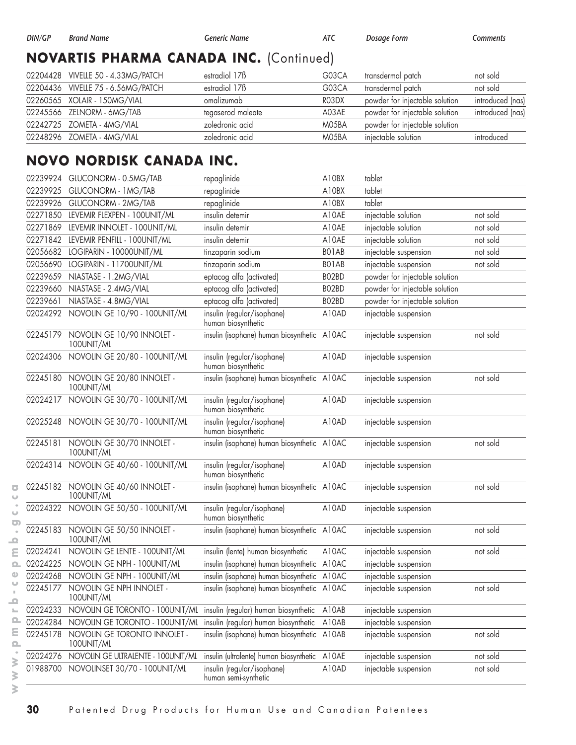# **NOVARTIS PHARMA CANADA INC.** (Continued)

| 02204428 VIVELLE 50 - 4.33MG/PATCH | estradiol 17 <sub>B</sub> | G03CA | transdermal patch              | not sold         |
|------------------------------------|---------------------------|-------|--------------------------------|------------------|
| 02204436 VIVELLE 75 - 6.56MG/PATCH | estradiol 17 <sub>B</sub> | G03CA | transdermal patch              | not sold         |
| 02260565 XOLAIR - 150MG/VIAL       | omalizumab                | RO3DX | powder for injectable solution | introduced (nas) |
| 02245566 ZELNORM - 6MG/TAB         | tegaserod maleate         | A03AE | powder for injectable solution | introduced (nas) |
| 02242725 ZOMETA - 4MG/VIAL         | zoledronic acid           | M05BA | powder for injectable solution |                  |
| 02248296 ZOMETA - 4MG/VIAL         | zoledronic acid           | M05BA | injectable solution            | introduced       |

# **NOVO NORDISK CANADA INC.**

| 02239924 | GLUCONORM - 0.5MG/TAB                      | repaglinide                                        | A10BX | tablet                         |          |
|----------|--------------------------------------------|----------------------------------------------------|-------|--------------------------------|----------|
| 02239925 | GLUCONORM - 1 MG/TAB                       | repaglinide                                        | A10BX | tablet                         |          |
| 02239926 | GLUCONORM - 2MG/TAB                        | repaglinide                                        | A10BX | tablet                         |          |
|          | 02271850 LEVEMIR FLEXPEN - 100UNIT/ML      | insulin detemir                                    | A10AE | injectable solution            | not sold |
| 02271869 | LEVEMIR INNOLET - 100UNIT/ML               | insulin detemir                                    | A10AE | injectable solution            | not sold |
| 02271842 | LEVEMIR PENFILL - 100UNIT/ML               | insulin detemir                                    | A10AE | injectable solution            | not sold |
|          | 02056682 LOGIPARIN - 10000UNIT/ML          | tinzaparin sodium                                  | BO1AB | injectable suspension          | not sold |
| 02056690 | LOGIPARIN - 11700UNIT/ML                   | tinzaparin sodium                                  | BO1AB | injectable suspension          | not sold |
| 02239659 | NIASTASE - 1.2MG/VIAL                      | eptacog alfa (activated)                           | BO2BD | powder for injectable solution |          |
| 02239660 | NIASTASE - 2.4MG/VIAL                      | eptacog alfa (activated)                           | BO2BD | powder for injectable solution |          |
| 02239661 | NIASTASE - 4.8MG/VIAL                      | eptacog alfa (activated)                           | BO2BD | powder for injectable solution |          |
|          | 02024292 NOVOLIN GE 10/90 - 100UNIT/ML     | insulin (regular/isophane)<br>human biosynthetic   | A10AD | injectable suspension          |          |
| 02245179 | NOVOLIN GE 10/90 INNOLET -<br>100UNIT/ML   | insulin (isophane) human biosynthetic A10AC        |       | injectable suspension          | not sold |
| 02024306 | NOVOLIN GE 20/80 - 100UNIT/ML              | insulin (regular/isophane)<br>human biosynthetic   | A10AD | injectable suspension          |          |
| 02245180 | NOVOLIN GE 20/80 INNOLET -<br>100UNIT/ML   | insulin (isophane) human biosynthetic A10AC        |       | injectable suspension          | not sold |
| 02024217 | NOVOLIN GE 30/70 - 100UNIT/ML              | insulin (regular/isophane)<br>human biosynthetic   | A10AD | injectable suspension          |          |
|          | 02025248 NOVOLIN GE 30/70 - 100UNIT/ML     | insulin (regular/isophane)<br>human biosynthetic   | A10AD | injectable suspension          |          |
| 02245181 | NOVOLIN GE 30/70 INNOLET -<br>100UNIT/ML   | insulin (isophane) human biosynthetic A10AC        |       | injectable suspension          | not sold |
| 02024314 | NOVOLIN GE 40/60 - 100UNIT/ML              | insulin (regular/isophane)<br>human biosynthetic   | A10AD | injectable suspension          |          |
| 02245182 | NOVOLIN GE 40/60 INNOLET -<br>100UNIT/ML   | insulin (isophane) human biosynthetic A10AC        |       | injectable suspension          | not sold |
| 02024322 | NOVOLIN GE 50/50 - 100UNIT/ML              | insulin (regular/isophane)<br>human biosynthetic   | A10AD | injectable suspension          |          |
| 02245183 | NOVOLIN GE 50/50 INNOLET -<br>100UNIT/ML   | insulin (isophane) human biosynthetic A10AC        |       | injectable suspension          | not sold |
| 02024241 | NOVOLIN GE LENTE - 100UNIT/ML              | insulin (lente) human biosynthetic                 | A10AC | injectable suspension          | not sold |
| 02024225 | NOVOLIN GE NPH - 100UNIT/ML                | insulin (isophane) human biosynthetic A10AC        |       | injectable suspension          |          |
| 02024268 | NOVOLIN GE NPH - 100UNIT/ML                | insulin (isophane) human biosynthetic A10AC        |       | injectable suspension          |          |
| 02245177 | NOVOLIN GE NPH INNOLET -<br>100UNIT/ML     | insulin (isophane) human biosynthetic A10AC        |       | injectable suspension          | not sold |
| 02024233 | NOVOLIN GE TORONTO - 100UNIT/ML            | insulin (regular) human biosynthetic               | A10AB | injectable suspension          |          |
| 02024284 | NOVOLIN GE TORONTO - 100UNIT/ML            | insulin (regular) human biosynthetic               | A10AB | injectable suspension          |          |
| 02245178 | NOVOLIN GE TORONTO INNOLET -<br>100UNIT/ML | insulin (isophane) human biosynthetic              | A10AB | injectable suspension          | not sold |
| 02024276 | NOVOLIN GE ULTRALENTE - 100UNIT/ML         | insulin (ultralente) human biosynthetic            | A10AE | injectable suspension          | not sold |
| 01988700 | NOVOLINSET 30/70 - 100UNIT/ML              | insulin (regular/isophane)<br>human semi-synthetic | A10AD | injectable suspension          | not sold |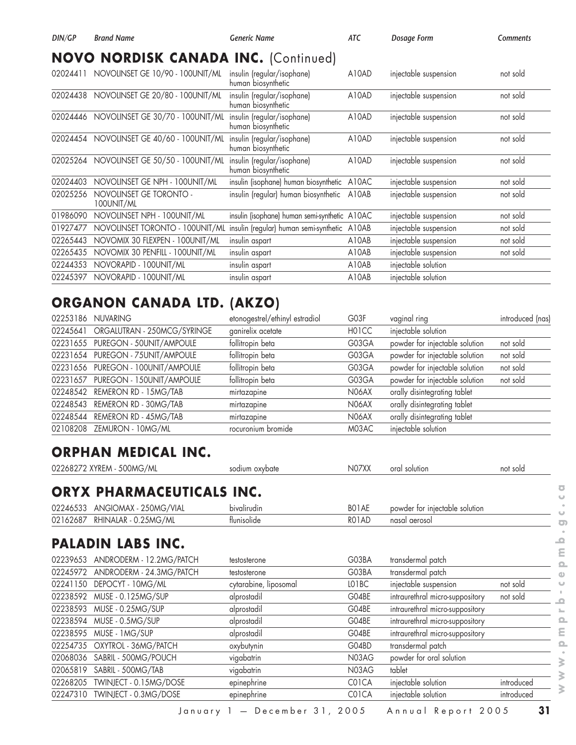| DIN/GP   | <b>Brand Name</b>                           | <b>Generic Name</b>                              | <b>ATC</b> | Dosage Form           | Comments |
|----------|---------------------------------------------|--------------------------------------------------|------------|-----------------------|----------|
|          | <b>NOVO NORDISK CANADA INC. (Continued)</b> |                                                  |            |                       |          |
| 02024411 | NOVOLINSET GE 10/90 - 100UNIT/ML            | insulin (regular/isophane)<br>human biosynthetic | A10AD      | injectable suspension | not sold |
| 02024438 | NOVOLINSET GE 20/80 - 100UNIT/ML            | insulin (regular/isophane)<br>human biosynthetic | A10AD      | injectable suspension | not sold |
| 02024446 | NOVOLINSET GE 30/70 - 100UNIT/ML            | insulin (regular/isophane)<br>human biosynthetic | A10AD      | injectable suspension | not sold |
| 02024454 | NOVOLINSET GE 40/60 - 100UNIT/ML            | insulin (regular/isophane)<br>human biosynthetic | A10AD      | injectable suspension | not sold |
| 02025264 | NOVOLINSET GE 50/50 - 100UNIT/ML            | insulin (regular/isophane)<br>human biosynthetic | A10AD      | injectable suspension | not sold |
| 02024403 | NOVOLINSET GE NPH - 100UNIT/ML              | insulin (isophane) human biosynthetic            | A10AC      | injectable suspension | not sold |
| 02025256 | NOVOLINSET GE TORONTO -<br>100UNIT/ML       | insulin (regular) human biosynthetic             | A10AB      | injectable suspension | not sold |
| 01986090 | NOVOLINSET NPH - 100UNIT/ML                 | insulin (isophane) human semi-synthetic A10AC    |            | injectable suspension | not sold |
| 01927477 | NOVOLINSET TORONTO - 100UNIT/ML             | insulin (regular) human semi-synthetic           | A10AB      | injectable suspension | not sold |
| 02265443 | NOVOMIX 30 FLEXPEN - 100UNIT/ML             | insulin aspart                                   | A10AB      | injectable suspension | not sold |
| 02265435 | NOVOMIX 30 PENFILL - 100UNIT/ML             | insulin aspart                                   | A10AB      | injectable suspension | not sold |
| 02244353 | NOVORAPID - 100UNIT/ML                      | insulin aspart                                   | A10AB      | injectable solution   |          |
| 02245397 | NOVORAPID - 100UNIT/ML                      | insulin aspart                                   | A10AB      | injectable solution   |          |

# **ORGANON CANADA LTD. (AKZO)**

| 02253186 | <b>NUVARING</b>                    | etonogestrel/ethinyl estradiol | G03F  | vaginal ring                   | introduced (nas) |
|----------|------------------------------------|--------------------------------|-------|--------------------------------|------------------|
| 02245641 | ORGALUTRAN - 250MCG/SYRINGE        | ganirelix acetate              | H01CC | injectable solution            |                  |
|          | 02231655 PUREGON - 50UNIT/AMPOULE  | follitropin beta               | G03GA | powder for injectable solution | not sold         |
|          | 02231654 PUREGON - 75UNIT/AMPOULE  | follitropin beta               | G03GA | powder for injectable solution | not sold         |
|          | 02231656 PUREGON - 100UNIT/AMPOULE | follitropin beta               | G03GA | powder for injectable solution | not sold         |
|          | 02231657 PUREGON - 150UNIT/AMPOULE | follitropin beta               | G03GA | powder for injectable solution | not sold         |
|          | 02248542 REMERON RD - 15MG/TAB     | mirtazapine                    | N06AX | orally disintegrating tablet   |                  |
|          | 02248543 REMERON RD - 30MG/TAB     | mirtazapine                    | N06AX | orally disintegrating tablet   |                  |
|          | 02248544 REMERON RD - 45MG/TAB     | mirtazapine                    | N06AX | orally disintegrating tablet   |                  |
| 02108208 | ZEMURON - 10MG/ML                  | rocuronium bromide             | M03AC | injectable solution            |                  |

#### **ORPHAN MEDICAL INC.**

|          | 02268272 XYREM - 500MG/ML        | sodium oxybate        | N07XX | oral solution                   | not sold   |
|----------|----------------------------------|-----------------------|-------|---------------------------------|------------|
|          | <b>ORYX PHARMACEUTICALS INC.</b> |                       |       |                                 |            |
| 02246533 | ANGIOMAX - 250MG/VIAL            | bivalirudin           | BO1AE | powder for injectable solution  |            |
| 02162687 | RHINALAR - 0.25MG/ML             | flunisolide           | RO1AD | nasal aerosol                   |            |
|          | <b>PALADIN LABS INC.</b>         |                       |       |                                 |            |
| 02239653 | ANDRODERM - 12.2MG/PATCH         | testosterone          | G03BA | transdermal patch               |            |
| 02245972 | ANDRODERM - 24.3MG/PATCH         | testosterone          | G03BA | transdermal patch               |            |
| 02241150 | DEPOCYT - 10MG/ML                | cytarabine, liposomal | LO1BC | injectable suspension           | not sold   |
| 02238592 | MUSE - 0.125MG/SUP               | alprostadil           | G04BE | intraurethral micro-suppository | not sold   |
| 02238593 | MUSE - 0.25MG/SUP                | alprostadil           | G04BE | intraurethral micro-suppository |            |
| 02238594 | MUSE - 0.5MG/SUP                 | alprostadil           | G04BE | intraurethral micro-suppository |            |
| 02238595 | MUSE - 1 MG/SUP                  | alprostadil           | G04BE | intraurethral micro-suppository |            |
| 02254735 | OXYTROL - 36MG/PATCH             | oxybutynin            | G04BD | transdermal patch               |            |
| 02068036 | SABRIL - 500MG/POUCH             | vigabatrin            | N03AG | powder for oral solution        |            |
| 02065819 | SABRIL - 500MG/TAB               | vigabatrin            | N03AG | tablet                          |            |
| 02268205 | TWINJECT - 0.15MG/DOSE           | epinephrine           | C01CA | injectable solution             | introduced |
| 02247310 | TWINJECT - 0.3MG/DOSE            | epinephrine           | C01CA | injectable solution             | introduced |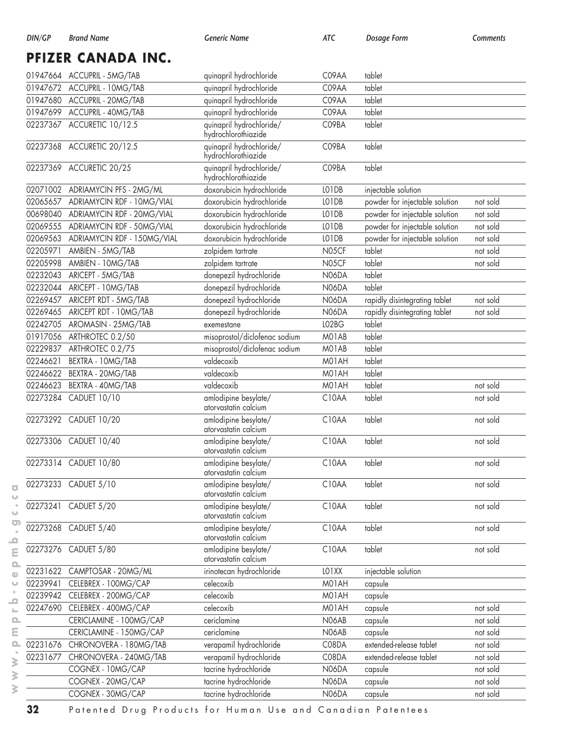| DIN/GP | Brand<br>Name | Generic Name | $\Delta$ $\mu$ | -orm<br>osaae | nont |
|--------|---------------|--------------|----------------|---------------|------|
|        |               |              |                |               |      |

**PFIZER CANADA INC.**

|          | 01947664 ACCUPRIL - 5MG/TAB            | quinapril hydrochloride                         | C09AA          | tablet                         |          |
|----------|----------------------------------------|-------------------------------------------------|----------------|--------------------------------|----------|
|          | 01947672 ACCUPRIL - 10MG/TAB           | quinapril hydrochloride                         | C09AA          | tablet                         |          |
| 01947680 | ACCUPRIL - 20MG/TAB                    | quinapril hydrochloride                         | C09AA          | tablet                         |          |
| 01947699 | ACCUPRIL - 40MG/TAB                    | quinapril hydrochloride                         | C09AA          | tablet                         |          |
|          | 02237367 ACCURETIC 10/12.5             | quinapril hydrochloride/<br>hydrochlorothiazide | C09BA          | tablet                         |          |
|          | 02237368 ACCURETIC 20/12.5             | quinapril hydrochloride/<br>hydrochlorothiazide | C09BA          | tablet                         |          |
|          | 02237369 ACCURETIC 20/25               | quinapril hydrochloride/<br>hydrochlorothiazide | C09BA          | tablet                         |          |
|          | 02071002 ADRIAMYCIN PFS - 2MG/ML       | doxorubicin hydrochloride                       | LO1DB          | injectable solution            |          |
| 02065657 | ADRIAMYCIN RDF - 10MG/VIAL             | doxorubicin hydrochloride                       | LO1DB          | powder for injectable solution | not sold |
| 00698040 | ADRIAMYCIN RDF - 20MG/VIAL             | doxorubicin hydrochloride                       | LO1DB          | powder for injectable solution | not sold |
| 02069555 | ADRIAMYCIN RDF - 50MG/VIAL             | doxorubicin hydrochloride                       | LO1DB          | powder for injectable solution | not sold |
| 02069563 | ADRIAMYCIN RDF - 150MG/VIAL            | doxorubicin hydrochloride                       | LO1DB          | powder for injectable solution | not sold |
| 02205971 | AMBIEN - 5MG/TAB                       | zolpidem tartrate                               | N05CF          | tablet                         | not sold |
| 02205998 | AMBIEN - 10MG/TAB                      | zolpidem tartrate                               | N05CF          | tablet                         | not sold |
| 02232043 | ARICEPT - 5MG/TAB                      | donepezil hydrochloride                         | N06DA          | tablet                         |          |
| 02232044 | ARICEPT - 10MG/TAB                     | donepezil hydrochloride                         | <b>N06DA</b>   | tablet                         |          |
| 02269457 | ARICEPT RDT - 5MG/TAB                  | donepezil hydrochloride                         | <b>N06DA</b>   | rapidly disintegrating tablet  | not sold |
| 02269465 | ARICEPT RDT - 10MG/TAB                 | donepezil hydrochloride                         | N06DA          | rapidly disintegrating tablet  | not sold |
| 02242705 | AROMASIN - 25MG/TAB                    | exemestane                                      | LO2BG          | tablet                         |          |
| 01917056 | ARTHROTEC 0.2/50                       | misoprostol/diclofenac sodium                   | MO1AB          | tablet                         |          |
| 02229837 | ARTHROTEC 0.2/75                       | misoprostol/diclofenac sodium                   | MO1AB          | tablet                         |          |
| 02246621 | BEXTRA - 10MG/TAB                      | valdecoxib                                      | M01AH          | tablet                         |          |
| 02246622 | BEXTRA - 20MG/TAB                      | valdecoxib                                      | M01AH          | tablet                         |          |
| 02246623 | BEXTRA - 40MG/TAB                      | valdecoxib                                      | M01AH          | tablet                         | not sold |
| 02273284 | CADUET 10/10                           | amlodipine besylate/<br>atorvastatin calcium    | C10AA          | tablet                         | not sold |
|          | 02273292 CADUET 10/20                  | amlodipine besylate/<br>atorvastatin calcium    | C10AA          | tablet                         | not sold |
|          | 02273306 CADUET 10/40                  | amlodipine besylate/<br>atorvastatin calcium    | C10AA          | tablet                         | not sold |
|          | 02273314 CADUET 10/80                  | amlodipine besylate/<br>atorvastatin calcium    | C10AA          | tablet                         | not sold |
|          | 02273233 CADUET 5/10                   | amlodipine besylate/<br>atorvastatin calcium    | C10AA          | tablet                         | not sold |
|          | 02273241 CADUET 5/20                   | amlodipine besylate/<br>atorvastatin calcium    | C10AA          | tablet                         | not sold |
|          | 02273268 CADUET 5/40                   | amlodipine besylate/<br>atorvastatin calcium    | C10AA          | tablet                         | not sold |
|          | 02273276 CADUET 5/80                   | amlodipine besylate/<br>atorvastatin calcium    | C10AA          | tablet                         | not sold |
|          | 02231622 CAMPTOSAR - 20MG/ML           | irinotecan hydrochloride                        | LO1XX          | injectable solution            |          |
| 02239941 | CELEBREX - 100MG/CAP                   | celecoxib                                       | M01AH          | capsule                        |          |
|          | 02239942 CELEBREX - 200MG/CAP          | celecoxib                                       | M01AH          | capsule                        |          |
|          | 02247690 CELEBREX - 400MG/CAP          | celecoxib                                       | M01AH          | capsule                        | not sold |
|          | CERICLAMINE - 100MG/CAP                | cericlamine                                     | N06AB          | capsule                        | not sold |
|          | CERICLAMINE - 150MG/CAP                | cericlamine                                     | N06AB          | capsule                        | not sold |
|          | 02231676 CHRONOVERA - 180MG/TAB        | verapamil hydrochloride                         | C08DA          | extended-release tablet        | not sold |
| 02231677 | CHRONOVERA - 240MG/TAB                 | verapamil hydrochloride                         | C08DA          | extended-release tablet        | not sold |
|          | COGNEX - 10MG/CAP                      | tacrine hydrochloride                           | N06DA          | capsule                        | not sold |
|          |                                        |                                                 |                |                                |          |
|          | COGNEX - 20MG/CAP<br>COGNEX - 30MG/CAP | tacrine hydrochloride<br>tacrine hydrochloride  | N06DA<br>N06DA | capsule                        | not sold |

 $\overline{\textbf{C}}$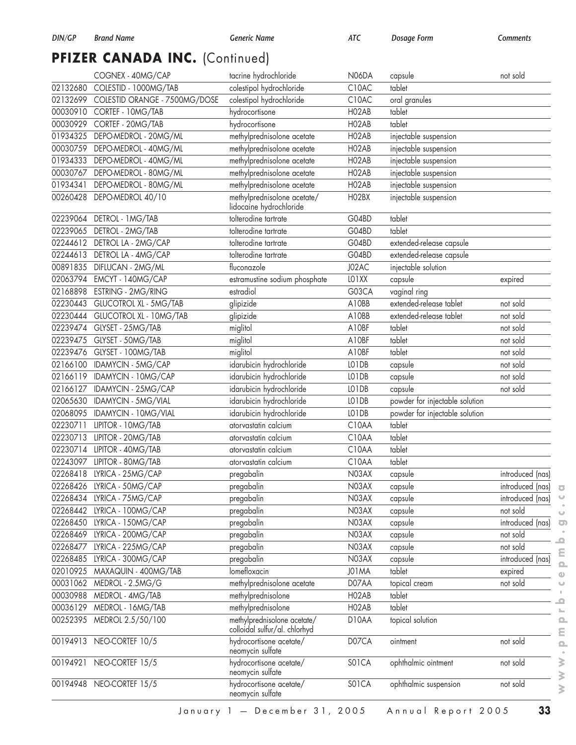# PFIZER CANADA INC. (Continued)

|          | COGNEX - 40MG/CAP             | tacrine hydrochloride                                        | N06DA | capsule                        | not sold         |
|----------|-------------------------------|--------------------------------------------------------------|-------|--------------------------------|------------------|
| 02132680 | COLESTID - 1000MG/TAB         | colestipol hydrochloride                                     | C10AC | tablet                         |                  |
| 02132699 | COLESTID ORANGE - 7500MG/DOSE | colestipol hydrochloride                                     | C10AC | oral granules                  |                  |
| 00030910 | CORTEF - 10MG/TAB             | hydrocortisone                                               | HO2AB | tablet                         |                  |
| 00030929 | CORTEF - 20MG/TAB             | hydrocortisone                                               | HO2AB | tablet                         |                  |
| 01934325 | DEPO-MEDROL - 20MG/ML         | methylprednisolone acetate                                   | HO2AB | injectable suspension          |                  |
| 00030759 | DEPO-MEDROL - 40MG/ML         | methylprednisolone acetate                                   | HO2AB | injectable suspension          |                  |
| 01934333 | DEPO-MEDROL - 40MG/ML         | methylprednisolone acetate                                   | HO2AB | injectable suspension          |                  |
| 00030767 | DEPO-MEDROL - 80MG/ML         | methylprednisolone acetate                                   | HO2AB | injectable suspension          |                  |
| 01934341 | DEPO-MEDROL - 80MG/ML         | methylprednisolone acetate                                   | HO2AB | injectable suspension          |                  |
| 00260428 | DEPO-MEDROL 40/10             | methylprednisolone acetate/<br>lidocaine hydrochloride       | HO2BX | injectable suspension          |                  |
| 02239064 | DETROL - 1MG/TAB              | tolterodine tartrate                                         | G04BD | tablet                         |                  |
| 02239065 | DETROL - 2MG/TAB              | tolterodine tartrate                                         | G04BD | tablet                         |                  |
| 02244612 | DETROL LA - 2MG/CAP           | tolterodine tartrate                                         | G04BD | extended-release capsule       |                  |
| 02244613 | DETROL LA - 4MG/CAP           | tolterodine tartrate                                         | G04BD | extended-release capsule       |                  |
| 00891835 | DIFLUCAN - 2MG/ML             | fluconazole                                                  | J02AC | injectable solution            |                  |
| 02063794 | EMCYT - 140MG/CAP             | estramustine sodium phosphate                                | LO1XX | capsule                        | expired          |
| 02168898 | ESTRING - 2MG/RING            | estradiol                                                    | G03CA | vaginal ring                   |                  |
| 02230443 | <b>GLUCOTROL XL - 5MG/TAB</b> | glipizide                                                    | A10BB | extended-release tablet        | not sold         |
| 02230444 | GLUCOTROL XL - 10MG/TAB       | glipizide                                                    | A10BB | extended-release tablet        | not sold         |
| 02239474 | GLYSET - 25MG/TAB             | miglitol                                                     | A10BF | tablet                         | not sold         |
| 02239475 | GLYSET - 50MG/TAB             | miglitol                                                     | A10BF | tablet                         | not sold         |
| 02239476 | GLYSET - 100MG/TAB            | miglitol                                                     | A10BF | tablet                         | not sold         |
| 02166100 | IDAMYCIN - 5MG/CAP            | idarubicin hydrochloride                                     | LO1DB | capsule                        | not sold         |
| 02166119 | IDAMYCIN - 10MG/CAP           | idarubicin hydrochloride                                     | LO1DB | capsule                        | not sold         |
| 02166127 | IDAMYCIN - 25MG/CAP           | idarubicin hydrochloride                                     | LO1DB | capsule                        | not sold         |
| 02065630 | IDAMYCIN - 5MG/VIAL           | idarubicin hydrochloride                                     | LO1DB | powder for injectable solution |                  |
| 02068095 | IDAMYCIN - 10MG/VIAL          | idarubicin hydrochloride                                     | LO1DB | powder for injectable solution |                  |
| 02230711 | LIPITOR - 10MG/TAB            | atorvastatin calcium                                         | C10AA | tablet                         |                  |
| 02230713 | LIPITOR - 20MG/TAB            | atorvastatin calcium                                         | C10AA | tablet                         |                  |
| 02230714 | LIPITOR - 40MG/TAB            | atorvastatin calcium                                         | C10AA | tablet                         |                  |
| 02243097 | LIPITOR - 80MG/TAB            | atorvastatin calcium                                         | C10AA | tablet                         |                  |
| 02268418 | LYRICA - 25MG/CAP             | pregabalin                                                   | N03AX | capsule                        | introduced (nas) |
| 02268426 | LYRICA - 50MG/CAP             | pregabalin                                                   | N03AX | capsule                        | introduced (nas) |
| 02268434 | LYRICA - 75MG/CAP             | pregabalin                                                   | N03AX | capsule                        | introduced (nas) |
| 02268442 | LYRICA - 100MG/CAP            | pregabalin                                                   | N03AX | capsule                        | not sold         |
| 02268450 | LYRICA - 150MG/CAP            | pregabalin                                                   | N03AX | capsule                        | introduced (nas) |
| 02268469 | LYRICA - 200MG/CAP            | pregabalin                                                   | N03AX | capsule                        | not sold         |
| 02268477 | LYRICA - 225MG/CAP            | pregabalin                                                   | N03AX | capsule                        | not sold         |
| 02268485 | LYRICA - 300MG/CAP            | pregabalin                                                   | N03AX | capsule                        | introduced (nas) |
| 02010925 | MAXAQUIN - 400MG/TAB          | lomefloxacin                                                 | J01MA | tablet                         | expired          |
| 00031062 | MEDROL - 2.5MG/G              | methylprednisolone acetate                                   | D07AA | topical cream                  | not sold         |
| 00030988 | MEDROL - 4MG/TAB              | methylprednisolone                                           | HO2AB | tablet                         |                  |
| 00036129 | MEDROL - 16MG/TAB             | methylprednisolone                                           | HO2AB | tablet                         |                  |
| 00252395 | MEDROL 2.5/50/100             | methylprednisolone acetate/<br>colloidal sulfur/al. chlorhyd | D10AA | topical solution               |                  |
| 00194913 | NEO-CORTEF 10/5               | hydrocortisone acetate/<br>neomycin sulfate                  | D07CA | ointment                       | not sold         |
| 00194921 | NEO-CORTEF 15/5               | hydrocortisone acetate/<br>neomycin sulfate                  | SO1CA | ophthalmic ointment            | not sold         |
| 00194948 | NEO-CORTEF 15/5               | hydrocortisone acetate/<br>neomycin sulfate                  | S01CA | ophthalmic suspension          | not sold         |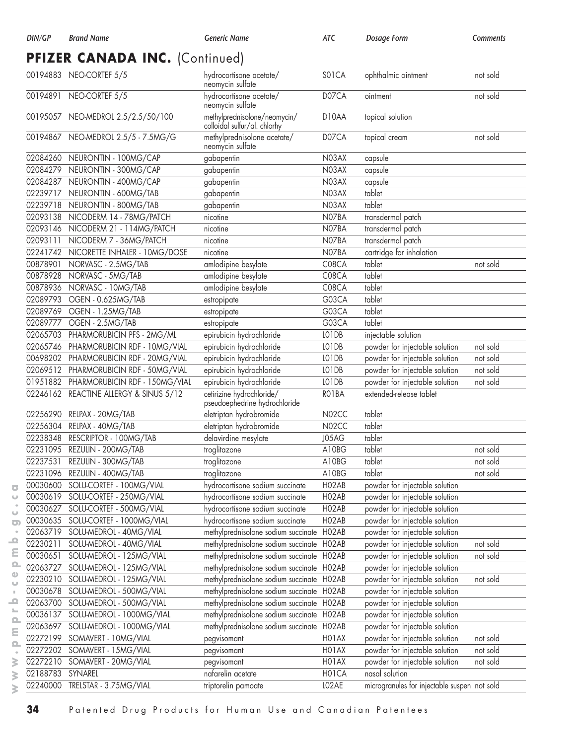|          | PFIZER CANADA INC. (Continued)         |                                                              |                    |                                              |          |
|----------|----------------------------------------|--------------------------------------------------------------|--------------------|----------------------------------------------|----------|
|          | 00194883 NEO-CORTEF 5/5                | hydrocortisone acetate/<br>neomycin sulfate                  | SO <sub>1</sub> CA | ophthalmic ointment                          | not sold |
| 00194891 | NEO-CORTEF 5/5                         | hydrocortisone acetate/<br>neomycin sulfate                  | D07CA              | ointment                                     | not sold |
|          | 00195057 NEO-MEDROL 2.5/2.5/50/100     | methylprednisolone/neomycin/<br>colloidal sulfur/al. chlorhy | D10AA              | topical solution                             |          |
|          | 00194867 NEO-MEDROL 2.5/5 - 7.5MG/G    | methylprednisolone acetate/<br>neomycin sulfate              | D07CA              | topical cream                                | not sold |
| 02084260 | NEURONTIN - 100MG/CAP                  | gabapentin                                                   | N03AX              | capsule                                      |          |
| 02084279 | NEURONTIN - 300MG/CAP                  | gabapentin                                                   | N03AX              | capsule                                      |          |
| 02084287 | NEURONTIN - 400MG/CAP                  | gabapentin                                                   | N03AX              | capsule                                      |          |
| 02239717 | NEURONTIN - 600MG/TAB                  | gabapentin                                                   | N03AX              | tablet                                       |          |
| 02239718 | NEURONTIN - 800MG/TAB                  | gabapentin                                                   | N03AX              | tablet                                       |          |
| 02093138 | NICODERM 14 - 78MG/PATCH               | nicotine                                                     | N07BA              | transdermal patch                            |          |
| 02093146 | NICODERM 21 - 114MG/PATCH              | nicotine                                                     | N07BA              | transdermal patch                            |          |
| 02093111 | NICODERM 7 - 36MG/PATCH                | nicotine                                                     | N07BA              | transdermal patch                            |          |
| 02241742 | NICORETTE INHALER - 10MG/DOSE          | nicotine                                                     | N07BA              | cartridge for inhalation                     |          |
| 00878901 | NORVASC - 2.5MG/TAB                    | amlodipine besylate                                          | C08CA              | tablet                                       | not sold |
| 00878928 | NORVASC - 5MG/TAB                      | amlodipine besylate                                          | C08CA              | tablet                                       |          |
| 00878936 | NORVASC - 10MG/TAB                     | amlodipine besylate                                          | C08CA              | tablet                                       |          |
| 02089793 | OGEN - 0.625MG/TAB                     | estropipate                                                  | G03CA              | tablet                                       |          |
| 02089769 | OGEN - 1.25MG/TAB                      | estropipate                                                  | G03CA              | tablet                                       |          |
| 02089777 | OGEN - 2.5MG/TAB                       | estropipate                                                  | G03CA              | tablet                                       |          |
| 02065703 | PHARMORUBICIN PFS - 2MG/ML             | epirubicin hydrochloride                                     | LO1DB              | injectable solution                          |          |
| 02065746 | PHARMORUBICIN RDF - 10MG/VIAL          | epirubicin hydrochloride                                     | LO1DB              | powder for injectable solution               | not sold |
| 00698202 | PHARMORUBICIN RDF - 20MG/VIAL          | epirubicin hydrochloride                                     | LO1DB              | powder for injectable solution               | not sold |
| 02069512 | PHARMORUBICIN RDF - 50MG/VIAL          | epirubicin hydrochloride                                     | LO1DB              | powder for injectable solution               | not sold |
| 01951882 | PHARMORUBICIN RDF - 150MG/VIAL         | epirubicin hydrochloride                                     | LO1DB              | powder for injectable solution               | not sold |
|          | 02246162 REACTINE ALLERGY & SINUS 5/12 | cetirizine hydrochloride/                                    | RO1BA              | extended-release tablet                      |          |
|          |                                        | pseudoephedrine hydrochloride                                |                    |                                              |          |
| 02256290 | RELPAX - 20MG/TAB                      | eletriptan hydrobromide                                      | N02CC              | tablet                                       |          |
| 02256304 | RELPAX - 40MG/TAB                      | eletriptan hydrobromide                                      | N02CC              | tablet                                       |          |
| 02238348 | RESCRIPTOR - 100MG/TAB                 | delavirdine mesylate                                         | J05AG              | tablet                                       |          |
| 02231095 | REZULIN - 200MG/TAB                    | troglitazone                                                 | A10BG              | tablet                                       | not sold |
| 02237531 | REZULIN - 300MG/TAB                    | troglitazone                                                 | A10BG              | tablet                                       | not sold |
|          | 02231096 REZULIN - 400MG/TAB           | troglitazone                                                 | A10BG              | tablet                                       | not sold |
|          | 00030600 SOLU-CORTEF - 100MG/VIAL      | hydrocortisone sodium succinate                              | HO2AB              | powder for injectable solution               |          |
| 00030619 | SOLU-CORTEF - 250MG/VIAL               | hydrocortisone sodium succinate                              | HO2AB              | powder for injectable solution               |          |
| 00030627 | SOLU-CORTEF - 500MG/VIAL               | hydrocortisone sodium succinate                              | HO2AB              | powder for injectable solution               |          |
| 00030635 | SOLU-CORTEF - 1000MG/VIAL              | hydrocortisone sodium succinate                              | HO2AB              | powder for injectable solution               |          |
| 02063719 | SOLU-MEDROL - 40MG/VIAL                | methylprednisolone sodium succinate                          | H <sub>02</sub> AB | powder for injectable solution               |          |
| 02230211 | SOLU-MEDROL - 40MG/VIAL                | methylprednisolone sodium succinate                          | H <sub>02</sub> AB | powder for injectable solution               | not sold |
| 00030651 | SOLU-MEDROL - 125MG/VIAL               | methylprednisolone sodium succinate                          | H <sub>02</sub> AB | powder for injectable solution               | not sold |
| 02063727 | SOLU-MEDROL - 125MG/VIAL               | methylprednisolone sodium succinate                          | H <sub>02</sub> AB | powder for injectable solution               |          |
| 02230210 | SOLU-MEDROL - 125MG/VIAL               | methylprednisolone sodium succinate                          | H <sub>02</sub> AB | powder for injectable solution               | not sold |
| 00030678 | SOLU-MEDROL - 500MG/VIAL               | methylprednisolone sodium succinate                          | H <sub>02</sub> AB | powder for injectable solution               |          |
| 02063700 | SOLU-MEDROL - 500MG/VIAL               | methylprednisolone sodium succinate                          | H <sub>02</sub> AB | powder for injectable solution               |          |
| 00036137 | SOLU-MEDROL - 1000MG/VIAL              | methylprednisolone sodium succinate H02AB                    |                    | powder for injectable solution               |          |
| 02063697 | SOLU-MEDROL - 1000MG/VIAL              | methylprednisolone sodium succinate                          | H <sub>02</sub> AB | powder for injectable solution               |          |
| 02272199 | SOMAVERT - 10MG/VIAL                   | pegvisomant                                                  | HO1AX              | powder for injectable solution               | not sold |
| 02272202 | SOMAVERT - 15MG/VIAL                   | pegvisomant                                                  | H01AX              | powder for injectable solution               | not sold |
| 02272210 | SOMAVERT - 20MG/VIAL                   | pegvisomant                                                  | HO1AX              | powder for injectable solution               | not sold |
| 02188783 | SYNAREL                                | nafarelin acetate                                            | H01CA              | nasal solution                               |          |
| 02240000 | TRELSTAR - 3.75MG/VIAL                 | triptorelin pamoate                                          | LO2AE              | microgranules for injectable suspen not sold |          |

 $\overline{\bullet}$  $\cup$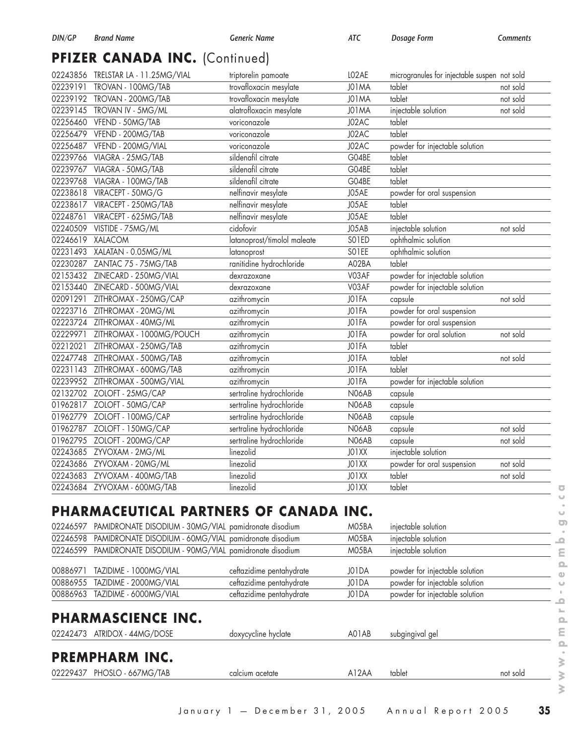# PFIZER CANADA INC. (Continued)

|          | 02243856 TRELSTAR LA - 11.25MG/VIAL | triptorelin pamoate         | LO2AE        | microgranules for injectable suspen not sold |          |
|----------|-------------------------------------|-----------------------------|--------------|----------------------------------------------|----------|
| 02239191 | TROVAN - 100MG/TAB                  | trovafloxacin mesylate      | J01MA        | tablet                                       | not sold |
|          | 02239192 TROVAN - 200MG/TAB         | trovafloxacin mesylate      | J01MA        | tablet                                       | not sold |
|          | 02239145 TROVAN IV - 5MG/ML         | alatrofloxacin mesylate     | J01MA        | injectable solution                          | not sold |
|          | 02256460 VFEND - 50MG/TAB           | voriconazole                | J02AC        | tablet                                       |          |
|          | 02256479 VFEND - 200MG/TAB          | voriconazole                | J02AC        | tablet                                       |          |
| 02256487 | VFEND - 200MG/VIAL                  | voriconazole                | J02AC        | powder for injectable solution               |          |
| 02239766 | VIAGRA - 25MG/TAB                   | sildenafil citrate          | G04BE        | tablet                                       |          |
|          | 02239767 VIAGRA - 50MG/TAB          | sildenafil citrate          | G04BE        | tablet                                       |          |
| 02239768 | VIAGRA - 100MG/TAB                  | sildenafil citrate          | G04BE        | tablet                                       |          |
|          | 02238618 VIRACEPT - 50MG/G          | nelfinavir mesylate         | J05AE        | powder for oral suspension                   |          |
|          | 02238617 VIRACEPT - 250MG/TAB       | nelfinavir mesylate         | J05AE        | tablet                                       |          |
| 02248761 | VIRACEPT - 625MG/TAB                | nelfinavir mesylate         | J05AE        | tablet                                       |          |
|          | 02240509 VISTIDE - 75MG/ML          | cidofovir                   | J05AB        | injectable solution                          | not sold |
| 02246619 | <b>XALACOM</b>                      | latanoprost/timolol maleate | SO1ED        | ophthalmic solution                          |          |
|          | 02231493 XALATAN - 0.05MG/ML        | latanoprost                 | SO1EE        | ophthalmic solution                          |          |
|          | 02230287 ZANTAC 75 - 75MG/TAB       | ranitidine hydrochloride    | A02BA        | tablet                                       |          |
|          | 02153432 ZINECARD - 250MG/VIAL      | dexrazoxane                 | V03AF        | powder for injectable solution               |          |
|          | 02153440 ZINECARD - 500MG/VIAL      | dexrazoxane                 | V03AF        | powder for injectable solution               |          |
| 02091291 | ZITHROMAX - 250MG/CAP               | azithromycin                | JO1FA        | capsule                                      | not sold |
|          | 02223716 ZITHROMAX - 20MG/ML        | azithromycin                | JO1FA        | powder for oral suspension                   |          |
|          | 02223724 ZITHROMAX - 40MG/ML        | azithromycin                | JO1FA        | powder for oral suspension                   |          |
| 02229971 | ZITHROMAX - 1000MG/POUCH            | azithromycin                | JO1FA        | powder for oral solution                     | not sold |
| 02212021 | ZITHROMAX - 250MG/TAB               | azithromycin                | JO1FA        | tablet                                       |          |
|          | 02247748 ZITHROMAX - 500MG/TAB      | azithromycin                | JO1FA        | tablet                                       | not sold |
|          | 02231143 ZITHROMAX - 600MG/TAB      | azithromycin                | JO1FA        | tablet                                       |          |
|          | 02239952 ZITHROMAX - 500MG/VIAL     | azithromycin                | JO1FA        | powder for injectable solution               |          |
|          | 02132702 ZOLOFT - 25MG/CAP          | sertraline hydrochloride    | N06AB        | capsule                                      |          |
|          | 01962817 ZOLOFT - 50MG/CAP          | sertraline hydrochloride    | N06AB        | capsule                                      |          |
|          | 01962779 ZOLOFT - 100MG/CAP         | sertraline hydrochloride    | N06AB        | capsule                                      |          |
|          | 01962787 ZOLOFT - 150MG/CAP         | sertraline hydrochloride    | <b>N06AB</b> | capsule                                      | not sold |
|          | 01962795 ZOLOFT - 200MG/CAP         | sertraline hydrochloride    | N06AB        | capsule                                      | not sold |
|          | 02243685 ZYVOXAM - 2MG/ML           | linezolid                   | JO1XX        | injectable solution                          |          |
|          | 02243686 ZYVOXAM - 20MG/ML          | linezolid                   | JO1XX        | powder for oral suspension                   | not sold |
| 02243683 | ZYVOXAM - 400MG/TAB                 | linezolid                   | JO1XX        | tablet                                       | not sold |
|          | 02243684 ZYVOXAM - 600MG/TAB        | linezolid                   | JO1XX        | tablet                                       |          |
|          |                                     |                             |              |                                              |          |

## **PHARMACEUTICAL PARTNERS OF CANADA INC.**

| 02246597 |                                                       | PAMIDRONATE DISODIUM - 30MG/VIAL pamidronate disodium | M05BA | injectable solution            |          |
|----------|-------------------------------------------------------|-------------------------------------------------------|-------|--------------------------------|----------|
| 02246598 | PAMIDRONATE DISODIUM - 60MG/VIAL pamidronate disodium |                                                       | M05BA | injectable solution            |          |
| 02246599 | PAMIDRONATE DISODIUM - 90MG/VIAL pamidronate disodium |                                                       | M05BA | injectable solution            |          |
| 00886971 | TAZIDIME - 1000MG/VIAL                                | ceftazidime pentahydrate                              | JO1DA | powder for injectable solution |          |
|          | 00886955 TAZIDIME - 2000MG/VIAL                       | ceftazidime pentahydrate                              | J01DA | powder for injectable solution |          |
|          | 00886963 TAZIDIME - 6000MG/VIAL                       | ceftazidime pentahydrate                              | JO1DA | powder for injectable solution |          |
|          | <b>PHARMASCIENCE INC.</b>                             |                                                       |       |                                |          |
|          | 02242473 ATRIDOX - 44MG/DOSE                          | doxycycline hyclate                                   | A01AB | subgingival gel                |          |
|          | <b>PREMPHARM INC.</b>                                 |                                                       |       |                                |          |
|          | 02229437 PHOSLO - 667MG/TAB                           | calcium acetate                                       | A12AA | tablet                         | not sold |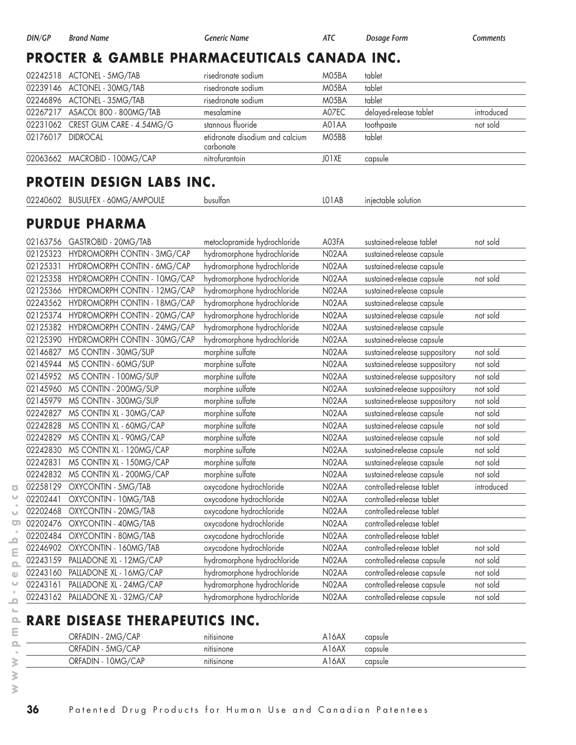#### **PROCTER & GAMBLE PHARMACEUTICALS CANADA INC.**

|                   | 02242518 ACTONEL - 5MG/TAB         | risedronate sodium                           | M05BA | tablet                 |            |
|-------------------|------------------------------------|----------------------------------------------|-------|------------------------|------------|
|                   | 02239146 ACTONEL - 30MG/TAB        | risedronate sodium                           | M05BA | tablet                 |            |
|                   | 02246896 ACTONEL - 35MG/TAB        | risedronate sodium                           | M05BA | tablet                 |            |
|                   | 02267217 ASACOL 800 - 800MG/TAB    | mesalamine                                   | A07EC | delayed-release tablet | introduced |
|                   | 02231062 CREST GUM CARE - 4.54MG/G | stannous fluoride                            | A01AA | toothpaste             | not sold   |
| 02176017 DIDROCAL |                                    | etidronate disodium and calcium<br>carbonate | MO5BB | tablet                 |            |
|                   | 02063662 MACROBID - 100MG/CAP      | nitrofurantoin                               | JO1XE | capsule                |            |

## **PROTEIN DESIGN LABS INC.**

| 02240602 BUSULFEX - 60MG/AMPOULE | busulfan | injectable solution<br>LO1AB |  |
|----------------------------------|----------|------------------------------|--|
|----------------------------------|----------|------------------------------|--|

## **PURDUE PHARMA**

| 02163756 | GASTROBID - 20MG/TAB         | metoclopramide hydrochloride | A03FA | sustained-release tablet      | not sold   |
|----------|------------------------------|------------------------------|-------|-------------------------------|------------|
| 02125323 | HYDROMORPH CONTIN - 3MG/CAP  | hydromorphone hydrochloride  | N02AA | sustained-release capsule     |            |
| 02125331 | HYDROMORPH CONTIN - 6MG/CAP  | hydromorphone hydrochloride  | N02AA | sustained-release capsule     |            |
| 02125358 | HYDROMORPH CONTIN - 10MG/CAP | hydromorphone hydrochloride  | N02AA | sustained-release capsule     | not sold   |
| 02125366 | HYDROMORPH CONTIN - 12MG/CAP | hydromorphone hydrochloride  | N02AA | sustained-release capsule     |            |
| 02243562 | HYDROMORPH CONTIN - 18MG/CAP | hydromorphone hydrochloride  | N02AA | sustained-release capsule     |            |
| 02125374 | HYDROMORPH CONTIN - 20MG/CAP | hydromorphone hydrochloride  | N02AA | sustained-release capsule     | not sold   |
| 02125382 | HYDROMORPH CONTIN - 24MG/CAP | hydromorphone hydrochloride  | N02AA | sustained-release capsule     |            |
| 02125390 | HYDROMORPH CONTIN - 30MG/CAP | hydromorphone hydrochloride  | N02AA | sustained-release capsule     |            |
| 02146827 | MS CONTIN - 30MG/SUP         | morphine sulfate             | N02AA | sustained-release suppository | not sold   |
| 02145944 | MS CONTIN - 60MG/SUP         | morphine sulfate             | N02AA | sustained-release suppository | not sold   |
| 02145952 | MS CONTIN - 100MG/SUP        | morphine sulfate             | N02AA | sustained-release suppository | not sold   |
| 02145960 | MS CONTIN - 200MG/SUP        | morphine sulfate             | N02AA | sustained-release suppository | not sold   |
| 02145979 | MS CONTIN - 300MG/SUP        | morphine sulfate             | N02AA | sustained-release suppository | not sold   |
| 02242827 | MS CONTIN XL - 30MG/CAP      | morphine sulfate             | N02AA | sustained-release capsule     | not sold   |
| 02242828 | MS CONTIN XL - 60MG/CAP      | morphine sulfate             | N02AA | sustained-release capsule     | not sold   |
| 02242829 | MS CONTIN XL - 90MG/CAP      | morphine sulfate             | N02AA | sustained-release capsule     | not sold   |
| 02242830 | MS CONTIN XL - 120MG/CAP     | morphine sulfate             | N02AA | sustained-release capsule     | not sold   |
| 02242831 | MS CONTIN XL - 150MG/CAP     | morphine sulfate             | N02AA | sustained-release capsule     | not sold   |
| 02242832 | MS CONTIN XL - 200MG/CAP     | morphine sulfate             | N02AA | sustained-release capsule     | not sold   |
| 02258129 | OXYCONTIN - 5MG/TAB          | oxycodone hydrochloride      | N02AA | controlled-release tablet     | introduced |
| 02202441 | OXYCONTIN - 10MG/TAB         | oxycodone hydrochloride      | N02AA | controlled-release tablet     |            |
| 02202468 | OXYCONTIN - 20MG/TAB         | oxycodone hydrochloride      | N02AA | controlled-release tablet     |            |
| 02202476 | OXYCONTIN - 40MG/TAB         | oxycodone hydrochloride      | N02AA | controlled-release tablet     |            |
| 02202484 | OXYCONTIN - 80MG/TAB         | oxycodone hydrochloride      | N02AA | controlled-release tablet     |            |
| 02246902 | OXYCONTIN - 160MG/TAB        | oxycodone hydrochloride      | N02AA | controlled-release tablet     | not sold   |
| 02243159 | PALLADONE XL - 12MG/CAP      | hydromorphone hydrochloride  | N02AA | controlled-release capsule    | not sold   |
| 02243160 | PALLADONE XL - 16MG/CAP      | hydromorphone hydrochloride  | N02AA | controlled-release capsule    | not sold   |
| 02243161 | PALLADONE XL - 24MG/CAP      | hydromorphone hydrochloride  | N02AA | controlled-release capsule    | not sold   |
| 02243162 | PALLADONE XL - 32MG/CAP      | hydromorphone hydrochloride  | N02AA | controlled-release capsule    | not sold   |

#### **RARE DISEASE THERAPEUTICS INC.**

| ← 2MG/CAP<br>ORFADIN | $ \cdot$<br>nifisinone | A16AX<br>capsule              |
|----------------------|------------------------|-------------------------------|
| ORFADIN - 5MG/CAP    | nitisinone             | A <sub>16</sub> AX<br>capsule |
| 10MG/CAP<br>ORFADIN  | nitisinone             | A <sub>16</sub> AX<br>capsule |

 $\overline{\bullet}$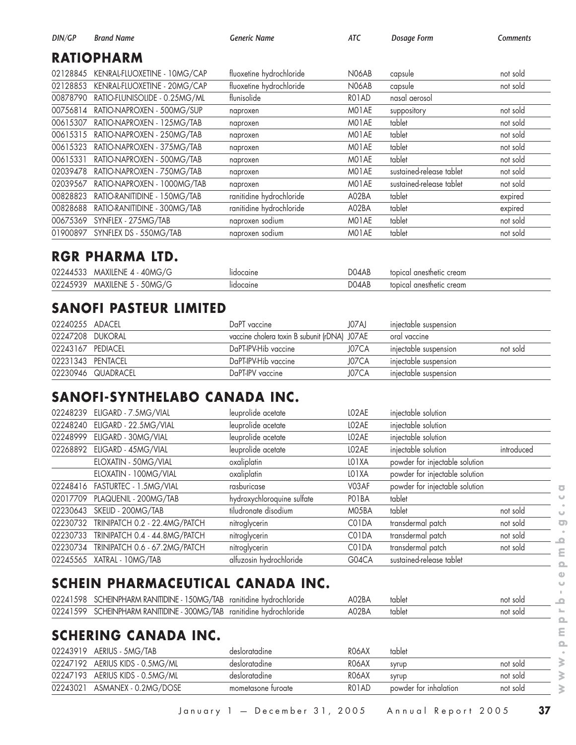| DIN/GP   | <b>Brand Name</b>             | <b>Generic Name</b>      | ATC   | Dosage Form              | <b>Comments</b> |
|----------|-------------------------------|--------------------------|-------|--------------------------|-----------------|
|          | <b>RATIOPHARM</b>             |                          |       |                          |                 |
| 02128845 | KENRAL-FLUOXETINE - 10MG/CAP  | fluoxetine hydrochloride | N06AB | capsule                  | not sold        |
| 02128853 | KENRAL-FLUOXETINE - 20MG/CAP  | fluoxetine hydrochloride | N06AB | capsule                  | not sold        |
| 00878790 | RATIO-FLUNISOLIDE - 0.25MG/ML | flunisolide              | RO1AD | nasal aerosol            |                 |
| 00756814 | RATIO-NAPROXEN - 500MG/SUP    | naproxen                 | MO1AE | suppository              | not sold        |
| 00615307 | RATIO-NAPROXEN - 125MG/TAB    | naproxen                 | MO1AE | tablet                   | not sold        |
| 00615315 | RATIO-NAPROXEN - 250MG/TAB    | naproxen                 | MO1AE | tablet                   | not sold        |
| 00615323 | RATIO-NAPROXEN - 375MG/TAB    | naproxen                 | MO1AE | tablet                   | not sold        |
| 00615331 | RATIO-NAPROXEN - 500MG/TAB    | naproxen                 | MO1AE | tablet                   | not sold        |
| 02039478 | RATIO-NAPROXEN - 750MG/TAB    | naproxen                 | MO1AE | sustained-release tablet | not sold        |
| 02039567 | RATIO-NAPROXEN - 1000MG/TAB   | naproxen                 | MO1AE | sustained-release tablet | not sold        |
| 00828823 | RATIO-RANITIDINE - 150MG/TAB  | ranitidine hydrochloride | A02BA | tablet                   | expired         |
| 00828688 | RATIO-RANITIDINE - 300MG/TAB  | ranitidine hydrochloride | A02BA | tablet                   | expired         |
| 00675369 | SYNFLEX - 275MG/TAB           | naproxen sodium          | MO1AE | tablet                   | not sold        |
| 01900897 | SYNFLEX DS - 550MG/TAB        | naproxen sodium          | MO1AE | tablet                   | not sold        |

#### **RGR PHARMA LTD.**

| 02244533 | MAXILENE 4 - 40MG/G            | <b>Idocaine</b> | D04AB | topical anesthetic cream |
|----------|--------------------------------|-----------------|-------|--------------------------|
| 02245939 | $-50MG/G$<br><b>MAXILENE 5</b> | lidocaine       | D04AB | topical anesthetic cream |

#### **SANOFI PASTEUR LIMITED**

| 02240255 ADACEL   |                    | DaPT vaccine                                 | J07AJ | injectable suspension |          |
|-------------------|--------------------|----------------------------------------------|-------|-----------------------|----------|
| 02247208 DUKORAL  |                    | vaccine cholera toxin B subunit (rDNA) J07AE |       | oral vaccine          |          |
| 02243167 PEDIACEL |                    | DaPT-IPV-Hib vaccine                         | J07CA | injectable suspension | not sold |
| 02231343 PENTACEL |                    | DaPT-IPV-Hib vaccine                         | J07CA | injectable suspension |          |
|                   | 02230946 QUADRACEL | DaPT-IPV vaccine                             | J07CA | injectable suspension |          |

## **SANOFI-SYNTHELABO CANADA INC.**

| 02248239 | ELIGARD - 7.5MG/VIAL               | leuprolide acetate         | LO <sub>2</sub> AE | injectable solution            |            |
|----------|------------------------------------|----------------------------|--------------------|--------------------------------|------------|
| 02248240 | ELIGARD - 22.5MG/VIAL              | leuprolide acetate         | LO <sub>2</sub> AE | injectable solution            |            |
| 02248999 | ELIGARD - 30MG/VIAL                | leuprolide acetate         | LO <sub>2</sub> AE | injectable solution            |            |
|          | 02268892 ELIGARD - 45MG/VIAL       | leuprolide acetate         | LO <sub>2</sub> AE | injectable solution            | introduced |
|          | ELOXATIN - 50MG/VIAL               | oxaliplatin                | LO <sub>1</sub> XA | powder for injectable solution |            |
|          | ELOXATIN - 100MG/VIAL              | oxaliplatin                | LO <sub>1</sub> XA | powder for injectable solution |            |
|          | 02248416    FASTURTEC - 1.5MG/VIAL | rasburicase                | V03AF              | powder for injectable solution |            |
|          | 02017709 PLAQUENIL - 200MG/TAB     | hydroxychloroquine sulfate | PO <sub>1</sub> BA | tablet                         |            |
| 02230643 | SKELID - 200MG/TAB                 | tiludronate disodium       | M05BA              | tablet                         | not sold   |
| 02230732 | TRINIPATCH 0.2 - 22.4MG/PATCH      | nitroglycerin              | C01DA              | transdermal patch              | not sold   |
| 02230733 | TRINIPATCH 0.4 - 44.8MG/PATCH      | nitroglycerin              | C01DA              | transdermal patch              | not sold   |
| 02230734 | TRINIPATCH 0.6 - 67.2MG/PATCH      | nitroglycerin              | C01DA              | transdermal patch              | not sold   |
|          | 02245565 XATRAL - 10MG/TAB         | alfuzosin hydrochloride    | G04CA              | sustained-release tablet       |            |

## **SCHEIN PHARMACEUTICAL CANADA INC.**

| 02241598 | 150MG/TAB<br><b>SCHEINPHARM RANITIDINE.</b>     | ranitidine<br>hydrochloride | A02BA | tablet | not sola |
|----------|-------------------------------------------------|-----------------------------|-------|--------|----------|
| 02241599 | 300MG/TAB<br><b>SCHEINPHARM</b><br>I RANITIDINE | ranitidine hvdrochloride    | A02BA | tablet | not solo |

#### **SCHERING CANADA INC.**

|          | 02243919 AERIUS - 5MG/TAB       | desloratadine      | RO6AX | tablet                |          |
|----------|---------------------------------|--------------------|-------|-----------------------|----------|
|          | 02247192 AERIUS KIDS - 0.5MG/ML | desloratadine      | RO6AX | syrup                 | not sold |
|          | 02247193 AERIUS KIDS - 0.5MG/ML | desloratadine      | RO6AX | syrup                 | not sold |
| 02243021 | ASMANEX - 0.2MG/DOSE            | mometasone turoate | RO1AD | powder for inhalation | not sold |

 $\overline{\bullet}$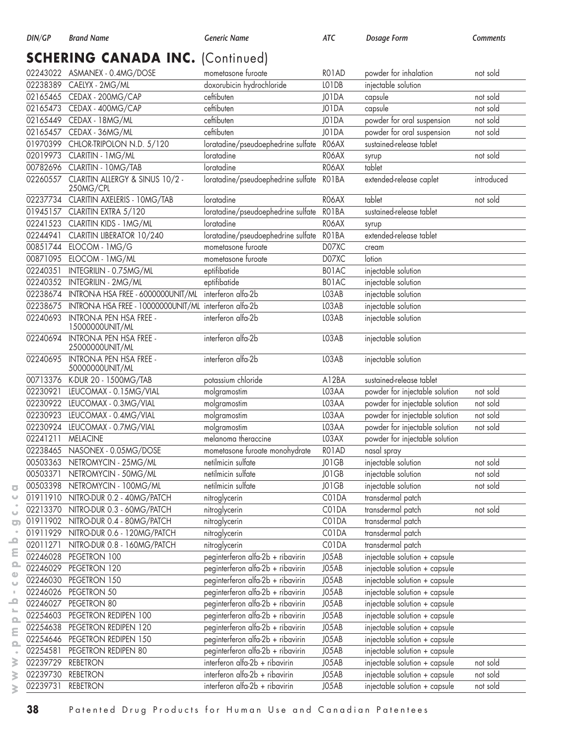| DIN/GP   | <b>Brand Name</b>                                      | <b>Generic Name</b>                | <b>ATC</b> | Dosage Form                    | Comments   |  |  |
|----------|--------------------------------------------------------|------------------------------------|------------|--------------------------------|------------|--|--|
|          | <b>SCHERING CANADA INC. (Continued)</b>                |                                    |            |                                |            |  |  |
|          | 02243022 ASMANEX - 0.4MG/DOSE                          | mometasone furoate                 | RO1AD      | powder for inhalation          | not sold   |  |  |
|          | 02238389 CAELYX - 2MG/ML                               | doxorubicin hydrochloride          | LO1DB      | injectable solution            |            |  |  |
|          | 02165465 CEDAX - 200MG/CAP                             | ceftibuten                         | J01DA      | capsule                        | not sold   |  |  |
| 02165473 | CEDAX - 400MG/CAP                                      | ceftibuten                         | J01DA      | capsule                        | not sold   |  |  |
| 02165449 | CEDAX - 18MG/ML                                        | ceftibuten                         | J01DA      | powder for oral suspension     | not sold   |  |  |
| 02165457 | CEDAX - 36MG/ML                                        | ceftibuten                         | J01DA      | powder for oral suspension     | not sold   |  |  |
| 01970399 | CHLOR-TRIPOLON N.D. 5/120                              | loratadine/pseudoephedrine sulfate | RO6AX      | sustained-release tablet       |            |  |  |
|          | 02019973 CLARITIN - 1MG/ML                             | loratadine                         | RO6AX      | syrup                          | not sold   |  |  |
| 00782696 | CLARITIN - 10MG/TAB                                    | loratadine                         | RO6AX      | tablet                         |            |  |  |
| 02260557 | CLARITIN ALLERGY & SINUS 10/2 -<br>250MG/CPL           | loratadine/pseudoephedrine sulfate | RO1BA      | extended-release caplet        | introduced |  |  |
|          | 02237734 CLARITIN AXELERIS - 10MG/TAB                  | loratadine                         | RO6AX      | tablet                         | not sold   |  |  |
|          | 01945157 CLARITIN EXTRA 5/120                          | loratadine/pseudoephedrine sulfate | RO1BA      | sustained-release tablet       |            |  |  |
|          | 02241523 CLARITIN KIDS - 1MG/ML                        | loratadine                         | RO6AX      | syrup                          |            |  |  |
| 02244941 | CLARITIN LIBERATOR 10/240                              | loratadine/pseudoephedrine sulfate | RO1BA      | extended-release tablet        |            |  |  |
| 00851744 | ELOCOM - 1MG/G                                         | mometasone furoate                 | D07XC      | cream                          |            |  |  |
|          | 00871095 ELOCOM - 1MG/ML                               | mometasone furoate                 | D07XC      | lotion                         |            |  |  |
| 02240351 | INTEGRILIN - 0.75MG/ML                                 | eptifibatide                       | B01AC      | injectable solution            |            |  |  |
|          | 02240352 INTEGRILIN - 2MG/ML                           | eptifibatide                       | B01AC      | injectable solution            |            |  |  |
| 02238674 | INTRON-A HSA FREE - 6000000UNIT/ML interferon alfa-2b  |                                    | LO3AB      | injectable solution            |            |  |  |
| 02238675 | INTRON-A HSA FREE - 10000000UNIT/ML interferon alfa-2b |                                    | LO3AB      | injectable solution            |            |  |  |
| 02240693 | INTRON-A PEN HSA FREE -<br>15000000UNIT/ML             | interferon alfa-2b                 | LO3AB      | injectable solution            |            |  |  |
| 02240694 | <b>INTRON-A PEN HSA FREE -</b><br>25000000UNIT/ML      | interferon alfa-2b                 | LO3AB      | injectable solution            |            |  |  |
| 02240695 | INTRON-A PEN HSA FREE -<br>50000000UNIT/ML             | interferon alfa-2b                 | LO3AB      | injectable solution            |            |  |  |
|          | 00713376 K-DUR 20 - 1500MG/TAB                         | potassium chloride                 | A12BA      | sustained-release tablet       |            |  |  |
| 02230921 | LEUCOMAX - 0.15MG/VIAL                                 | molgramostim                       | LO3AA      | powder for injectable solution | not sold   |  |  |
|          | 02230922 LEUCOMAX - 0.3MG/VIAL                         | molgramostim                       | LO3AA      | powder for injectable solution | not sold   |  |  |
| 02230923 | LEUCOMAX - 0.4MG/VIAL                                  | molgramostim                       | LO3AA      | powder for injectable solution | not sold   |  |  |
| 02230924 | LEUCOMAX - 0.7MG/VIAL                                  | molgramostim                       | LO3AA      | powder for injectable solution | not sold   |  |  |
| 02241211 | <b>MELACINE</b>                                        | melanoma theraccine                | LO3AX      | powder for injectable solution |            |  |  |
|          | 02238465 NASONEX - 0.05MG/DOSE                         | mometasone furoate monohydrate     | RO1AD      | nasal spray                    |            |  |  |
| 00503363 | NETROMYCIN - 25MG/ML                                   | netilmicin sulfate                 | JO1GB      | injectable solution            | not sold   |  |  |
| 00503371 | NETROMYCIN - 50MG/ML                                   | netilmicin sulfate                 | JO1GB      | injectable solution            | not sold   |  |  |
|          | 00503398 NETROMYCIN - 100MG/ML                         | netilmicin sulfate                 | JO1GB      | injectable solution            | not sold   |  |  |
|          | 01911910 NITRO-DUR 0.2 - 40MG/PATCH                    | nitroglycerin                      | C01DA      | transdermal patch              |            |  |  |
| 02213370 | NITRO-DUR 0.3 - 60MG/PATCH                             | nitroglycerin                      | C01DA      | transdermal patch              | not sold   |  |  |
| 01911902 | NITRO-DUR 0.4 - 80MG/PATCH                             | nitroglycerin                      | C01DA      | transdermal patch              |            |  |  |
| 01911929 | NITRO-DUR 0.6 - 120MG/PATCH                            | nitroglycerin                      | C01DA      | transdermal patch              |            |  |  |
| 02011271 | NITRO-DUR 0.8 - 160MG/PATCH                            | nitroglycerin                      | C01DA      | transdermal patch              |            |  |  |
| 02246028 | PEGETRON 100                                           | peginterferon alfa-2b + ribavirin  | J05AB      | injectable solution + capsule  |            |  |  |
| 02246029 | PEGETRON 120                                           | peginterferon alfa-2b + ribavirin  | J05AB      | injectable solution + capsule  |            |  |  |
| 02246030 | PEGETRON 150                                           | peginterferon alfa-2b + ribavirin  | J05AB      | injectable solution + capsule  |            |  |  |
| 02246026 | PEGETRON 50                                            | peginterferon alfa-2b + ribavirin  | J05AB      | injectable solution + capsule  |            |  |  |
| 02246027 | PEGETRON 80                                            | peginterferon alfa-2b + ribavirin  | J05AB      | injectable solution + capsule  |            |  |  |
| 02254603 | PEGETRON REDIPEN 100                                   | peginterferon alfa-2b + ribavirin  | J05AB      | injectable solution + capsule  |            |  |  |
| 02254638 | PEGETRON REDIPEN 120                                   | peginterferon alfa-2b + ribavirin  | J05AB      | injectable solution + capsule  |            |  |  |
| 02254646 | PEGETRON REDIPEN 150                                   | peginterferon alfa-2b + ribavirin  | J05AB      | injectable solution + capsule  |            |  |  |
| 02254581 | PEGETRON REDIPEN 80                                    | peginterferon alfa-2b + ribavirin  | J05AB      | injectable solution + capsule  |            |  |  |
| 02239729 | <b>REBETRON</b>                                        | interferon alfa-2b + ribavirin     | J05AB      | injectable solution + capsule  | not sold   |  |  |
| 02239730 | <b>REBETRON</b>                                        | interferon alfa-2b + ribavirin     | J05AB      | injectable solution + capsule  | not sold   |  |  |
| 02239731 | <b>REBETRON</b>                                        | interferon alfa-2b + ribavirin     | J05AB      | injectable solution + capsule  | not sold   |  |  |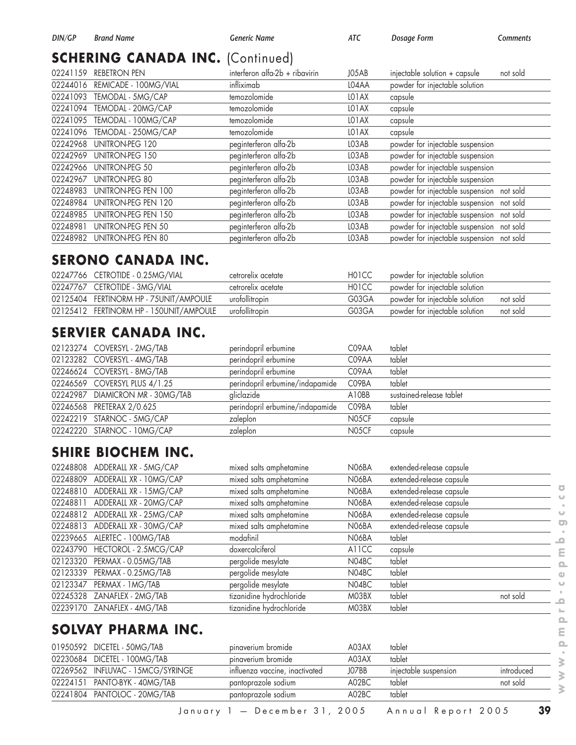#### **SCHERING CANADA INC. (Continued)**

| 02241159 | <b>REBETRON PEN</b>        | interferon alfa-2b + ribavirin | J05AB              | injectable solution + capsule<br>not sold |
|----------|----------------------------|--------------------------------|--------------------|-------------------------------------------|
| 02244016 | REMICADE - 100MG/VIAL      | infliximab                     | LO4AA              | powder for injectable solution            |
| 02241093 | TEMODAL - 5MG/CAP          | temozolomide                   | LO <sub>1</sub> AX | capsule                                   |
| 02241094 | TEMODAL - 20MG/CAP         | temozolomide                   | LO <sub>1</sub> AX | capsule                                   |
| 02241095 | TEMODAL - 100MG/CAP        | temozolomide                   | LO <sub>1</sub> AX | capsule                                   |
| 02241096 | TEMODAL - 250MG/CAP        | temozolomide                   | LO <sub>1</sub> AX | capsule                                   |
| 02242968 | <b>UNITRON-PEG 120</b>     | peginterferon alfa-2b          | LO3AB              | powder for injectable suspension          |
| 02242969 | UNITRON-PEG 150            | peginterferon alfa-2b          | LO3AB              | powder for injectable suspension          |
| 02242966 | UNITRON-PEG 50             | peginterferon alfa-2b          | LO3AB              | powder for injectable suspension          |
| 02242967 | UNITRON-PEG 80             | peginterferon alfa-2b          | LO3AB              | powder for injectable suspension          |
| 02248983 | UNITRON-PEG PEN 100        | peginterferon alfa-2b          | LO3AB              | powder for injectable suspension not sold |
| 02248984 | <b>UNITRON-PEG PEN 120</b> | peginterferon alfa-2b          | LO3AB              | powder for injectable suspension not sold |
| 02248985 | UNITRON-PEG PEN 150        | peginterferon alfa-2b          | LO3AB              | powder for injectable suspension not sold |
| 02248981 | UNITRON-PEG PEN 50         | peginterferon alfa-2b          | LO3AB              | powder for injectable suspension not sold |
| 02248982 | UNITRON-PEG PEN 80         | peginterferon alfa-2b          | LO3AB              | powder for injectable suspension not sold |

#### **SERONO CANADA INC.**

| 02247766 CETROTIDE - 0.25MG/VIAL        | cetrorelix acetate | H <sub>0</sub> 1CC | powder for injectable solution |          |
|-----------------------------------------|--------------------|--------------------|--------------------------------|----------|
| 02247767 CETROTIDE - 3MG/VIAL           | cetrorelix acetate | H01CC              | powder for injectable solution |          |
| 02125404 FERTINORM HP - 75UNIT/AMPOULE  | urofollitropin     | G03GA              | powder for injectable solution | not sold |
| 02125412 FERTINORM HP - 150UNIT/AMPOULE | urofollitropin     | G03GA              | powder for injectable solution | not sold |

#### **SERVIER CANADA INC.**

| 02123274 COVERSYL - 2MG/TAB      | perindopril erbumine            | C09AA | tablet                   |
|----------------------------------|---------------------------------|-------|--------------------------|
| 02123282 COVERSYL - 4MG/TAB      | perindopril erbumine            | C09AA | tablet                   |
| 02246624 COVERSYL - 8MG/TAB      | perindopril erbumine            | C09AA | tablet                   |
| 02246569 COVERSYL PLUS 4/1.25    | perindopril erbumine/indapamide | C09BA | tablet                   |
| 02242987 DIAMICRON MR - 30MG/TAB | gliclazide                      | A10BB | sustained-release tablet |
| 02246568 PRETERAX 2/0.625        | perindopril erbumine/indapamide | C09BA | tablet                   |
| 02242219 STARNOC - 5MG/CAP       | zaleplon                        | N05CF | capsule                  |
| 02242220 STARNOC - 10MG/CAP      | zaleplon                        | N05CF | capsule                  |

#### **SHIRE BIOCHEM INC.**

| 02248808 ADDERALL XR - 5MG/CAP     | mixed salts amphetamine  | N06BA | extended-release capsule |          |
|------------------------------------|--------------------------|-------|--------------------------|----------|
| 02248809 ADDERALL XR - 10MG/CAP    | mixed salts amphetamine  | N06BA | extended-release capsule |          |
| ADDERALL XR - 15MG/CAP<br>02248810 | mixed salts amphetamine  | N06BA | extended-release capsule |          |
| 02248811 ADDERALL XR - 20MG/CAP    | mixed salts amphetamine  | N06BA | extended-release capsule |          |
| 02248812 ADDERALL XR - 25MG/CAP    | mixed salts amphetamine  | N06BA | extended-release capsule |          |
| 02248813 ADDERALL XR - 30MG/CAP    | mixed salts amphetamine  | N06BA | extended-release capsule |          |
| 02239665 ALERTEC - 100MG/TAB       | modafinil                | N06BA | tablet                   |          |
| 02243790 HECTOROL - 2.5MCG/CAP     | doxercalciferol          | A11CC | capsule                  |          |
| 02123320<br>PERMAX - 0.05MG/TAB    | pergolide mesylate       | N04BC | tablet                   |          |
| 02123339 PERMAX - 0.25MG/TAB       | pergolide mesylate       | N04BC | tablet                   |          |
| 02123347 PERMAX - 1MG/TAB          | pergolide mesylate       | N04BC | tablet                   |          |
| 02245328 ZANAFLEX - 2MG/TAB        | tizanidine hydrochloride | MO3BX | tablet                   | not sold |
| 02239170 ZANAFLEX - 4MG/TAB        | tizanidine hydrochloride | MO3BX | tablet                   |          |
|                                    |                          |       |                          |          |

# **SOLVAY PHARMA INC.**

| 01950592 DICETEL - 50MG/TAB       | pinaverium bromide             | A03AX | tablet                |            |
|-----------------------------------|--------------------------------|-------|-----------------------|------------|
| 02230684 DICETEL - 100MG/TAB      | pinaverium bromide             | A03AX | tablet                |            |
| 02269562 INFLUVAC - 15MCG/SYRINGE | influenza vaccine, inactivated | JO7BB | iniectable suspension | introduced |
| 02224151 PANTO-BYK - 40MG/TAB     | pantoprazole sodium            | A02BC | tablet                | not sold   |
| 02241804 PANTOLOC - 20MG/TAB      | pantoprazole sodium            | A02BC | tablet                |            |